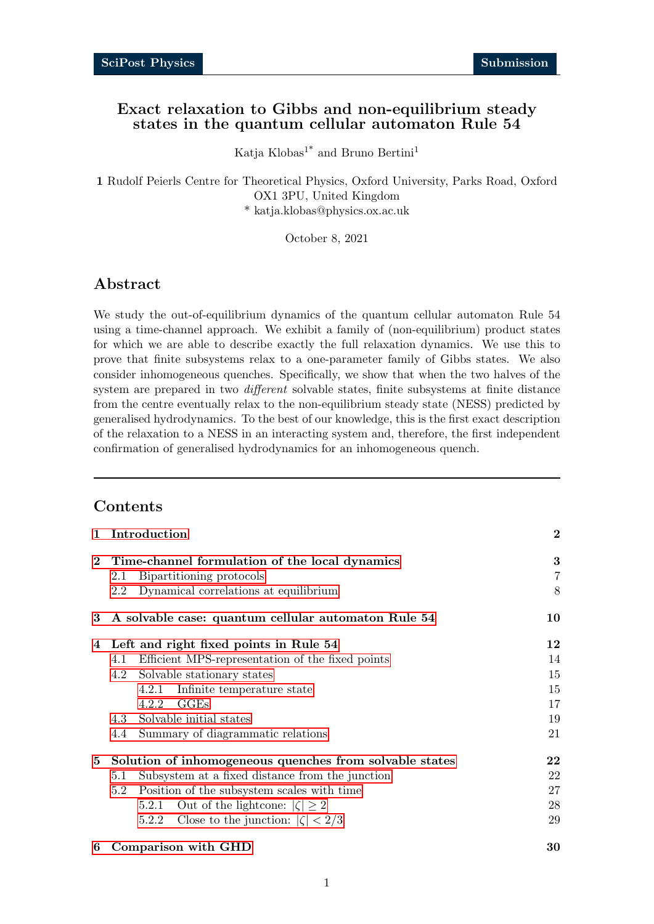# Exact relaxation to Gibbs and non-equilibrium steady states in the quantum cellular automaton Rule 54

Katja Klobas<sup>1\*</sup> and Bruno Bertini<sup>1</sup>

1 Rudolf Peierls Centre for Theoretical Physics, Oxford University, Parks Road, Oxford OX1 3PU, United Kingdom \* katja.klobas@physics.ox.ac.uk

October 8, 2021

# Abstract

We study the out-of-equilibrium dynamics of the quantum cellular automaton Rule 54 using a time-channel approach. We exhibit a family of (non-equilibrium) product states for which we are able to describe exactly the full relaxation dynamics. We use this to prove that finite subsystems relax to a one-parameter family of Gibbs states. We also consider inhomogeneous quenches. Specifically, we show that when the two halves of the system are prepared in two *different* solvable states, finite subsystems at finite distance from the centre eventually relax to the non-equilibrium steady state (NESS) predicted by generalised hydrodynamics. To the best of our knowledge, this is the first exact description of the relaxation to a NESS in an interacting system and, therefore, the first independent confirmation of generalised hydrodynamics for an inhomogeneous quench.

# Contents

| $\mathbf{1}$ | Introduction                                            | $\bf{2}$       |
|--------------|---------------------------------------------------------|----------------|
| $\mathbf{2}$ | Time-channel formulation of the local dynamics          | 3              |
|              | Bipartitioning protocols<br>2.1                         | $\overline{7}$ |
|              | Dynamical correlations at equilibrium<br>2.2            | 8              |
| 3            | A solvable case: quantum cellular automaton Rule 54     | 10             |
| 4            | Left and right fixed points in Rule 54                  | $12\,$         |
|              | Efficient MPS-representation of the fixed points<br>4.1 | 14             |
|              | Solvable stationary states<br>4.2                       | 15             |
|              | 4.2.1 Infinite temperature state                        | 15             |
|              | $_{\rm GGEs}$<br>4.2.2                                  | 17             |
|              | 4.3 Solvable initial states                             | 19             |
|              | Summary of diagrammatic relations<br>4.4                | 21             |
| $5^{\circ}$  | Solution of inhomogeneous quenches from solvable states | $22\,$         |
|              | Subsystem at a fixed distance from the junction<br>5.1  | 22             |
|              | Position of the subsystem scales with time<br>5.2       | 27             |
|              | Out of the lightcone: $ \zeta  \geq 2$<br>5.2.1         | 28             |
|              | Close to the junction: $ \zeta  < 2/3$<br>5.2.2         | 29             |
| 6            | Comparison with GHD                                     | 30             |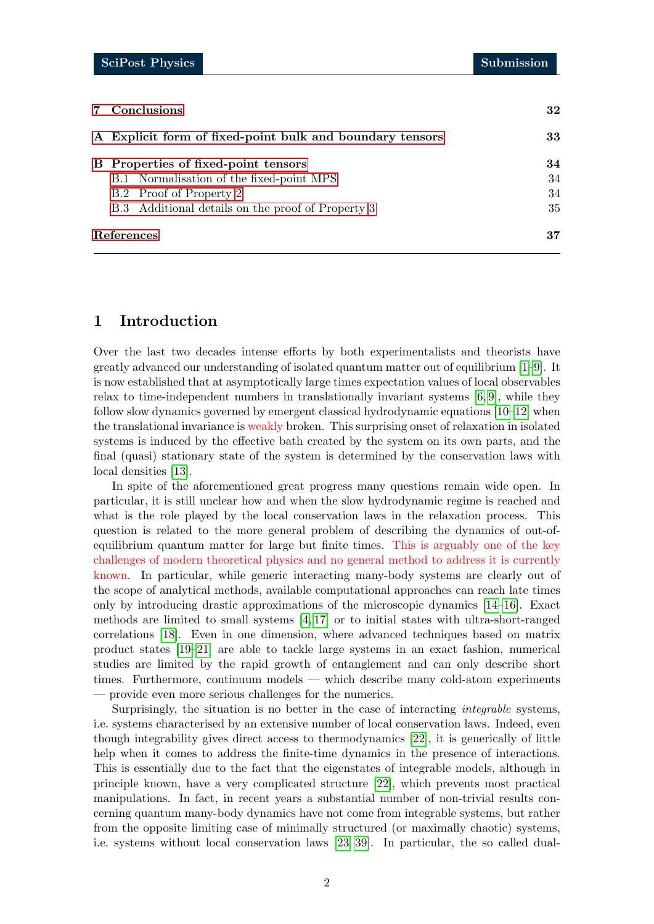| 7 Conclusions                                            | 32 |
|----------------------------------------------------------|----|
| A Explicit form of fixed-point bulk and boundary tensors | 33 |
| B Properties of fixed-point tensors                      | 34 |
| B.1 Normalisation of the fixed-point MPS                 | 34 |
| B.2 Proof of Property 2                                  | 34 |
| B.3 Additional details on the proof of Property 3        | 35 |
| References                                               | 37 |

# <span id="page-1-0"></span>1 Introduction

Over the last two decades intense efforts by both experimentalists and theorists have greatly advanced our understanding of isolated quantum matter out of equilibrium [\[1–](#page-36-1)[9\]](#page-36-2). It is now established that at asymptotically large times expectation values of local observables relax to time-independent numbers in translationally invariant systems [\[6,](#page-36-3) [9\]](#page-36-2), while they follow slow dynamics governed by emergent classical hydrodynamic equations [\[10–](#page-37-0)[12\]](#page-37-1) when the translational invariance is weakly broken. This surprising onset of relaxation in isolated systems is induced by the effective bath created by the system on its own parts, and the final (quasi) stationary state of the system is determined by the conservation laws with local densities [\[13\]](#page-37-2).

In spite of the aforementioned great progress many questions remain wide open. In particular, it is still unclear how and when the slow hydrodynamic regime is reached and what is the role played by the local conservation laws in the relaxation process. This question is related to the more general problem of describing the dynamics of out-ofequilibrium quantum matter for large but finite times. This is arguably one of the key challenges of modern theoretical physics and no general method to address it is currently known. In particular, while generic interacting many-body systems are clearly out of the scope of analytical methods, available computational approaches can reach late times only by introducing drastic approximations of the microscopic dynamics [\[14–](#page-37-3)[16\]](#page-37-4). Exact methods are limited to small systems [\[4,](#page-36-4) [17\]](#page-37-5) or to initial states with ultra-short-ranged correlations [\[18\]](#page-37-6). Even in one dimension, where advanced techniques based on matrix product states [\[19](#page-37-7)[–21\]](#page-37-8) are able to tackle large systems in an exact fashion, numerical studies are limited by the rapid growth of entanglement and can only describe short times. Furthermore, continuum models — which describe many cold-atom experiments — provide even more serious challenges for the numerics.

Surprisingly, the situation is no better in the case of interacting integrable systems, i.e. systems characterised by an extensive number of local conservation laws. Indeed, even though integrability gives direct access to thermodynamics [\[22\]](#page-37-9), it is generically of little help when it comes to address the finite-time dynamics in the presence of interactions. This is essentially due to the fact that the eigenstates of integrable models, although in principle known, have a very complicated structure [\[22\]](#page-37-9), which prevents most practical manipulations. In fact, in recent years a substantial number of non-trivial results concerning quantum many-body dynamics have not come from integrable systems, but rather from the opposite limiting case of minimally structured (or maximally chaotic) systems, i.e. systems without local conservation laws [\[23–](#page-37-10)[39\]](#page-38-0). In particular, the so called dual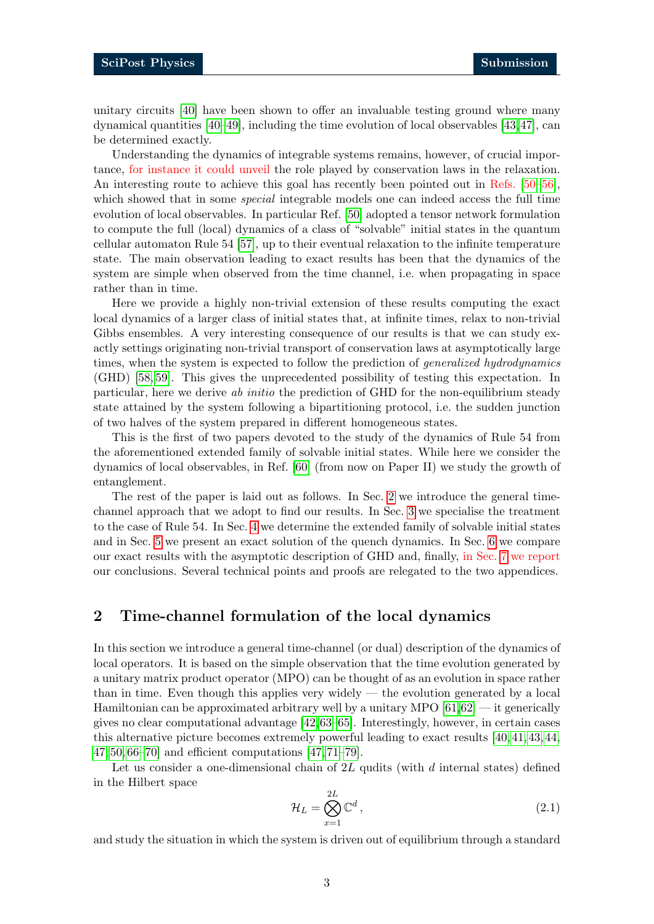unitary circuits [\[40\]](#page-38-1) have been shown to offer an invaluable testing ground where many dynamical quantities [\[40–](#page-38-1)[49\]](#page-39-0), including the time evolution of local observables [\[43,](#page-39-1)[47\]](#page-39-2), can be determined exactly.

Understanding the dynamics of integrable systems remains, however, of crucial importance, for instance it could unveil the role played by conservation laws in the relaxation. An interesting route to achieve this goal has recently been pointed out in Refs. [\[50–](#page-39-3)[56\]](#page-40-0), which showed that in some *special* integrable models one can indeed access the full time evolution of local observables. In particular Ref. [\[50\]](#page-39-3) adopted a tensor network formulation to compute the full (local) dynamics of a class of "solvable" initial states in the quantum cellular automaton Rule 54 [\[57\]](#page-40-1), up to their eventual relaxation to the infinite temperature state. The main observation leading to exact results has been that the dynamics of the system are simple when observed from the time channel, i.e. when propagating in space rather than in time.

Here we provide a highly non-trivial extension of these results computing the exact local dynamics of a larger class of initial states that, at infinite times, relax to non-trivial Gibbs ensembles. A very interesting consequence of our results is that we can study exactly settings originating non-trivial transport of conservation laws at asymptotically large times, when the system is expected to follow the prediction of *generalized hydrodynamics* (GHD) [\[58,](#page-40-2) [59\]](#page-40-3). This gives the unprecedented possibility of testing this expectation. In particular, here we derive ab initio the prediction of GHD for the non-equilibrium steady state attained by the system following a bipartitioning protocol, i.e. the sudden junction of two halves of the system prepared in different homogeneous states.

This is the first of two papers devoted to the study of the dynamics of Rule 54 from the aforementioned extended family of solvable initial states. While here we consider the dynamics of local observables, in Ref. [\[60\]](#page-40-4) (from now on Paper II) we study the growth of entanglement.

The rest of the paper is laid out as follows. In Sec. [2](#page-2-0) we introduce the general timechannel approach that we adopt to find our results. In Sec. [3](#page-9-0) we specialise the treatment to the case of Rule 54. In Sec. [4](#page-11-0) we determine the extended family of solvable initial states and in Sec. [5](#page-21-0) we present an exact solution of the quench dynamics. In Sec. [6](#page-29-0) we compare our exact results with the asymptotic description of GHD and, finally, in Sec. [7](#page-31-0) we report our conclusions. Several technical points and proofs are relegated to the two appendices.

# <span id="page-2-0"></span>2 Time-channel formulation of the local dynamics

In this section we introduce a general time-channel (or dual) description of the dynamics of local operators. It is based on the simple observation that the time evolution generated by a unitary matrix product operator (MPO) can be thought of as an evolution in space rather than in time. Even though this applies very widely — the evolution generated by a local Hamiltonian can be approximated arbitrary well by a unitary MPO  $[61,62]$  $[61,62]$  — it generically gives no clear computational advantage  $[42,63-65]$  $[42,63-65]$  $[42,63-65]$ . Interestingly, however, in certain cases this alternative picture becomes extremely powerful leading to exact results [\[40,](#page-38-1) [41,](#page-39-5) [43,](#page-39-1) [44,](#page-39-6) [47,](#page-39-2) [50,](#page-39-3) [66–](#page-40-9)[70\]](#page-41-0) and efficient computations [\[47,](#page-39-2) [71](#page-41-1)[–79\]](#page-41-2).

Let us consider a one-dimensional chain of  $2L$  qudits (with d internal states) defined in the Hilbert space

$$
\mathcal{H}_L = \bigotimes_{x=1}^{2L} \mathbb{C}^d \,, \tag{2.1}
$$

and study the situation in which the system is driven out of equilibrium through a standard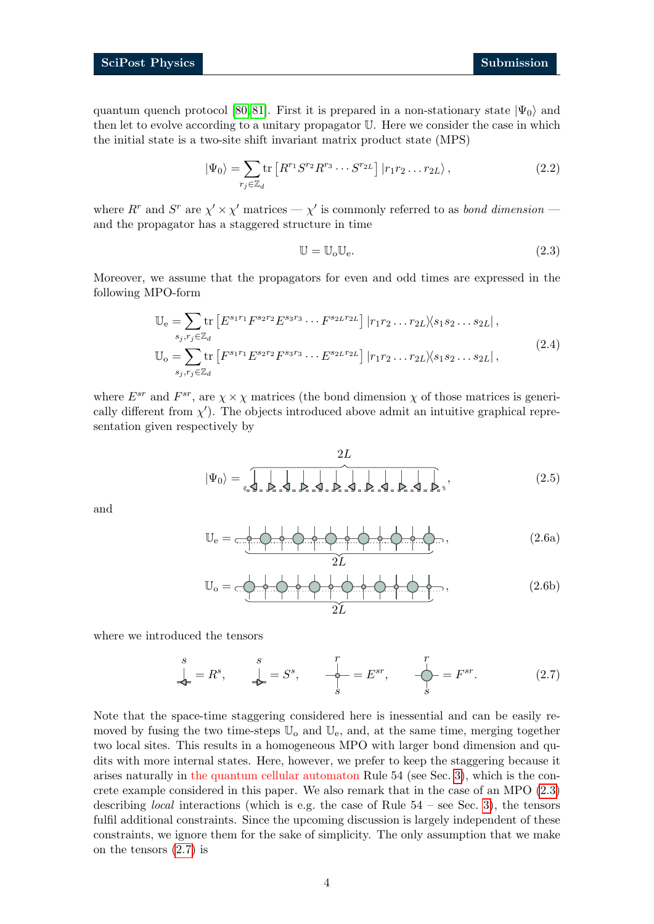quantum quench protocol [\[80,](#page-41-3) [81\]](#page-41-4). First it is prepared in a non-stationary state  $|\Psi_0\rangle$  and then let to evolve according to a unitary propagator U. Here we consider the case in which the initial state is a two-site shift invariant matrix product state (MPS)

$$
|\Psi_0\rangle = \sum_{r_j \in \mathbb{Z}_d} \text{tr}\left[ R^{r_1} S^{r_2} R^{r_3} \cdots S^{r_{2L}} \right] |r_1 r_2 \cdots r_{2L}\rangle, \qquad (2.2)
$$

where  $R^r$  and  $S^r$  are  $\chi' \times \chi'$  matrices —  $\chi'$  is commonly referred to as *bond dimension* and the propagator has a staggered structure in time

<span id="page-3-0"></span>
$$
\mathbb{U} = \mathbb{U}_{\text{o}} \mathbb{U}_{\text{e}}.\tag{2.3}
$$

Moreover, we assume that the propagators for even and odd times are expressed in the following MPO-form

<span id="page-3-2"></span>
$$
\mathbb{U}_{e} = \sum_{s_{j}, r_{j} \in \mathbb{Z}_{d}} \text{tr} \left[ E^{s_{1}r_{1}} F^{s_{2}r_{2}} E^{s_{3}r_{3}} \cdots F^{s_{2}r_{2}r_{2}r_{2}} \right] |r_{1}r_{2} \cdots r_{2}r_{2} \times s_{1} s_{2} \cdots s_{2}r_{2} |,
$$
\n
$$
\mathbb{U}_{o} = \sum_{s_{j}, r_{j} \in \mathbb{Z}_{d}} \text{tr} \left[ F^{s_{1}r_{1}} E^{s_{2}r_{2}} F^{s_{3}r_{3}} \cdots E^{s_{2}r_{2}r_{2}r_{2}} \right] |r_{1}r_{2} \cdots r_{2}r_{2} \times s_{1} s_{2} \cdots s_{2}r_{2} |,
$$
\n
$$
(2.4)
$$

where  $E^{sr}$  and  $F^{sr}$ , are  $\chi \times \chi$  matrices (the bond dimension  $\chi$  of those matrices is generically different from  $\chi'$ ). The objects introduced above admit an intuitive graphical representation given respectively by

<span id="page-3-3"></span>|Ψ0i = 2L , (2.5)

and

$$
\mathbb{U}_{e} = \frac{1}{\sqrt{1-\frac{1}{2}(\frac{1}{2})-\frac{1}{2}(\frac{1}{2})-\frac{1}{2}(\frac{1}{2})-\frac{1}{2}(\frac{1}{2})-\frac{1}{2}(\frac{1}{2})-\frac{1}{2}(\frac{1}{2})-\frac{1}{2}(\frac{1}{2})-\frac{1}{2}(\frac{1}{2})-\frac{1}{2}(\frac{1}{2})-\frac{1}{2}(\frac{1}{2})-\frac{1}{2}(\frac{1}{2})-\frac{1}{2}(\frac{1}{2})-\frac{1}{2}(\frac{1}{2})-\frac{1}{2}(\frac{1}{2})-\frac{1}{2}(\frac{1}{2})-\frac{1}{2}(\frac{1}{2})-\frac{1}{2}(\frac{1}{2})-\frac{1}{2}(\frac{1}{2})-\frac{1}{2}(\frac{1}{2})-\frac{1}{2}(\frac{1}{2})-\frac{1}{2}(\frac{1}{2})-\frac{1}{2}(\frac{1}{2})-\frac{1}{2}(\frac{1}{2})-\frac{1}{2}(\frac{1}{2})-\frac{1}{2}(\frac{1}{2})-\frac{1}{2}(\frac{1}{2})-\frac{1}{2}(\frac{1}{2})-\frac{1}{2}(\frac{1}{2})-\frac{1}{2}(\frac{1}{2})-\frac{1}{2}(\frac{1}{2})-\frac{1}{2}(\frac{1}{2})-\frac{1}{2}(\frac{1}{2})-\frac{1}{2}(\frac{1}{2})-\frac{1}{2}(\frac{1}{2})-\frac{1}{2}(\frac{1}{2})-\frac{1}{2}(\frac{1}{2})-\frac{1}{2}(\frac{1}{2})-\frac{1}{2}(\frac{1}{2})-\frac{1}{2}(\frac{1}{2})-\frac{1}{2}(\frac{1}{2})-\frac{1}{2}(\frac{1}{2})-\frac{1}{2}(\frac{1}{2})-\frac{1}{2}(\frac{1}{2})-\frac{1}{2}(\frac{1}{2})-\frac{1}{2}(\frac{1}{2})-\frac{1}{2}(\frac{1}{2})-\frac{1}{2}(\frac{1}{2})-\frac{1}{2}(\frac{1}{2})-\frac{1}{2}(\frac{1}{2})-\frac{1}{2}(\frac{1}{2})-\frac{1}{2}(\frac{1}{2})-\frac{1}{2}(\frac{1}{2})-\frac{1}{2}(\frac{1}{2})
$$

$$
\mathbb{U}_{o} = \frac{1}{\sqrt{1-\frac{1}{2}+\frac{1}{2}+\frac{1}{2}+\frac{1}{2}+\frac{1}{2}+\frac{1}{2}+\frac{1}{2}+\frac{1}{2}+\frac{1}{2}+\frac{1}{2}+\frac{1}{2}+\frac{1}{2}+\frac{1}{2}+\frac{1}{2}+\frac{1}{2}+\frac{1}{2}+\frac{1}{2}+\frac{1}{2}+\frac{1}{2}+\frac{1}{2}+\frac{1}{2}+\frac{1}{2}+\frac{1}{2}+\frac{1}{2}+\frac{1}{2}+\frac{1}{2}+\frac{1}{2}+\frac{1}{2}+\frac{1}{2}+\frac{1}{2}+\frac{1}{2}+\frac{1}{2}+\frac{1}{2}+\frac{1}{2}+\frac{1}{2}+\frac{1}{2}+\frac{1}{2}+\frac{1}{2}+\frac{1}{2}+\frac{1}{2}+\frac{1}{2}+\frac{1}{2}+\frac{1}{2}+\frac{1}{2}+\frac{1}{2}+\frac{1}{2}+\frac{1}{2}+\frac{1}{2}+\frac{1}{2}+\frac{1}{2}+\frac{1}{2}+\frac{1}{2}+\frac{1}{2}+\frac{1}{2}+\frac{1}{2}+\frac{1}{2}+\frac{1}{2}+\frac{1}{2}+\frac{1}{2}+\frac{1}{2}+\frac{1}{2}+\frac{1}{2}+\frac{1}{2}+\frac{1}{2}+\frac{1}{2}+\frac{1}{2}+\frac{1}{2}+\frac{1}{2}+\frac{1}{2}+\frac{1}{2}+\frac{1}{2}+\frac{1}{2}+\frac{1}{2}+\frac{1}{2}+\frac{1}{2}+\frac{1}{2}+\frac{1}{2}+\frac{1}{2}+\frac{1}{2}+\frac{1}{2}+\frac{1}{2}+\frac{1}{2}+\frac{1}{2}+\frac{1}{2}+\frac{1}{2}+\frac{1}{2}+\frac{1}{2}+\frac{1}{2}+\frac{1}{2}+\frac{1}{2}+\frac{1}{2}+\frac{1}{2}+\frac{1}{2}+\frac{1}{2}+\frac{1}{2}+\frac{1}{2}+\frac{1}{2}+\frac{1}{2}+\frac{1}{2}+\frac{1}{2}+\frac{1}{2}+\frac{1}{2}+\frac{1}{2}+\frac{1}{2}+\frac{1}{2}+\frac{1}{2}
$$

where we introduced the tensors

<span id="page-3-1"></span>
$$
\stackrel{s}{\downarrow} = R^s, \qquad \stackrel{s}{\downarrow} = S^s, \qquad \stackrel{r}{\downarrow} = E^{sr}, \qquad \stackrel{r}{\downarrow} = F^{sr}.
$$
 (2.7)

Note that the space-time staggering considered here is inessential and can be easily removed by fusing the two time-steps  $\mathbb{U}_{\text{o}}$  and  $\mathbb{U}_{\text{e}}$ , and, at the same time, merging together two local sites. This results in a homogeneous MPO with larger bond dimension and qudits with more internal states. Here, however, we prefer to keep the staggering because it arises naturally in the quantum cellular automaton Rule 54 (see Sec. [3\)](#page-9-0), which is the concrete example considered in this paper. We also remark that in the case of an MPO [\(2.3\)](#page-3-0) describing *local* interactions (which is e.g. the case of Rule  $54$  – see Sec. [3\)](#page-9-0), the tensors fulfil additional constraints. Since the upcoming discussion is largely independent of these constraints, we ignore them for the sake of simplicity. The only assumption that we make on the tensors [\(2.7\)](#page-3-1) is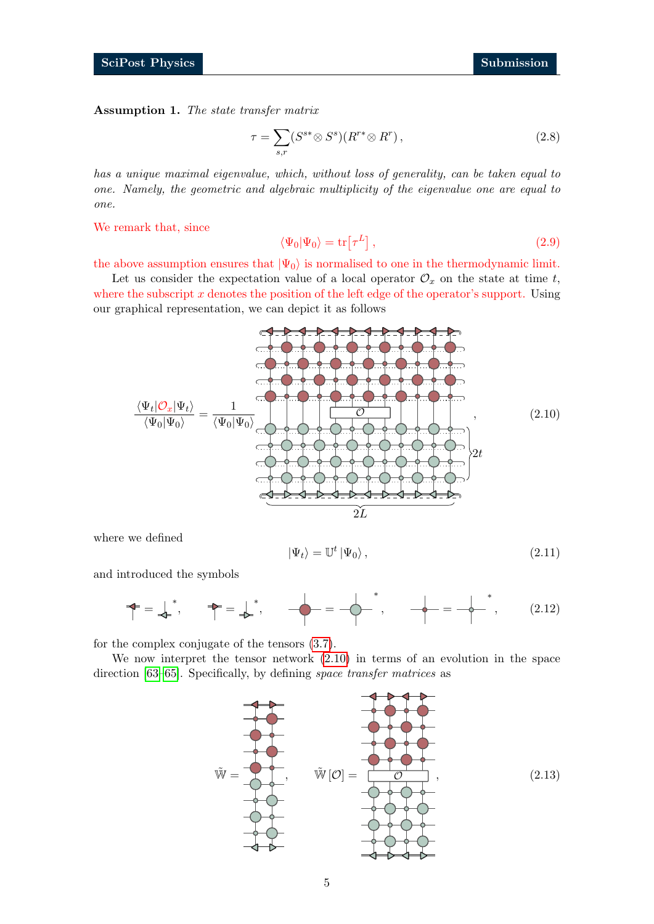<span id="page-4-2"></span>Assumption 1. The state transfer matrix

<span id="page-4-3"></span>
$$
\tau = \sum_{s,r} (S^{s*} \otimes S^s)(R^{r*} \otimes R^r), \qquad (2.8)
$$

has a unique maximal eigenvalue, which, without loss of generality, can be taken equal to one. Namely, the geometric and algebraic multiplicity of the eigenvalue one are equal to one.

We remark that, since

$$
\langle \Psi_0 | \Psi_0 \rangle = \text{tr} \left[ \tau^L \right], \tag{2.9}
$$

the above assumption ensures that  $|\Psi_0\rangle$  is normalised to one in the thermodynamic limit.

Let us consider the expectation value of a local operator  $\mathcal{O}_x$  on the state at time t, where the subscript  $x$  denotes the position of the left edge of the operator's support. Using our graphical representation, we can depict it as follows

<span id="page-4-0"></span>

where we defined

$$
|\Psi_t\rangle = \mathbb{U}^t |\Psi_0\rangle, \qquad (2.11)
$$

and introduced the symbols

$$
\uparrow = \downarrow^*, \quad \uparrow = \downarrow^*, \quad \downarrow = -\downarrow^*, \quad \downarrow = -\downarrow^*, \quad \downarrow = -\downarrow^*, \quad (2.12)
$$

for the complex conjugate of the tensors [\(3.7\)](#page-10-0).

We now interpret the tensor network [\(2.10\)](#page-4-0) in terms of an evolution in the space direction [\[63](#page-40-7)[–65\]](#page-40-8). Specifically, by defining space transfer matrices as

<span id="page-4-1"></span>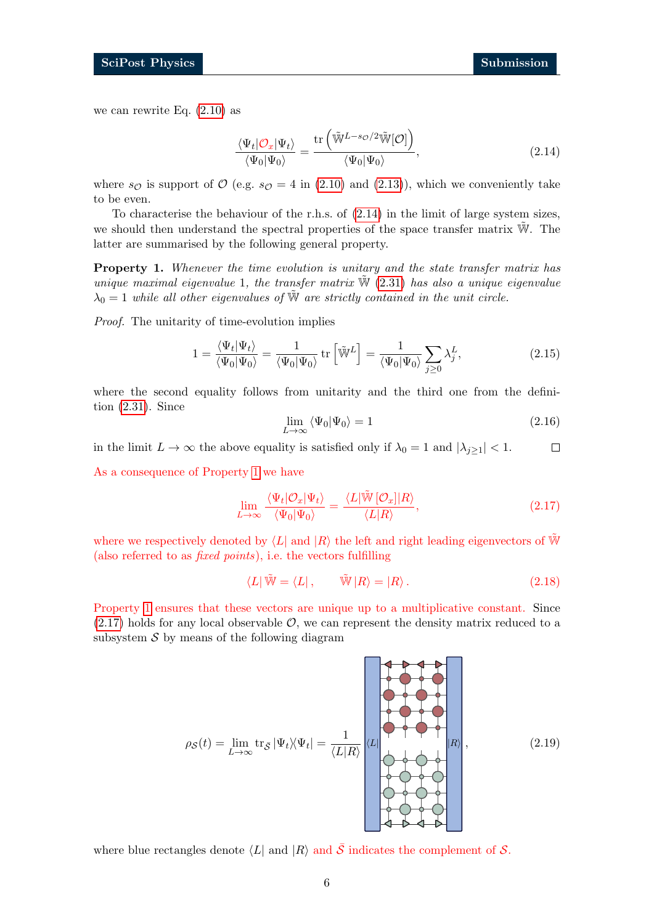we can rewrite Eq. [\(2.10\)](#page-4-0) as

<span id="page-5-0"></span>
$$
\frac{\langle \Psi_t | \mathcal{O}_x | \Psi_t \rangle}{\langle \Psi_0 | \Psi_0 \rangle} = \frac{\text{tr}\left(\tilde{\mathbb{W}}^{L-s\mathcal{O}/2} \tilde{\mathbb{W}}[\mathcal{O}]\right)}{\langle \Psi_0 | \Psi_0 \rangle},\tag{2.14}
$$

where  $s_{\mathcal{O}}$  is support of  $\mathcal{O}$  (e.g.  $s_{\mathcal{O}} = 4$  in [\(2.10\)](#page-4-0) and [\(2.13\)](#page-4-1)), which we conveniently take to be even.

To characterise the behaviour of the r.h.s. of [\(2.14\)](#page-5-0) in the limit of large system sizes, we should then understand the spectral properties of the space transfer matrix  $\tilde{W}$ . The latter are summarised by the following general property.

<span id="page-5-1"></span>Property 1. Whenever the time evolution is unitary and the state transfer matrix has unique maximal eigenvalue 1, the transfer matrix  $\tilde{W}$  [\(2.31\)](#page-8-0) has also a unique eigenvalue  $\lambda_0 = 1$  while all other eigenvalues of  $\tilde{W}$  are strictly contained in the unit circle.

Proof. The unitarity of time-evolution implies

$$
1 = \frac{\langle \Psi_t | \Psi_t \rangle}{\langle \Psi_0 | \Psi_0 \rangle} = \frac{1}{\langle \Psi_0 | \Psi_0 \rangle} \operatorname{tr} \left[ \tilde{\mathbb{W}}^L \right] = \frac{1}{\langle \Psi_0 | \Psi_0 \rangle} \sum_{j \ge 0} \lambda_j^L,
$$
 (2.15)

where the second equality follows from unitarity and the third one from the definition [\(2.31\)](#page-8-0). Since

$$
\lim_{L \to \infty} \langle \Psi_0 | \Psi_0 \rangle = 1 \tag{2.16}
$$

in the limit  $L \to \infty$  the above equality is satisfied only if  $\lambda_0 = 1$  and  $|\lambda_{j\geq 1}| < 1$ .  $\Box$ 

As a consequence of Property [1](#page-5-1) we have

<span id="page-5-2"></span>
$$
\lim_{L \to \infty} \frac{\langle \Psi_t | \mathcal{O}_x | \Psi_t \rangle}{\langle \Psi_0 | \Psi_0 \rangle} = \frac{\langle L | \widetilde{\mathbb{W}} \left[ \mathcal{O}_x \right] | R \rangle}{\langle L | R \rangle},\tag{2.17}
$$

where we respectively denoted by  $\langle L|$  and  $|R\rangle$  the left and right leading eigenvectors of W (also referred to as fixed points), i.e. the vectors fulfilling

$$
\langle L | \tilde{\mathbb{W}} = \langle L | , \qquad \tilde{\mathbb{W}} | R \rangle = | R \rangle . \tag{2.18}
$$

Property [1](#page-5-1) ensures that these vectors are unique up to a multiplicative constant. Since  $(2.17)$  holds for any local observable  $\mathcal{O}$ , we can represent the density matrix reduced to a subsystem  $S$  by means of the following diagram

<span id="page-5-3"></span>
$$
\rho_{\mathcal{S}}(t) = \lim_{L \to \infty} \text{tr}_{\bar{\mathcal{S}}} |\Psi_t \rangle \langle \Psi_t | = \frac{1}{\langle L | R \rangle} \begin{bmatrix} \mathcal{L} \\ \mathcal{L} \\ \mathcal{L} \end{bmatrix} \langle L | \begin{bmatrix} \mathcal{L} \\ \mathcal{L} \\ \mathcal{L} \end{bmatrix} | R \rangle, \tag{2.19}
$$

where blue rectangles denote  $\langle L|$  and  $|R\rangle$  and  $\overline{S}$  indicates the complement of S.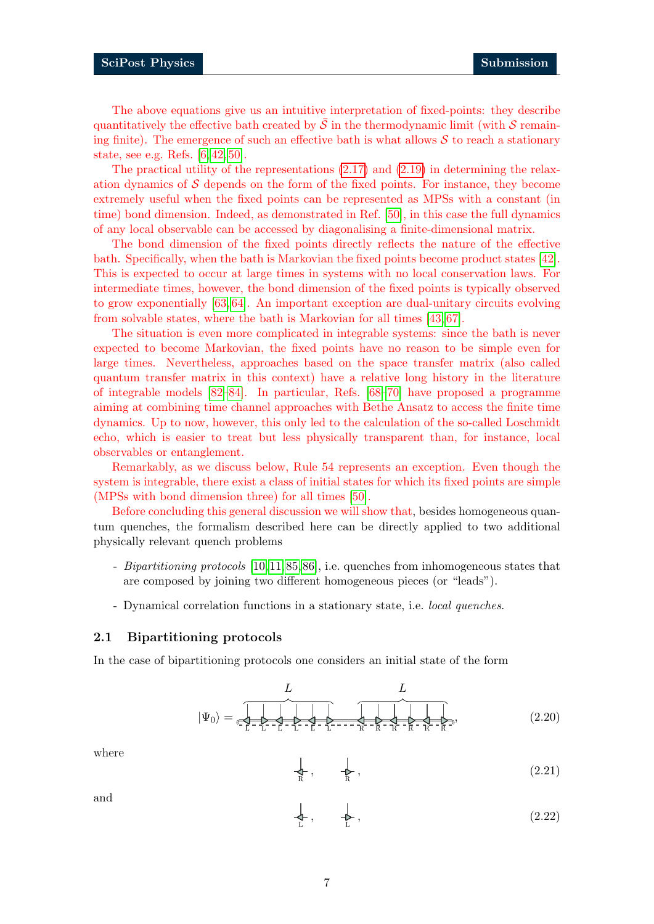The above equations give us an intuitive interpretation of fixed-points: they describe quantitatively the effective bath created by  $\mathcal S$  in the thermodynamic limit (with  $\mathcal S$  remaining finite). The emergence of such an effective bath is what allows  $S$  to reach a stationary state, see e.g. Refs. [\[6,](#page-36-3) [42,](#page-39-4) [50\]](#page-39-3).

The practical utility of the representations  $(2.17)$  and  $(2.19)$  in determining the relaxation dynamics of  $S$  depends on the form of the fixed points. For instance, they become extremely useful when the fixed points can be represented as MPSs with a constant (in time) bond dimension. Indeed, as demonstrated in Ref. [\[50\]](#page-39-3), in this case the full dynamics of any local observable can be accessed by diagonalising a finite-dimensional matrix.

The bond dimension of the fixed points directly reflects the nature of the effective bath. Specifically, when the bath is Markovian the fixed points become product states [\[42\]](#page-39-4). This is expected to occur at large times in systems with no local conservation laws. For intermediate times, however, the bond dimension of the fixed points is typically observed to grow exponentially [\[63,](#page-40-7) [64\]](#page-40-10). An important exception are dual-unitary circuits evolving from solvable states, where the bath is Markovian for all times [\[43,](#page-39-1) [67\]](#page-40-11).

The situation is even more complicated in integrable systems: since the bath is never expected to become Markovian, the fixed points have no reason to be simple even for large times. Nevertheless, approaches based on the space transfer matrix (also called quantum transfer matrix in this context) have a relative long history in the literature of integrable models [\[82](#page-41-5)[–84\]](#page-42-0). In particular, Refs. [\[68–](#page-40-12)[70\]](#page-41-0) have proposed a programme aiming at combining time channel approaches with Bethe Ansatz to access the finite time dynamics. Up to now, however, this only led to the calculation of the so-called Loschmidt echo, which is easier to treat but less physically transparent than, for instance, local observables or entanglement.

Remarkably, as we discuss below, Rule 54 represents an exception. Even though the system is integrable, there exist a class of initial states for which its fixed points are simple (MPSs with bond dimension three) for all times [\[50\]](#page-39-3).

Before concluding this general discussion we will show that, besides homogeneous quantum quenches, the formalism described here can be directly applied to two additional physically relevant quench problems

- Bipartitioning protocols [\[10,](#page-37-0)[11,](#page-37-11)[85,](#page-42-1)[86\]](#page-42-2), i.e. quenches from inhomogeneous states that are composed by joining two different homogeneous pieces (or "leads").
- Dynamical correlation functions in a stationary state, i.e. local quenches.

#### <span id="page-6-0"></span>2.1 Bipartitioning protocols

In the case of bipartitioning protocols one considers an initial state of the form

|Ψ0i = L L L L L L R R R R R R L L , (2.20)

where

$$
\downarrow_{\mathbb{R}}, \qquad \downarrow_{\mathbb{R}}, \tag{2.21}
$$

and

$$
\downarrow_{\mathcal{L}}, \qquad \downarrow_{\mathcal{L}}, \tag{2.22}
$$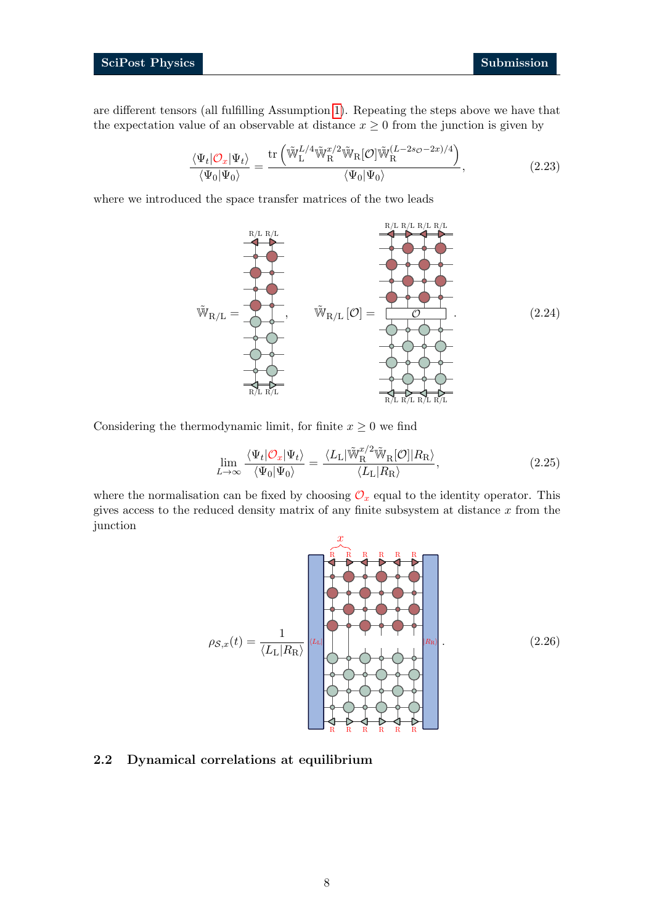are different tensors (all fulfilling Assumption [1\)](#page-4-2). Repeating the steps above we have that the expectation value of an observable at distance  $x \geq 0$  from the junction is given by

$$
\frac{\langle \Psi_t | \mathcal{O}_x | \Psi_t \rangle}{\langle \Psi_0 | \Psi_0 \rangle} = \frac{\text{tr}\left(\tilde{\mathbb{W}}_{\text{L}}^{L/4} \tilde{\mathbb{W}}_{\text{R}}^{x/2} \tilde{\mathbb{W}}_{\text{R}}[\mathcal{O}] \tilde{\mathbb{W}}_{\text{R}}^{(L-2s_{\mathcal{O}}-2x)/4}\right)}{\langle \Psi_0 | \Psi_0 \rangle},\tag{2.23}
$$

where we introduced the space transfer matrices of the two leads

$$
\tilde{W}_{R/L} = \underbrace{\tilde{W}_{R/L} R/L}_{R/L} [\mathcal{O}] = \underbrace{\tilde{W}_{R/L} [\mathcal{O}]}_{R/L} \tag{2.24}
$$

Considering the thermodynamic limit, for finite  $x \geq 0$  we find

$$
\lim_{L \to \infty} \frac{\langle \Psi_t | \mathcal{O}_x | \Psi_t \rangle}{\langle \Psi_0 | \Psi_0 \rangle} = \frac{\langle L_{\rm L} | \tilde{\mathbb{W}}_{\rm R}^{\mathcal{X}/2} \tilde{\mathbb{W}}_{\rm R}[\mathcal{O}] | R_{\rm R} \rangle}{\langle L_{\rm L} | R_{\rm R} \rangle},\tag{2.25}
$$

where the normalisation can be fixed by choosing  $\mathcal{O}_x$  equal to the identity operator. This gives access to the reduced density matrix of any finite subsystem at distance  $x$  from the junction



#### <span id="page-7-0"></span>2.2 Dynamical correlations at equilibrium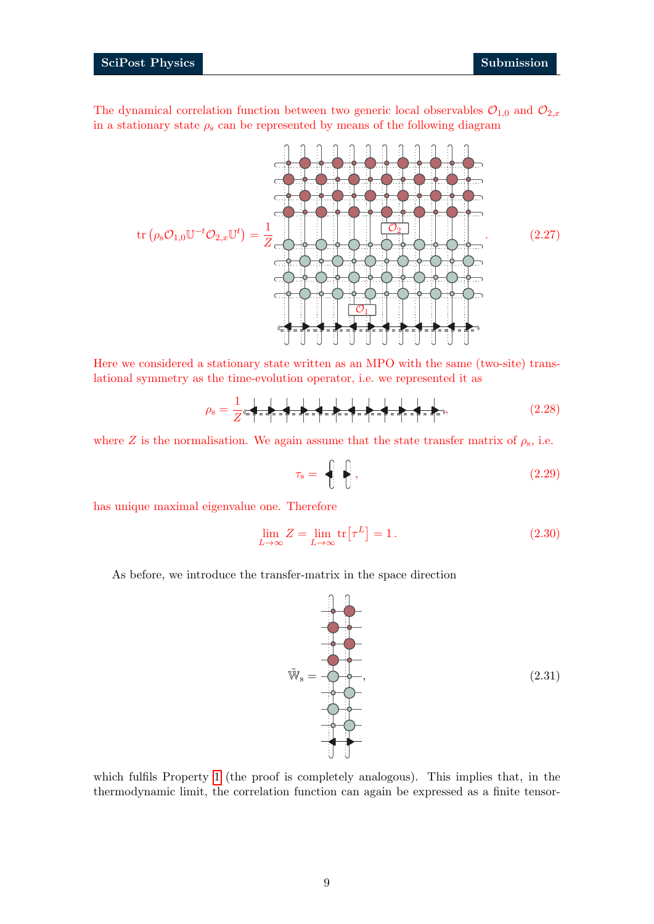### SciPost Physics Submission

The dynamical correlation function between two generic local observables  $\mathcal{O}_{1,0}$  and  $\mathcal{O}_{2,x}$ in a stationary state  $\rho_s$  can be represented by means of the following diagram

Here we considered a stationary state written as an MPO with the same (two-site) trans-

lational symmetry as the time-evolution operator, i.e. we represented it as 1

<span id="page-8-2"></span>
$$
\rho_{\rm s} = \frac{1}{Z} \epsilon \sqrt{1 - \frac{1}{Z}} = \sqrt{1 - \frac{1}{Z}} \sqrt{1 - \frac{1}{Z}} = \sqrt{1 - \frac{1}{Z}} \sqrt{1 - \frac{1}{Z}} \sqrt{1 - \frac{1}{Z}} \tag{2.28}
$$

where Z is the normalisation. We again assume that the state transfer matrix of  $\rho_s$ , i.e.

<span id="page-8-1"></span>
$$
\tau_{\rm s} = \frac{\left| \begin{matrix} 1 & 0 \\ 0 & 1 \end{matrix} \right|}{\left| \begin{matrix} 1 & 0 \\ 0 & 1 \end{matrix} \right|},\tag{2.29}
$$

has unique maximal eigenvalue one. Therefore

$$
\lim_{L \to \infty} Z = \lim_{L \to \infty} \text{tr}[\tau^L] = 1. \tag{2.30}
$$

As before, we introduce the transfer-matrix in the space direction

<span id="page-8-0"></span> $\tilde{W}_s =$ 

which fulfils Property [1](#page-5-1) (the proof is completely analogous). This implies that, in the thermodynamic limit, the correlation function can again be expressed as a finite tensor-



 $(2.31)$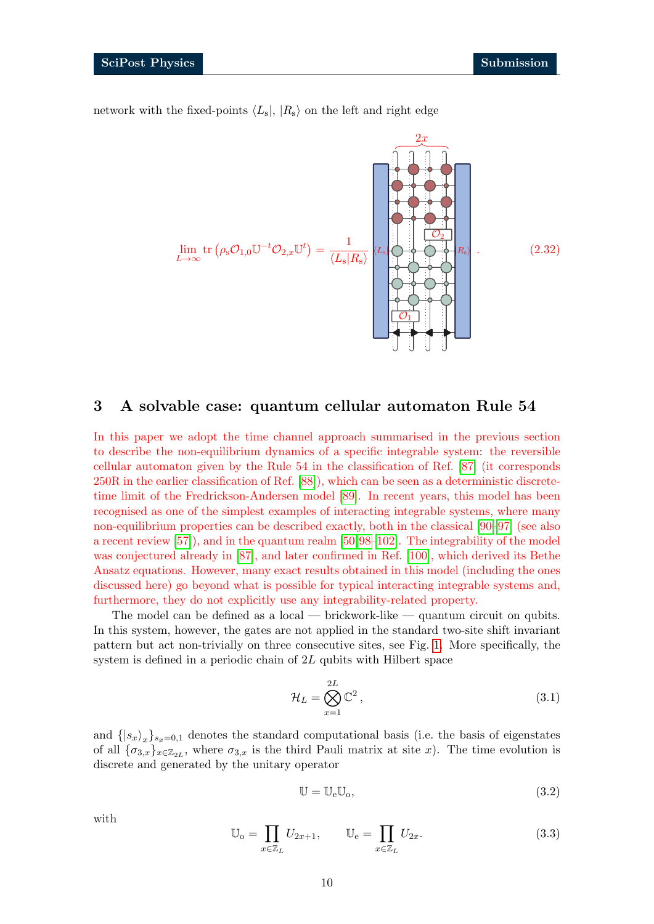network with the fixed-points  $\langle L_s |, |R_s \rangle$  on the left and right edge



# <span id="page-9-0"></span>3 A solvable case: quantum cellular automaton Rule 54

In this paper we adopt the time channel approach summarised in the previous section to describe the non-equilibrium dynamics of a specific integrable system: the reversible cellular automaton given by the Rule 54 in the classification of Ref. [\[87\]](#page-42-3) (it corresponds 250R in the earlier classification of Ref. [\[88\]](#page-42-4)), which can be seen as a deterministic discretetime limit of the Fredrickson-Andersen model [\[89\]](#page-42-5). In recent years, this model has been recognised as one of the simplest examples of interacting integrable systems, where many non-equilibrium properties can be described exactly, both in the classical [\[90–](#page-42-6)[97\]](#page-42-7) (see also a recent review [\[57\]](#page-40-1)), and in the quantum realm [\[50,](#page-39-3)[98–](#page-42-8)[102\]](#page-43-0). The integrability of the model was conjectured already in [\[87\]](#page-42-3), and later confirmed in Ref. [\[100\]](#page-43-1), which derived its Bethe Ansatz equations. However, many exact results obtained in this model (including the ones discussed here) go beyond what is possible for typical interacting integrable systems and, furthermore, they do not explicitly use any integrability-related property.

The model can be defined as a local — brickwork-like — quantum circuit on qubits. In this system, however, the gates are not applied in the standard two-site shift invariant pattern but act non-trivially on three consecutive sites, see Fig. [1.](#page-10-1) More specifically, the system is defined in a periodic chain of 2L qubits with Hilbert space

$$
\mathcal{H}_L = \bigotimes_{x=1}^{2L} \mathbb{C}^2, \tag{3.1}
$$

and  $\{|s_x\rangle_x\}_{s_x=0,1}$  denotes the standard computational basis (i.e. the basis of eigenstates of all  $\{\sigma_{3,x}\}_{x\in\mathbb{Z}_{2L}}$ , where  $\sigma_{3,x}$  is the third Pauli matrix at site x). The time evolution is discrete and generated by the unitary operator

$$
\mathbb{U} = \mathbb{U}_{e} \mathbb{U}_{o},\tag{3.2}
$$

with

<span id="page-9-1"></span>
$$
\mathbb{U}_{o} = \prod_{x \in \mathbb{Z}_{L}} U_{2x+1}, \qquad \mathbb{U}_{e} = \prod_{x \in \mathbb{Z}_{L}} U_{2x}.
$$
 (3.3)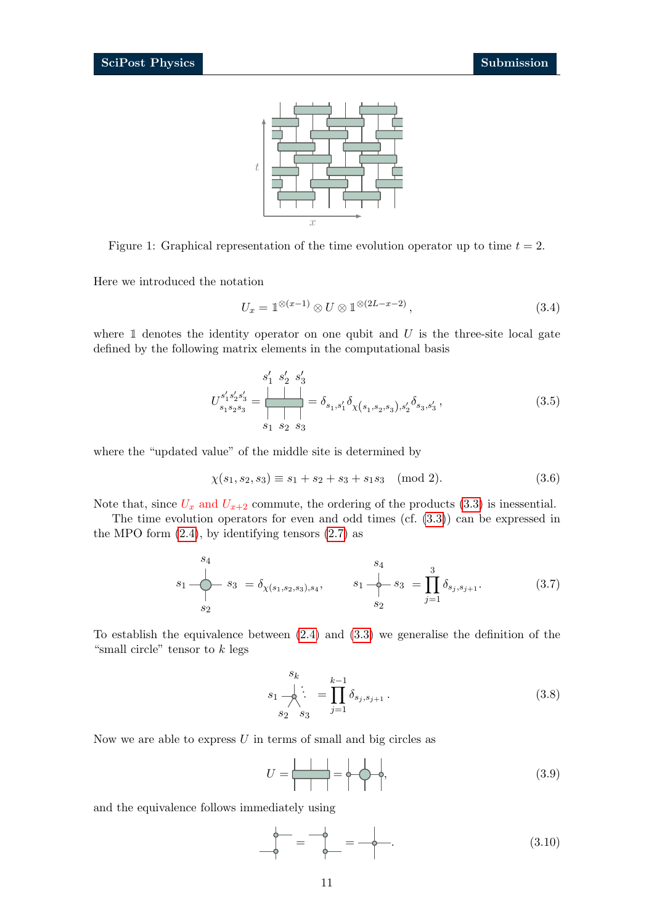

<span id="page-10-1"></span>Figure 1: Graphical representation of the time evolution operator up to time  $t = 2$ .

Here we introduced the notation

$$
U_x = \mathbb{1}^{\otimes (x-1)} \otimes U \otimes \mathbb{1}^{\otimes (2L-x-2)},\tag{3.4}
$$

where  $\mathbbm{1}$  denotes the identity operator on one qubit and U is the three-site local gate defined by the following matrix elements in the computational basis

$$
U_{s_1s_2s_3}^{s_1's_2's_3'} = \frac{\begin{array}{c|c} \\ \hline \\ \end{array}}{\begin{array}{c|c} \\ \hline \\ \end{array}} = \delta_{s_1,s_1'} \delta_{\chi(s_1,s_2,s_3),s_2'} \delta_{s_3,s_3'} , \qquad (3.5)
$$

where the "updated value" of the middle site is determined by

$$
\chi(s_1, s_2, s_3) \equiv s_1 + s_2 + s_3 + s_1 s_3 \pmod{2}.
$$
 (3.6)

Note that, since  $U_x$  and  $U_{x+2}$  commute, the ordering of the products [\(3.3\)](#page-9-1) is inessential.

The time evolution operators for even and odd times (cf. [\(3.3\)](#page-9-1)) can be expressed in the MPO form  $(2.4)$ , by identifying tensors  $(2.7)$  as

<span id="page-10-0"></span>
$$
s_{1} \longrightarrow s_{3} = \delta_{\chi(s_{1}, s_{2}, s_{3}), s_{4}}, \qquad s_{1} \longrightarrow s_{3} = \prod_{j=1}^{3} \delta_{s_{j}, s_{j+1}}.
$$
 (3.7)

To establish the equivalence between [\(2.4\)](#page-3-2) and [\(3.3\)](#page-9-1) we generalise the definition of the "small circle" tensor to  $k$  legs

$$
s_k \n\quad \frac{s_k}{s_1 \cdot \sum_{j=1}^{k-1} \delta_{s_j, s_{j+1}} \cdot \qquad (3.8)
$$

Now we are able to express  $U$  in terms of small and big circles as

$$
U = \frac{|A|}{|A|} = \phi \cdot \phi,
$$
\n(3.9)

and the equivalence follows immediately using

s4

<span id="page-10-2"></span>
$$
\uparrow = \uparrow = \uparrow = \uparrow.
$$
\n(3.10)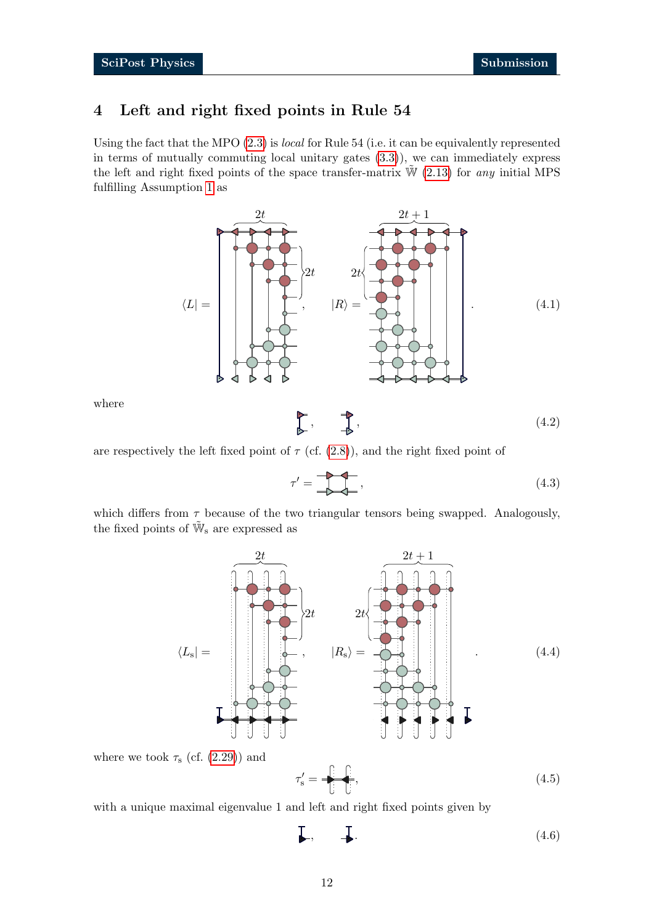# <span id="page-11-0"></span>4 Left and right fixed points in Rule 54

Using the fact that the MPO [\(2.3\)](#page-3-0) is local for Rule 54 (i.e. it can be equivalently represented in terms of mutually commuting local unitary gates [\(3.3\)](#page-9-1)), we can immediately express the left and right fixed points of the space transfer-matrix  $\tilde{W}$  [\(2.13\)](#page-4-1) for any initial MPS fulfilling Assumption [1](#page-4-2) as

<span id="page-11-1"></span>

where

<span id="page-11-2"></span>
$$
\begin{array}{ccc}\n\bullet & & \bullet & \\
\bullet & & & \bullet \\
\bullet & & & & \end{array}
$$
\n
$$
\tag{4.2}
$$

are respectively the left fixed point of  $\tau$  (cf. [\(2.8\)](#page-4-3)), and the right fixed point of

$$
\tau' = \begin{array}{c}\n\bullet \\
\bullet \\
\bullet\n\end{array}
$$
\n
$$
\tag{4.3}
$$

which differs from  $\tau$  because of the two triangular tensors being swapped. Analogously, the fixed points of  $\tilde{\mathbb{W}}_s$  are expressed as



where we took  $\tau_s$  (cf. [\(2.29\)](#page-8-1)) and

$$
\tau'_{\rm s} = -\frac{\left| \cdot \cdot \cdot \right|}{\left| \cdot \right|},\tag{4.5}
$$

with a unique maximal eigenvalue 1 and left and right fixed points given by

$$
\Box, \qquad \Box \tag{4.6}
$$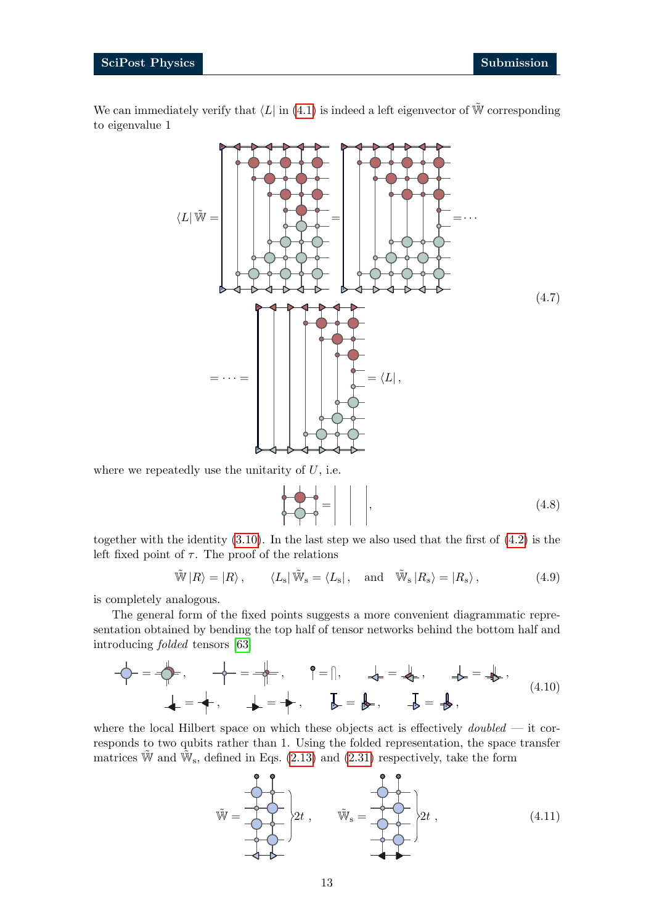We can immediately verify that  $\langle L|$  in [\(4.1\)](#page-11-1) is indeed a left eigenvector of  $\tilde{W}$  corresponding to eigenvalue 1



where we repeatedly use the unitarity of  $U$ , i.e.

= , (4.8)

together with the identity [\(3.10\)](#page-10-2). In the last step we also used that the first of [\(4.2\)](#page-11-2) is the left fixed point of  $\tau$ . The proof of the relations

$$
\tilde{\mathbb{W}}|R\rangle = |R\rangle, \qquad \langle L_s|\tilde{\mathbb{W}}_s = \langle L_s|, \text{ and } \tilde{\mathbb{W}}_s|R_s\rangle = |R_s\rangle, \qquad (4.9)
$$

is completely analogous.

The general form of the fixed points suggests a more convenient diagrammatic representation obtained by bending the top half of tensor networks behind the bottom half and introducing folded tensors [\[63\]](#page-40-7)

<span id="page-12-1"></span>
$$
-\overleftarrow{\varphi} = -\overleftarrow{\varphi}, \qquad -\overleftarrow{\varphi} = -\overleftarrow{\varphi}, \qquad \varphi = |, \qquad \overleftarrow{\varphi} = \overleftarrow{\varphi}, \qquad \overrightarrow{\varphi} = \overrightarrow{\varphi},
$$
\n
$$
= -\overleftarrow{\varphi}, \qquad \overrightarrow{\varphi} = \overleftarrow{\varphi}, \qquad \overrightarrow{\varphi} = \overrightarrow{\varphi}, \qquad \overrightarrow{\varphi} = \overrightarrow{\varphi},
$$
\n(4.10)

where the local Hilbert space on which these objects act is effectively  $\omega$  doubled — it corresponds to two qubits rather than 1. Using the folded representation, the space transfer matrices  $\tilde{W}$  and  $\tilde{W}_{s}$ , defined in Eqs. [\(2.13\)](#page-4-1) and [\(2.31\)](#page-8-0) respectively, take the form

<span id="page-12-0"></span>
$$
\tilde{\mathbf{W}} = \begin{bmatrix} \mathbf{0} & \mathbf{0} & \mathbf{0} \\ \mathbf{0} & \mathbf{0} & \mathbf{0} \\ \mathbf{0} & \mathbf{0} & \mathbf{0} \end{bmatrix} 2t , \qquad \tilde{\mathbf{W}}_{\rm s} = \begin{bmatrix} \mathbf{0} & \mathbf{0} \\ \mathbf{0} & \mathbf{0} \\ \mathbf{0} & \mathbf{0} \end{bmatrix} 2t , \qquad (4.11)
$$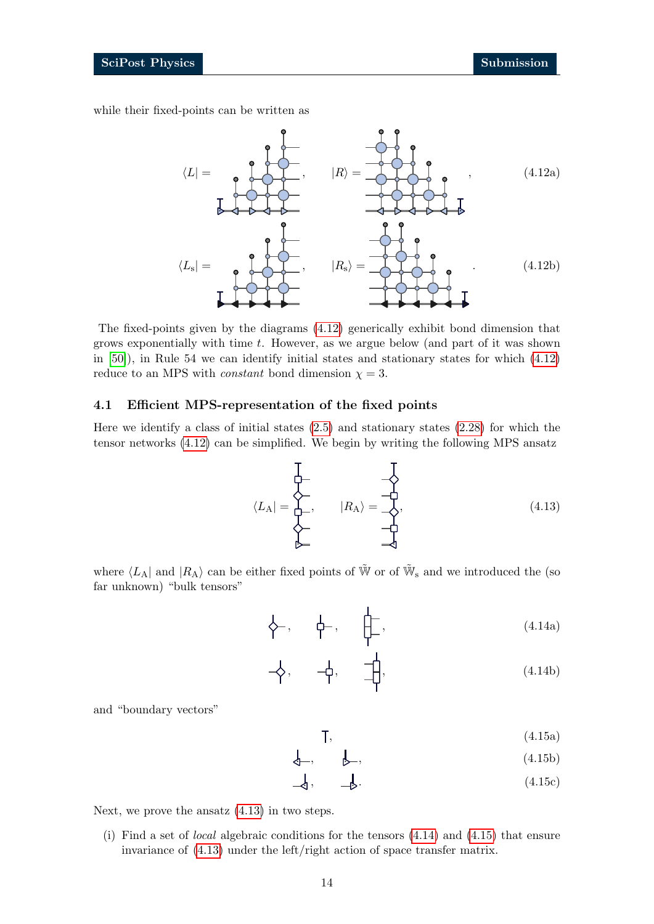while their fixed-points can be written as

<span id="page-13-8"></span>

The fixed-points given by the diagrams [\(4.12\)](#page-13-1) generically exhibit bond dimension that grows exponentially with time  $t$ . However, as we argue below (and part of it was shown in [\[50\]](#page-39-3)), in Rule 54 we can identify initial states and stationary states for which [\(4.12\)](#page-13-1) reduce to an MPS with *constant* bond dimension  $\chi = 3$ .

### <span id="page-13-0"></span>4.1 Efficient MPS-representation of the fixed points

Here we identify a class of initial states  $(2.5)$  and stationary states  $(2.28)$  for which the tensor networks [\(4.12\)](#page-13-1) can be simplified. We begin by writing the following MPS ansatz

<span id="page-13-2"></span><span id="page-13-1"></span>
$$
\langle L_{\mathbf{A}}| = \begin{matrix} \downarrow & \downarrow & \downarrow \\ \downarrow & \downarrow & \downarrow \\ \downarrow & \downarrow & \downarrow \\ \downarrow & \downarrow & \downarrow \\ \downarrow & \downarrow & \downarrow \end{matrix} \tag{4.13}
$$

where  $\langle L_A |$  and  $|R_A\rangle$  can be either fixed points of  $\tilde{W}$  or of  $\tilde{W}_s$  and we introduced the (so far unknown) "bulk tensors"

<span id="page-13-3"></span>
$$
\left\{\!\!\!\begin{array}{ccc}\n\cdot & & \cdot \\
\hline\n\cdot & & \cdot \\
\hline\n\cdot & & \cdot\n\end{array}\right\}.
$$
\n(4.14a)

<span id="page-13-4"></span>
$$
-\left\{\!\!\left\{\!\!\begin{array}{cc}\n & -\frac{1}{4} \\
 & -\frac{1}{4}\n\end{array}\right\}\n\right\}
$$
\n
$$
(4.14b)
$$

and "boundary vectors"

<span id="page-13-7"></span><span id="page-13-6"></span><span id="page-13-5"></span>
$$
\mathsf{T},\tag{4.15a}
$$

$$
\downarrow \qquad \qquad \downarrow \qquad \qquad (4.15b)
$$

$$
\downarrow, \qquad \downarrow. \tag{4.15c}
$$

Next, we prove the ansatz [\(4.13\)](#page-13-2) in two steps.

(i) Find a set of local algebraic conditions for the tensors [\(4.14\)](#page-13-3) and [\(4.15\)](#page-13-4) that ensure invariance of [\(4.13\)](#page-13-2) under the left/right action of space transfer matrix.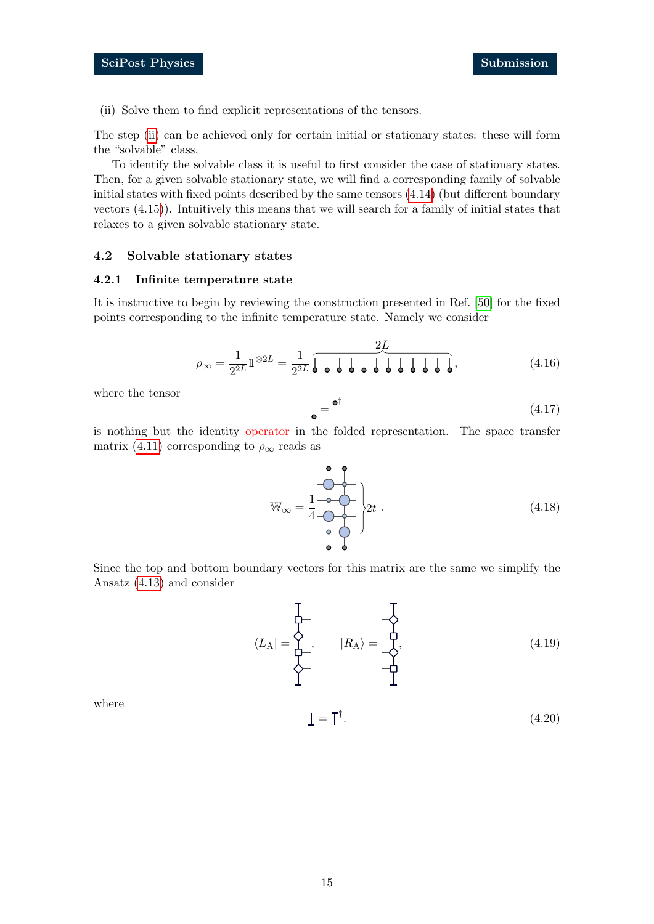<span id="page-14-2"></span>(ii) Solve them to find explicit representations of the tensors.

The step [\(ii\)](#page-14-2) can be achieved only for certain initial or stationary states: these will form the "solvable" class.

To identify the solvable class it is useful to first consider the case of stationary states. Then, for a given solvable stationary state, we will find a corresponding family of solvable initial states with fixed points described by the same tensors [\(4.14\)](#page-13-3) (but different boundary vectors [\(4.15\)](#page-13-4)). Intuitively this means that we will search for a family of initial states that relaxes to a given solvable stationary state.

#### <span id="page-14-0"></span>4.2 Solvable stationary states

#### <span id="page-14-1"></span>4.2.1 Infinite temperature state

It is instructive to begin by reviewing the construction presented in Ref. [\[50\]](#page-39-3) for the fixed points corresponding to the infinite temperature state. Namely we consider

$$
\rho_{\infty} = \frac{1}{2^{2L}} 1^{\otimes 2L} = \frac{1}{2^{2L}} \overline{\int \int \int \int \int \int \int \int \int \int \int \int \int \int \int \int \cdot} \cdot}.
$$
\n(4.16)

where the tensor

$$
\mathbf{Q} = \mathbf{P}^{\dagger} \tag{4.17}
$$

is nothing but the identity operator in the folded representation. The space transfer matrix [\(4.11\)](#page-12-0) corresponding to  $\rho_{\infty}$  reads as

$$
\mathbb{W}_{\infty} = \frac{1}{4} \underbrace{\underbrace{\begin{array}{c} \bullet & \bullet \\ \bullet & \bullet \\ \bullet & \bullet \end{array}}_{\bullet} }_{\bullet} \bigg|_{2t} . \tag{4.18}
$$

Since the top and bottom boundary vectors for this matrix are the same we simplify the Ansatz [\(4.13\)](#page-13-2) and consider

<span id="page-14-3"></span>
$$
\langle L_{\mathbf{A}}| = \begin{matrix} \downarrow & & \downarrow \\ \downarrow & & \downarrow \\ \downarrow & & \downarrow \\ \downarrow & & \downarrow \end{matrix} \tag{4.19}
$$

where

$$
\mathbf{I} = \mathbf{T}^{\dagger}.\tag{4.20}
$$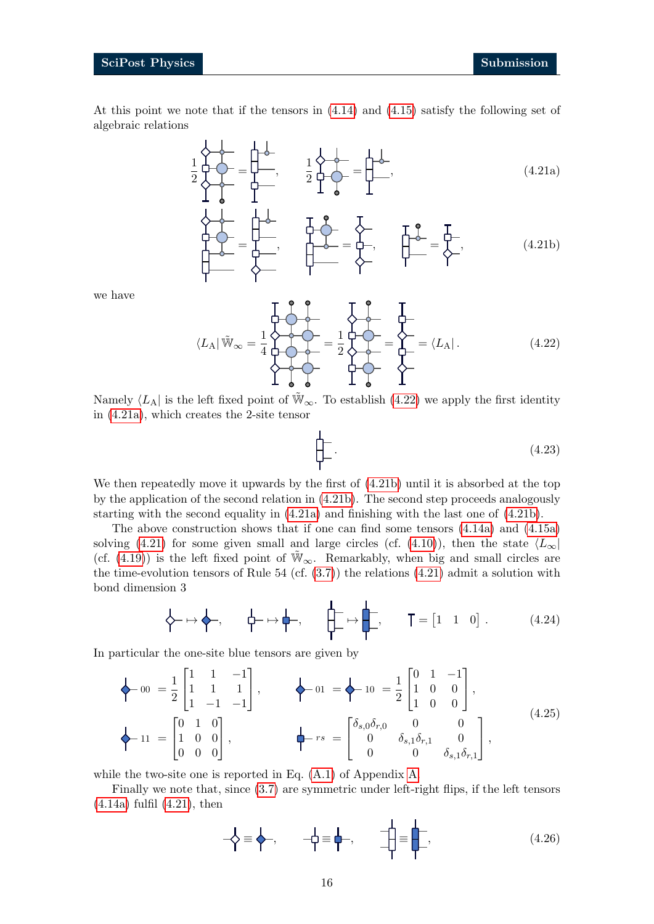At this point we note that if the tensors in [\(4.14\)](#page-13-3) and [\(4.15\)](#page-13-4) satisfy the following set of algebraic relations

<span id="page-15-3"></span>

<span id="page-15-1"></span> $\overrightarrow{A}$  =  $\overrightarrow{A}$  =  $\overrightarrow{A}$  =  $\overrightarrow{A}$  =  $\overrightarrow{A}$  =  $\overrightarrow{A}$  (4.21b)

we have

<span id="page-15-0"></span>
$$
\langle L_{\mathcal{A}} | \tilde{\mathbb{W}}_{\infty} = \frac{1}{4} \begin{matrix} 1 & 1 & 1 \\ 1 & 1 & 1 \\ 1 & 1 & 1 \\ 1 & 1 & 1 \end{matrix} = \frac{1}{2} \begin{matrix} 1 & 1 & 1 \\ 1 & 1 & 1 \\ 1 & 1 & 1 \end{matrix} = \begin{matrix} 1 & 1 & 1 \\ 1 & 1 & 1 \\ 1 & 1 & 1 \end{matrix} \tag{4.22}
$$

Namely  $\langle L_A |$  is the left fixed point of  $\tilde{W}_{\infty}$ . To establish [\(4.22\)](#page-15-0) we apply the first identity in [\(4.21a\)](#page-15-1), which creates the 2-site tensor

<span id="page-15-2"></span>
$$
\downarrow \qquad (4.23)
$$

We then repeatedly move it upwards by the first of [\(4.21b\)](#page-15-2) until it is absorbed at the top by the application of the second relation in [\(4.21b\)](#page-15-2). The second step proceeds analogously starting with the second equality in [\(4.21a\)](#page-15-1) and finishing with the last one of [\(4.21b\)](#page-15-2).

The above construction shows that if one can find some tensors [\(4.14a\)](#page-13-5) and [\(4.15a\)](#page-13-6) solving [\(4.21\)](#page-15-3) for some given small and large circles (cf. [\(4.10\)](#page-12-1)), then the state  $\langle L_{\infty} |$ (cf. [\(4.19\)](#page-14-3)) is the left fixed point of  $\tilde{W}_{\infty}$ . Remarkably, when big and small circles are the time-evolution tensors of Rule  $54$  (cf.  $(3.7)$ ) the relations  $(4.21)$  admit a solution with bond dimension 3

$$
\left\{\rightarrow \mapsto \leftarrow, \qquad \leftarrow \mapsto \leftarrow, \qquad \leftarrow \rightarrow \leftarrow, \qquad \leftarrow \rightarrow \leftarrow, \qquad \mathsf{T} = \begin{bmatrix} 1 & 1 & 0 \end{bmatrix}. \tag{4.24}
$$

In particular the one-site blue tensors are given by

<span id="page-15-5"></span>
$$
\begin{aligned}\n\leftarrow 00 &= \frac{1}{2} \begin{bmatrix} 1 & 1 & -1 \\ 1 & 1 & 1 \\ 1 & -1 & -1 \end{bmatrix}, \quad \leftarrow 01 = \leftarrow 10 = \frac{1}{2} \begin{bmatrix} 0 & 1 & -1 \\ 1 & 0 & 0 \\ 1 & 0 & 0 \end{bmatrix}, \\
\leftarrow 11 &= \begin{bmatrix} 0 & 1 & 0 \\ 1 & 0 & 0 \\ 0 & 0 & 0 \end{bmatrix}, \quad \leftarrow rs = \begin{bmatrix} \delta_{s,0}\delta_{r,0} & 0 & 0 \\ 0 & \delta_{s,1}\delta_{r,1} & 0 \\ 0 & 0 & \delta_{s,1}\delta_{r,1} \end{bmatrix},\n\end{aligned} \tag{4.25}
$$

while the two-site one is reported in Eq. [\(A.1\)](#page-32-1) of Appendix [A.](#page-32-0)

Finally we note that, since [\(3.7\)](#page-10-0) are symmetric under left-right flips, if the left tensors [\(4.14a\)](#page-13-5) fulfil [\(4.21\)](#page-15-3), then

<span id="page-15-4"></span>
$$
-\overrightarrow{\mathbf{r}} = \overrightarrow{\mathbf{r}}, \qquad -\overrightarrow{\mathbf{r}} = \overrightarrow{\mathbf{r}}, \qquad -\overrightarrow{\mathbf{r}} = \overrightarrow{\mathbf{r}}, \qquad (4.26)
$$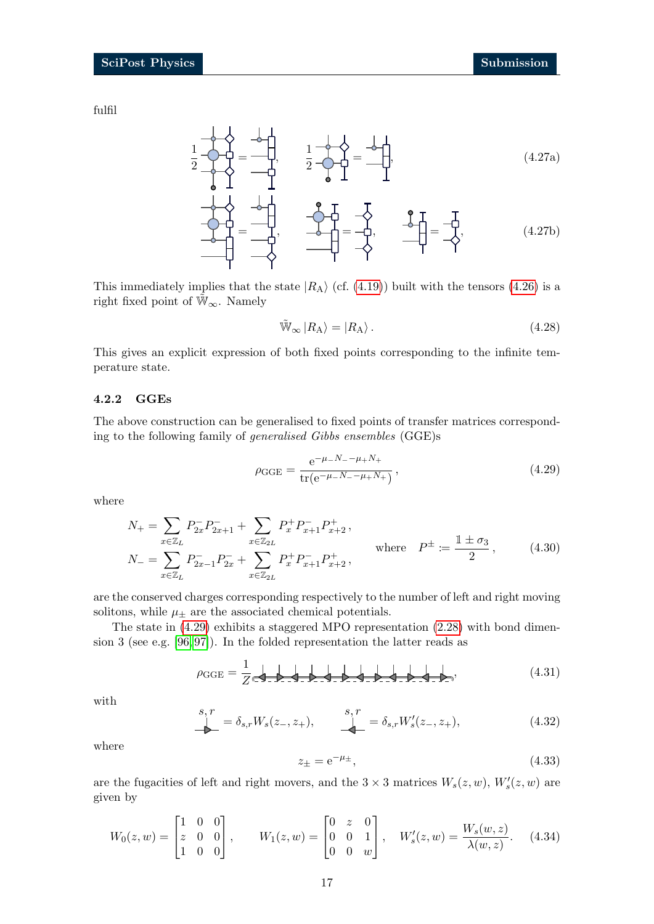fulfil

1 2  $=$   $-\mathcal{L},$ 1 2  $(4.27a)$  $\begin{array}{c}\n\bullet \mathbf{I} \\
\hline\n-\mathbf{I} \\
-\mathbf{I}\n\end{array} = \begin{array}{c}\n\mathbf{I} \\
-\mathbf{O} \\
\hline\n\end{array}$ (4.27b)

This immediately implies that the state  $|R_A\rangle$  (cf. [\(4.19\)](#page-14-3)) built with the tensors [\(4.26\)](#page-15-4) is a right fixed point of  $\mathbb{W}_{\infty}$ . Namely

<span id="page-16-5"></span><span id="page-16-4"></span>
$$
\tilde{\mathbb{W}}_{\infty} | R_{\mathcal{A}} \rangle = | R_{\mathcal{A}} \rangle. \tag{4.28}
$$

This gives an explicit expression of both fixed points corresponding to the infinite temperature state.

#### <span id="page-16-0"></span>4.2.2 GGEs

The above construction can be generalised to fixed points of transfer matrices corresponding to the following family of generalised Gibbs ensembles (GGE)s

<span id="page-16-1"></span>
$$
\rho_{\text{GGE}} = \frac{e^{-\mu - N_- - \mu + N_+}}{\text{tr}(e^{-\mu - N_- - \mu + N_+})},\tag{4.29}
$$

where

<span id="page-16-6"></span>
$$
N_{+} = \sum_{x \in \mathbb{Z}_{L}} P_{2x}^{-} P_{2x+1}^{-} + \sum_{x \in \mathbb{Z}_{2L}} P_{x}^{+} P_{x+1}^{-} P_{x+2}^{+},
$$
  
\n
$$
N_{-} = \sum_{x \in \mathbb{Z}_{L}} P_{2x-1}^{-} P_{2x}^{-} + \sum_{x \in \mathbb{Z}_{2L}} P_{x}^{+} P_{x+1}^{-} P_{x+2}^{+},
$$
 where  $P^{\pm} := \frac{\mathbb{1} \pm \sigma_{3}}{2},$  (4.30)

are the conserved charges corresponding respectively to the number of left and right moving solitons, while  $\mu_{\pm}$  are the associated chemical potentials.

The state in [\(4.29\)](#page-16-1) exhibits a staggered MPO representation [\(2.28\)](#page-8-2) with bond dimension 3 (see e.g. [\[96,](#page-42-9) [97\]](#page-42-7)). In the folded representation the latter reads as

<span id="page-16-2"></span>
$$
\rho_{\text{GGE}} = \frac{1}{Z} \left( \frac{1}{Z} \right) \left( \frac{1}{Z} \right) \left( \frac{1}{Z} \right) \left( \frac{1}{Z} \right) \left( \frac{1}{Z} \right) \left( \frac{1}{Z} \right) \left( \frac{1}{Z} \right) \left( \frac{1}{Z} \right) \left( \frac{1}{Z} \right) \left( \frac{1}{Z} \right) \left( \frac{1}{Z} \right) \left( \frac{1}{Z} \right) \left( \frac{1}{Z} \right) \left( \frac{1}{Z} \right) \left( \frac{1}{Z} \right) \left( \frac{1}{Z} \right) \left( \frac{1}{Z} \right) \left( \frac{1}{Z} \right) \left( \frac{1}{Z} \right) \left( \frac{1}{Z} \right) \left( \frac{1}{Z} \right) \left( \frac{1}{Z} \right) \left( \frac{1}{Z} \right) \left( \frac{1}{Z} \right) \left( \frac{1}{Z} \right) \left( \frac{1}{Z} \right) \left( \frac{1}{Z} \right) \left( \frac{1}{Z} \right) \left( \frac{1}{Z} \right) \left( \frac{1}{Z} \right) \left( \frac{1}{Z} \right) \left( \frac{1}{Z} \right) \left( \frac{1}{Z} \right) \left( \frac{1}{Z} \right) \left( \frac{1}{Z} \right) \left( \frac{1}{Z} \right) \left( \frac{1}{Z} \right) \left( \frac{1}{Z} \right) \left( \frac{1}{Z} \right) \left( \frac{1}{Z} \right) \left( \frac{1}{Z} \right) \left( \frac{1}{Z} \right) \left( \frac{1}{Z} \right) \left( \frac{1}{Z} \right) \left( \frac{1}{Z} \right) \left( \frac{1}{Z} \right) \left( \frac{1}{Z} \right) \left( \frac{1}{Z} \right) \left( \frac{1}{Z} \right) \left( \frac{1}{Z} \right) \left( \frac{1}{Z} \right) \left( \frac{1}{Z} \right) \left( \frac{1}{Z} \right) \left( \frac{1}{Z} \right) \left( \frac{1}{Z} \right) \left( \frac{1}{Z} \right) \left( \frac{1}{Z} \right) \left
$$

with

<span id="page-16-3"></span>
$$
s, r = \delta_{s,r} W_s(z_-, z_+), \qquad \underbrace{\int_{\mathbb{R}^n}^{s,r}}_{\mathbb{R}^n} = \delta_{s,r} W'_s(z_-, z_+), \tag{4.32}
$$

where

$$
z_{\pm} = e^{-\mu_{\pm}},\tag{4.33}
$$

are the fugacities of left and right movers, and the  $3 \times 3$  matrices  $W_s(z, w)$ ,  $W_s'(z, w)$  are given by

$$
W_0(z, w) = \begin{bmatrix} 1 & 0 & 0 \\ z & 0 & 0 \\ 1 & 0 & 0 \end{bmatrix}, \qquad W_1(z, w) = \begin{bmatrix} 0 & z & 0 \\ 0 & 0 & 1 \\ 0 & 0 & w \end{bmatrix}, \quad W'_s(z, w) = \frac{W_s(w, z)}{\lambda(w, z)}.
$$
 (4.34)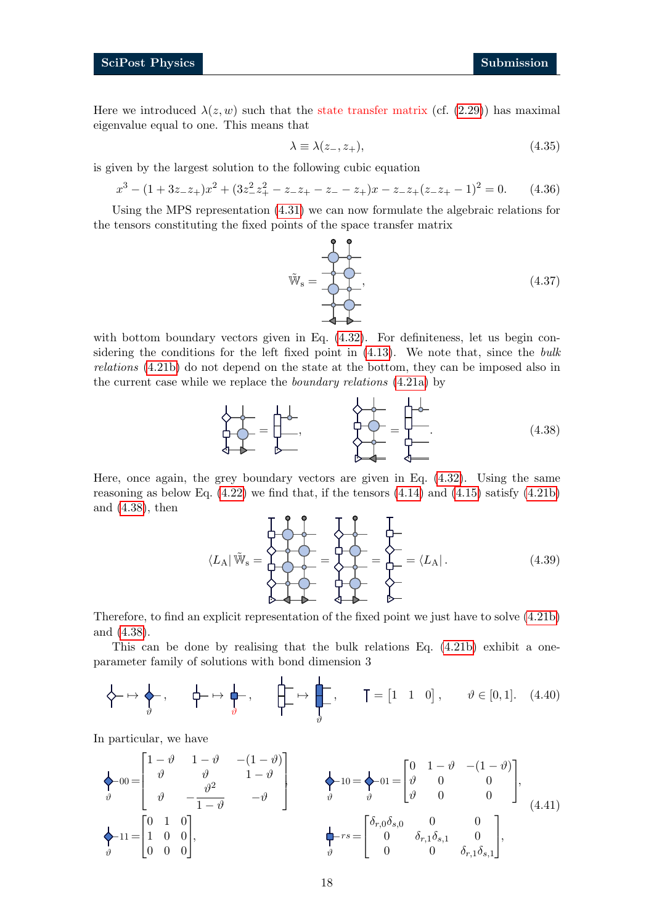Here we introduced  $\lambda(z, w)$  such that the state transfer matrix (cf. [\(2.29\)](#page-8-1)) has maximal eigenvalue equal to one. This means that

$$
\lambda \equiv \lambda(z_-, z_+),\tag{4.35}
$$

is given by the largest solution to the following cubic equation

$$
x^{3} - (1+3z_{-}z_{+})x^{2} + (3z_{-}^{2}z_{+}^{2} - z_{-}z_{+} - z_{-} - z_{+})x - z_{-}z_{+}(z_{-}z_{+} - 1)^{2} = 0.
$$
 (4.36)

Using the MPS representation [\(4.31\)](#page-16-2) we can now formulate the algebraic relations for the tensors constituting the fixed points of the space transfer matrix



with bottom boundary vectors given in Eq.  $(4.32)$ . For definiteness, let us begin considering the conditions for the left fixed point in [\(4.13\)](#page-13-2). We note that, since the bulk relations [\(4.21b\)](#page-15-2) do not depend on the state at the bottom, they can be imposed also in the current case while we replace the boundary relations [\(4.21a\)](#page-15-1) by

<span id="page-17-0"></span>
$$
\frac{1}{2} \frac{1}{2} \frac{1}{2} = \frac{1}{2} \frac{1}{2} \frac{1}{2} = \frac{1}{2} \frac{1}{2} \frac{1}{2} = \frac{1}{2} \frac{1}{2} = \frac{1}{2} \frac{1}{2} = \frac{1}{2} \frac{1}{2} = \frac{1}{2} \tag{4.38}
$$

Here, once again, the grey boundary vectors are given in Eq. [\(4.32\)](#page-16-3). Using the same reasoning as below Eq.  $(4.22)$  we find that, if the tensors  $(4.14)$  and  $(4.15)$  satisfy  $(4.21b)$ and [\(4.38\)](#page-17-0), then

$$
\langle L_{\mathcal{A}} | \tilde{\mathbf{W}}_{\mathbf{s}} = \begin{matrix} \mathbf{I} & \mathbf{I} & \mathbf{I} \\ \mathbf{I} & \mathbf{I} & \mathbf{I} \\ \mathbf{I} & \mathbf{I} & \mathbf{I} \end{matrix} \rangle = \begin{matrix} \mathbf{I} & \mathbf{I} \\ \mathbf{I} & \mathbf{I} \\ \mathbf{I} & \mathbf{I} \end{matrix} = \langle L_{\mathcal{A}} |.
$$
\n(4.39)

Therefore, to find an explicit representation of the fixed point we just have to solve [\(4.21b\)](#page-15-2) and [\(4.38\)](#page-17-0).

This can be done by realising that the bulk relations Eq. [\(4.21b\)](#page-15-2) exhibit a oneparameter family of solutions with bond dimension 3

$$
\left\{\rightarrow \mapsto \leftarrow \right\}, \qquad \left\{\rightarrow \mapsto \leftarrow \right\}, \qquad \left\{\rightarrow \leftarrow \right\}, \qquad \left\{\rightarrow \leftarrow \right\}, \qquad \left\{\rightarrow \left[\leftarrow \right] \right\}, \qquad \emptyset \in [0,1]. \tag{4.40}
$$

In particular, we have

<span id="page-17-1"></span>
$$
\begin{aligned}\n\leftarrow 00 &= \begin{bmatrix}\n1 - \vartheta & 1 - \vartheta & -(1 - \vartheta) \\
\vartheta & \vartheta & 1 - \vartheta \\
\vartheta & -\frac{\vartheta^2}{1 - \vartheta} & -\vartheta\n\end{bmatrix} \\
\leftarrow 11 &= \begin{bmatrix}\n0 & 1 & 0 \\
\vartheta & 0 & 0 \\
1 & 0 & 0 \\
0 & 0 & 0\n\end{bmatrix},\n\right. \\
\leftarrow 11 &= \begin{bmatrix}\n0 & 1 & 0 \\
1 & 0 & 0 \\
0 & 0 & 0\n\end{bmatrix},\n\right. \\
\leftarrow 12 &= \begin{bmatrix}\n0 & 1 & 0 \\
\vartheta & 0 & 0 \\
0 & 0 & 0\n\end{bmatrix},\n\right. \\
\leftarrow 13 &= \begin{bmatrix}\n0 & 1 & 0 \\
1 & 0 & 0 \\
0 & 0 & 0\n\end{bmatrix},\n\right. \\
\leftarrow 14 &= \begin{bmatrix}\n0 & 1 & 0 \\
1 & 0 & 0 \\
0 & 0 & 0\n\end{bmatrix},\n\right. \\
\leftarrow 14 &= \begin{bmatrix}\n0 & 1 & 0 \\
1 & 0 & 0 \\
0 & 0 & 0\n\end{bmatrix},\n\right. \\
\leftarrow 15 &= \begin{bmatrix}\n\delta_{r,0}\delta_{s,0} & 0 & 0 \\
0 & \delta_{r,1}\delta_{s,1} & 0 \\
0 & 0 & \delta_{r,1}\delta_{s,1}\n\end{bmatrix},\n\end{aligned}
$$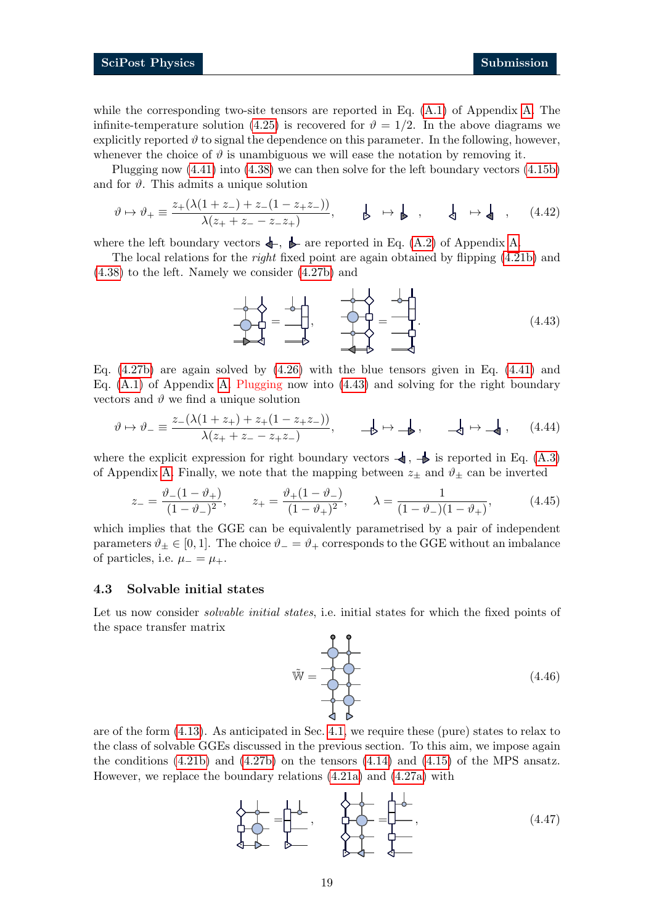while the corresponding two-site tensors are reported in Eq. [\(A.1\)](#page-32-1) of Appendix [A.](#page-32-0) The infinite-temperature solution [\(4.25\)](#page-15-5) is recovered for  $\vartheta = 1/2$ . In the above diagrams we explicitly reported  $\vartheta$  to signal the dependence on this parameter. In the following, however, whenever the choice of  $\vartheta$  is unambiguous we will ease the notation by removing it.

Plugging now [\(4.41\)](#page-17-1) into [\(4.38\)](#page-17-0) we can then solve for the left boundary vectors [\(4.15b\)](#page-13-7) and for  $\vartheta$ . This admits a unique solution

<span id="page-18-4"></span>
$$
\vartheta \mapsto \vartheta_+ \equiv \frac{z_+(\lambda(1+z_-) + z_-(1-z_+z_-))}{\lambda(z_+ + z_- - z_-z_+)}, \qquad \qquad \qquad \Longrightarrow \qquad \qquad \Longleftrightarrow \qquad \qquad \Longleftrightarrow \qquad \qquad \Longleftrightarrow \qquad (4.42)
$$

where the left boundary vectors  $\leftarrow$ ,  $\blacktriangleright$  are reported in Eq. [\(A.2\)](#page-32-2) of Appendix [A.](#page-32-0)

The local relations for the *right* fixed point are again obtained by flipping  $(4.21b)$  and [\(4.38\)](#page-17-0) to the left. Namely we consider [\(4.27b\)](#page-16-4) and

<span id="page-18-1"></span>
$$
\frac{1}{2} \frac{1}{2} \frac{1}{2} \frac{1}{2} \frac{1}{2} \frac{1}{2} \frac{1}{2} \frac{1}{2} \frac{1}{2} \frac{1}{2} \frac{1}{2} \frac{1}{2} \frac{1}{2} \frac{1}{2} \frac{1}{2} \frac{1}{2} \frac{1}{2} \frac{1}{2} \frac{1}{2} \frac{1}{2} \frac{1}{2} \frac{1}{2} \frac{1}{2} \frac{1}{2} \frac{1}{2} \frac{1}{2} \frac{1}{2} \frac{1}{2} \frac{1}{2} \frac{1}{2} \frac{1}{2} \frac{1}{2} \frac{1}{2} \frac{1}{2} \frac{1}{2} \frac{1}{2} \frac{1}{2} \frac{1}{2} \frac{1}{2} \frac{1}{2} \frac{1}{2} \frac{1}{2} \frac{1}{2} \frac{1}{2} \frac{1}{2} \frac{1}{2} \frac{1}{2} \frac{1}{2} \frac{1}{2} \frac{1}{2} \frac{1}{2} \frac{1}{2} \frac{1}{2} \frac{1}{2} \frac{1}{2} \frac{1}{2} \frac{1}{2} \frac{1}{2} \frac{1}{2} \frac{1}{2} \frac{1}{2} \frac{1}{2} \frac{1}{2} \frac{1}{2} \frac{1}{2} \frac{1}{2} \frac{1}{2} \frac{1}{2} \frac{1}{2} \frac{1}{2} \frac{1}{2} \frac{1}{2} \frac{1}{2} \frac{1}{2} \frac{1}{2} \frac{1}{2} \frac{1}{2} \frac{1}{2} \frac{1}{2} \frac{1}{2} \frac{1}{2} \frac{1}{2} \frac{1}{2} \frac{1}{2} \frac{1}{2} \frac{1}{2} \frac{1}{2} \frac{1}{2} \frac{1}{2} \frac{1}{2} \frac{1}{2} \frac{1}{2} \frac{1}{2} \frac{1}{2} \frac{1}{2} \frac{1}{2} \frac{1}{2} \frac{1}{2} \frac{1}{2} \frac{1}{2} \frac{1}{2} \frac{1}{2} \frac{1}{2} \frac{1}{2} \frac{1}{2} \frac{1}{2} \frac{1}{2} \frac{1}{2} \frac{1
$$

Eq.  $(4.27b)$  are again solved by  $(4.26)$  with the blue tensors given in Eq.  $(4.41)$  and Eq.  $(A.1)$  of Appendix [A.](#page-32-0) Plugging now into  $(4.43)$  and solving for the right boundary vectors and  $\vartheta$  we find a unique solution

<span id="page-18-5"></span>
$$
\vartheta \mapsto \vartheta_{-} \equiv \frac{z_{-}(\lambda(1+z_{+}) + z_{+}(1-z_{+}z_{-}))}{\lambda(z_{+} + z_{-} - z_{+}z_{-})}, \qquad \Longrightarrow \mapsto \Longrightarrow , \qquad \Longrightarrow \Longrightarrow , \qquad (4.44)
$$

where the explicit expression for right boundary vectors  $\blacktriangleleft$ ,  $\blacktriangleright$  is reported in Eq. [\(A.3\)](#page-33-3) of Appendix [A.](#page-32-0) Finally, we note that the mapping between  $z_{\pm}$  and  $\vartheta_{\pm}$  can be inverted

<span id="page-18-3"></span>
$$
z_{-} = \frac{\vartheta_{-}(1-\vartheta_{+})}{(1-\vartheta_{-})^{2}}, \qquad z_{+} = \frac{\vartheta_{+}(1-\vartheta_{-})}{(1-\vartheta_{+})^{2}}, \qquad \lambda = \frac{1}{(1-\vartheta_{-})(1-\vartheta_{+})}, \qquad (4.45)
$$

which implies that the GGE can be equivalently parametrised by a pair of independent parameters  $\vartheta_{\pm} \in [0, 1]$ . The choice  $\vartheta_{-} = \vartheta_{+}$  corresponds to the GGE without an imbalance of particles, i.e.  $\mu_- = \mu_+$ .

#### <span id="page-18-0"></span>4.3 Solvable initial states

Let us now consider *solvable initial states*, i.e. initial states for which the fixed points of the space transfer matrix

 $\tilde{W} = \begin{bmatrix} 1 & 0 & 0 \\ 0 & -1 & 0 \\ 0 & 0 & 0 \end{bmatrix}$  (4.46)

are of the form [\(4.13\)](#page-13-2). As anticipated in Sec. [4.1,](#page-13-0) we require these (pure) states to relax to the class of solvable GGEs discussed in the previous section. To this aim, we impose again the conditions [\(4.21b\)](#page-15-2) and [\(4.27b\)](#page-16-4) on the tensors [\(4.14\)](#page-13-3) and [\(4.15\)](#page-13-4) of the MPS ansatz. However, we replace the boundary relations [\(4.21a\)](#page-15-1) and [\(4.27a\)](#page-16-5) with

<span id="page-18-2"></span>· = · , · = · , (4.47)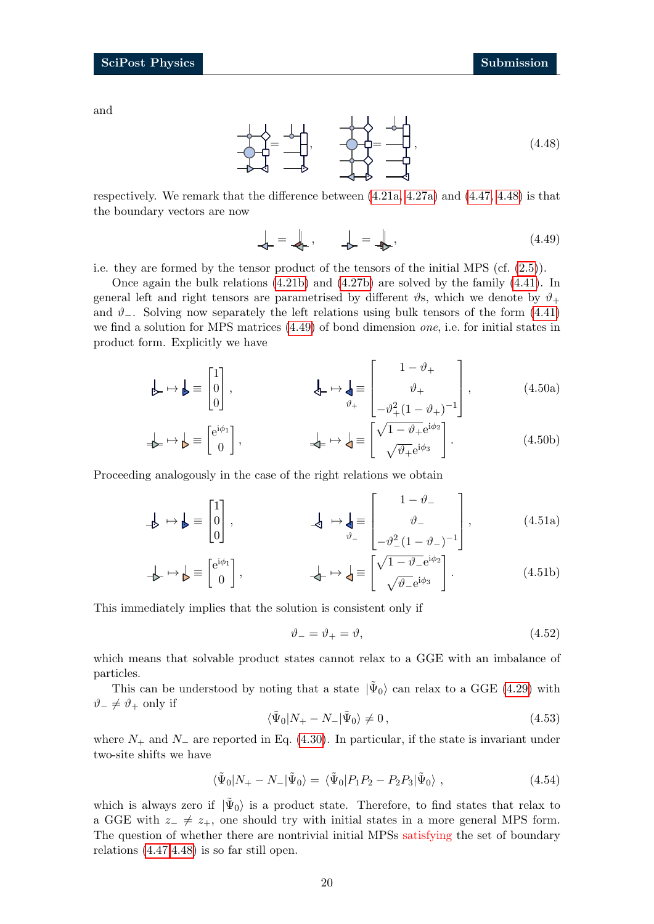and

<span id="page-19-0"></span>

respectively. We remark that the difference between [\(4.21a,](#page-15-1) [4.27a\)](#page-16-5) and [\(4.47,](#page-18-2) [4.48\)](#page-19-0) is that the boundary vectors are now

<span id="page-19-4"></span><span id="page-19-1"></span>
$$
\downarrow_{\vdash} = \downarrow_{\vdash}, \qquad \downarrow_{\triangleright} = \downarrow_{\triangleright}, \tag{4.49}
$$

i.e. they are formed by the tensor product of the tensors of the initial MPS (cf. [\(2.5\)](#page-3-3)).

Once again the bulk relations [\(4.21b\)](#page-15-2) and [\(4.27b\)](#page-16-4) are solved by the family [\(4.41\)](#page-17-1). In general left and right tensors are parametrised by different  $\vartheta$ s, which we denote by  $\vartheta_+$ and  $\vartheta_-\$ . Solving now separately the left relations using bulk tensors of the form [\(4.41\)](#page-17-1) we find a solution for MPS matrices [\(4.49\)](#page-19-1) of bond dimension one, i.e. for initial states in product form. Explicitly we have

$$
\mathbf{A} \mapsto \mathbf{B} \equiv \begin{bmatrix} 1 \\ 0 \\ 0 \end{bmatrix}, \qquad \mathbf{A} \mapsto \mathbf{A} \equiv \begin{bmatrix} 1 - \vartheta_+ \\ \vartheta_+ \\ -\vartheta_+^2 (1 - \vartheta_+)^{-1} \end{bmatrix}, \qquad (4.50a)
$$

$$
\downarrow \rightarrow \downarrow \equiv \begin{bmatrix} e^{i\phi_1} \\ 0 \end{bmatrix}, \qquad \downarrow \rightarrow \downarrow \equiv \begin{bmatrix} \sqrt{1 - \vartheta_+} e^{i\phi_2} \\ \sqrt{\vartheta_+} e^{i\phi_3} \end{bmatrix}.
$$
 (4.50b)

Proceeding analogously in the case of the right relations we obtain

$$
\mathbf{A} \mapsto \mathbf{B} \equiv \begin{bmatrix} 1 \\ 0 \\ 0 \end{bmatrix}, \qquad \mathbf{A} \mapsto \mathbf{A} \equiv \begin{bmatrix} 1 - \vartheta_{-} \\ \vartheta_{-} \\ -\vartheta_{-}^{2}(1 - \vartheta_{-})^{-1} \end{bmatrix}, \qquad (4.51a)
$$

$$
\downarrow \rightarrow \downarrow \equiv \begin{bmatrix} e^{i\phi_1} \\ 0 \end{bmatrix}, \qquad \downarrow \rightarrow \downarrow \equiv \begin{bmatrix} \sqrt{1-\vartheta_{-}}e^{i\phi_2} \\ \sqrt{\vartheta_{-}}e^{i\phi_3} \end{bmatrix}.
$$
 (4.51b)

This immediately implies that the solution is consistent only if

<span id="page-19-5"></span><span id="page-19-3"></span><span id="page-19-2"></span>
$$
\vartheta_- = \vartheta_+ = \vartheta,\tag{4.52}
$$

which means that solvable product states cannot relax to a GGE with an imbalance of particles.

This can be understood by noting that a state  $|\tilde{\Psi}_0\rangle$  can relax to a GGE [\(4.29\)](#page-16-1) with  $\vartheta_-\neq \vartheta_+$  only if

$$
\langle \tilde{\Psi}_0 | N_+ - N_- | \tilde{\Psi}_0 \rangle \neq 0, \qquad (4.53)
$$

where  $N_+$  and  $N_-$  are reported in Eq. [\(4.30\)](#page-16-6). In particular, if the state is invariant under two-site shifts we have

$$
\langle \tilde{\Psi}_0 | N_+ - N_- | \tilde{\Psi}_0 \rangle = \langle \tilde{\Psi}_0 | P_1 P_2 - P_2 P_3 | \tilde{\Psi}_0 \rangle , \qquad (4.54)
$$

which is always zero if  $|\tilde{\Psi}_0\rangle$  is a product state. Therefore, to find states that relax to a GGE with  $z_+ \neq z_+$ , one should try with initial states in a more general MPS form. The question of whether there are nontrivial initial MPSs satisfying the set of boundary relations [\(4.47,](#page-18-2)[4.48\)](#page-19-0) is so far still open.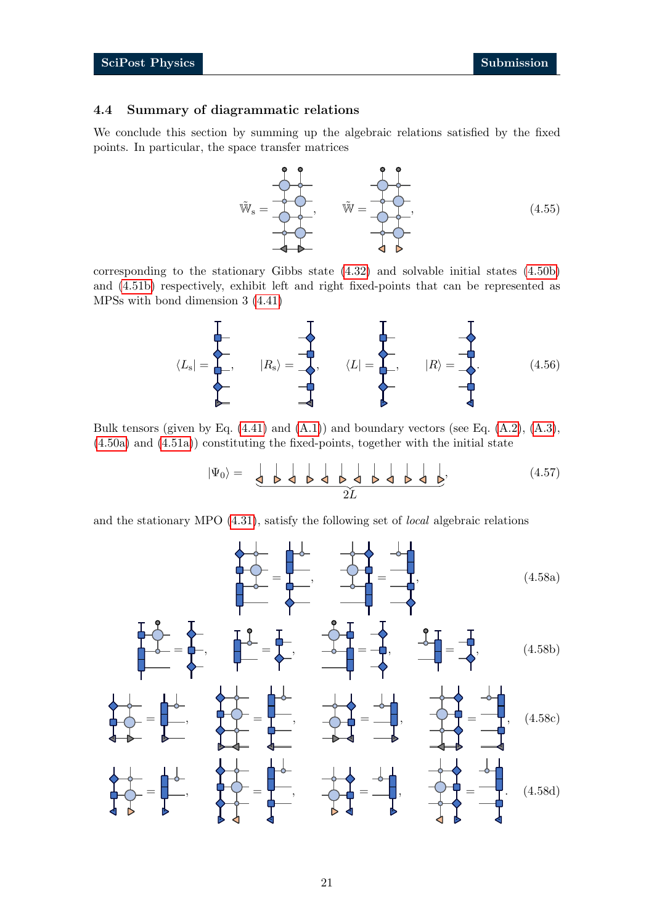#### <span id="page-20-0"></span>4.4 Summary of diagrammatic relations

We conclude this section by summing up the algebraic relations satisfied by the fixed points. In particular, the space transfer matrices



corresponding to the stationary Gibbs state [\(4.32\)](#page-16-3) and solvable initial states [\(4.50b\)](#page-19-2) and [\(4.51b\)](#page-19-3) respectively, exhibit left and right fixed-points that can be represented as MPSs with bond dimension 3 [\(4.41\)](#page-17-1)

$$
\langle L_{\rm s}| = \begin{array}{c} \begin{array}{c} \begin{array}{c} \end{array} \\ \begin{array}{c} \end{array} \\ \begin{array}{c} \end{array} \\ \begin{array}{c} \end{array} \\ \begin{array}{c} \end{array} \\ \begin{array}{c} \end{array} \\ \begin{array}{c} \end{array} \\ \begin{array}{c} \end{array} \\ \begin{array}{c} \end{array} \\ \begin{array}{c} \end{array} \\ \begin{array}{c} \end{array} \\ \begin{array}{c} \end{array} \end{array} \end{array} \end{array} \begin{array}{c} \begin{array}{c} \begin{array}{c} \end{array} \\ \begin{array}{c} \end{array} \\ \begin{array}{c} \end{array} \\ \begin{array}{c} \end{array} \\ \begin{array}{c} \end{array} \end{array} \end{array} \begin{array}{c} \end{array} \begin{array}{c} \end{array} \end{array} \begin{array}{c} \end{array} \begin{array}{c} \end{array} \begin{array}{c} \end{array} \end{array} \begin{array}{c} \end{array} \begin{array}{c} \end{array} \end{array} \end{array} \tag{4.56}
$$

Bulk tensors (given by Eq.  $(4.41)$  and  $(A.1)$ ) and boundary vectors (see Eq.  $(A.2)$ ,  $(A.3)$ , [\(4.50a\)](#page-19-4) and [\(4.51a\)](#page-19-5)) constituting the fixed-points, together with the initial state

<span id="page-20-5"></span><span id="page-20-4"></span><span id="page-20-3"></span><span id="page-20-2"></span><span id="page-20-1"></span>
$$
|\Psi_0\rangle = \frac{\left|\Phi_0\right|}{2L} \frac{\left|\Phi_0\right|}{2L} \frac{\left|\Phi_0\right|}{2L} \frac{\left|\Phi_0\right|}{2L} \tag{4.57}
$$

and the stationary MPO [\(4.31\)](#page-16-2), satisfy the following set of local algebraic relations

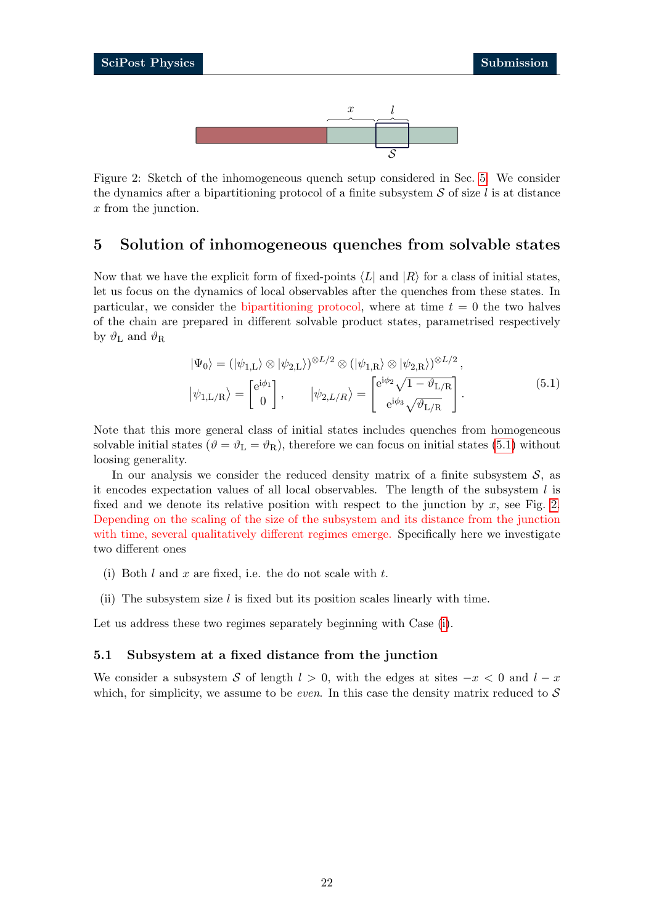

<span id="page-21-3"></span>Figure 2: Sketch of the inhomogeneous quench setup considered in Sec. [5.](#page-21-0) We consider the dynamics after a bipartitioning protocol of a finite subsystem  $S$  of size l is at distance x from the junction.

## <span id="page-21-0"></span>5 Solution of inhomogeneous quenches from solvable states

Now that we have the explicit form of fixed-points  $\langle L|$  and  $|R\rangle$  for a class of initial states, let us focus on the dynamics of local observables after the quenches from these states. In particular, we consider the bipartitioning protocol, where at time  $t = 0$  the two halves of the chain are prepared in different solvable product states, parametrised respectively by  $\vartheta_{\rm L}$  and  $\vartheta_{\rm R}$ 

<span id="page-21-2"></span>
$$
|\Psi_0\rangle = (|\psi_{1,L}\rangle \otimes |\psi_{2,L}\rangle)^{\otimes L/2} \otimes (|\psi_{1,R}\rangle \otimes |\psi_{2,R}\rangle)^{\otimes L/2},
$$
  

$$
|\psi_{1,L/R}\rangle = \begin{bmatrix} e^{i\phi_1} \\ 0 \end{bmatrix}, \qquad |\psi_{2,L/R}\rangle = \begin{bmatrix} e^{i\phi_2} \sqrt{1 - \vartheta_{L/R}} \\ e^{i\phi_3} \sqrt{\vartheta_{L/R}} \end{bmatrix}.
$$
 (5.1)

Note that this more general class of initial states includes quenches from homogeneous solvable initial states ( $\vartheta = \vartheta_L = \vartheta_R$ ), therefore we can focus on initial states [\(5.1\)](#page-21-2) without loosing generality.

In our analysis we consider the reduced density matrix of a finite subsystem  $S$ , as it encodes expectation values of all local observables. The length of the subsystem  $l$  is fixed and we denote its relative position with respect to the junction by  $x$ , see Fig. [2.](#page-21-3) Depending on the scaling of the size of the subsystem and its distance from the junction with time, several qualitatively different regimes emerge. Specifically here we investigate two different ones

- <span id="page-21-4"></span>(i) Both  $l$  and  $x$  are fixed, i.e. the do not scale with  $t$ .
- <span id="page-21-5"></span>(ii) The subsystem size  $l$  is fixed but its position scales linearly with time.

Let us address these two regimes separately beginning with Case [\(i\)](#page-21-4).

#### <span id="page-21-1"></span>5.1 Subsystem at a fixed distance from the junction

We consider a subsystem S of length  $l > 0$ , with the edges at sites  $-x < 0$  and  $l - x$ which, for simplicity, we assume to be *even*. In this case the density matrix reduced to  $S$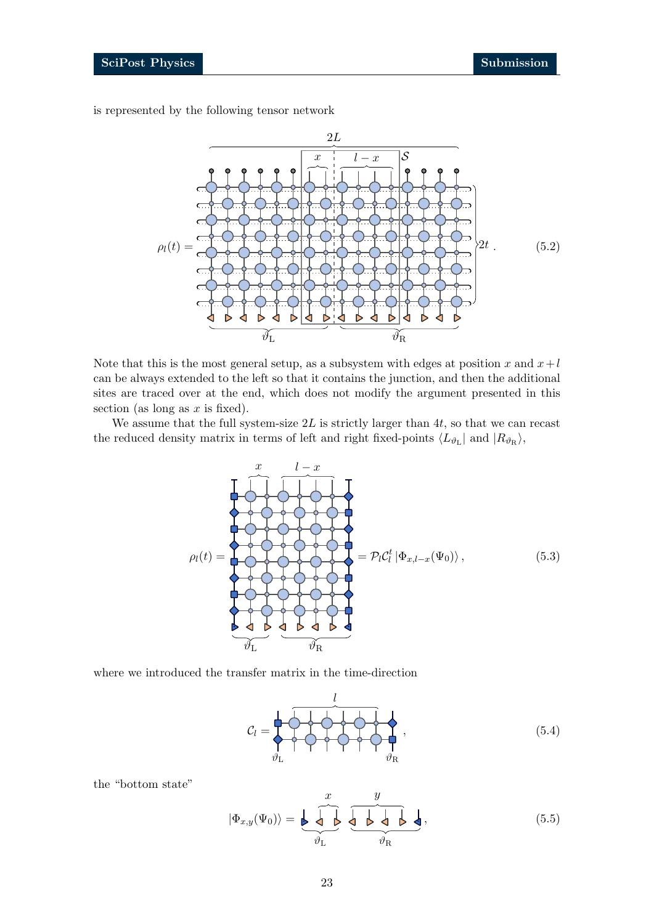is represented by the following tensor network

<span id="page-22-2"></span>

Note that this is the most general setup, as a subsystem with edges at position x and  $x+l$ can be always extended to the left so that it contains the junction, and then the additional sites are traced over at the end, which does not modify the argument presented in this section (as long as  $x$  is fixed).

We assume that the full system-size  $2L$  is strictly larger than  $4t$ , so that we can recast the reduced density matrix in terms of left and right fixed-points  $\langle L_{\vartheta_{\rm L}}|$  and  $|R_{\vartheta_{\rm R}}\rangle$ ,

<span id="page-22-0"></span>

where we introduced the transfer matrix in the time-direction

$$
C_l = \begin{pmatrix} l & & & l \\ l & l & l \\ l & l & l \\ l & l & l \end{pmatrix}, \qquad (5.4)
$$

the "bottom state"

<span id="page-22-1"></span>
$$
|\Phi_{x,y}(\Psi_0)\rangle = \underbrace{\bigotimes_{\vartheta_L} \underbrace{\bigotimes_{\vartheta_L} \bigotimes_{\vartheta_R} \bigotimes_{\vartheta_R} \bigotimes_{\vartheta_R}},\tag{5.5}
$$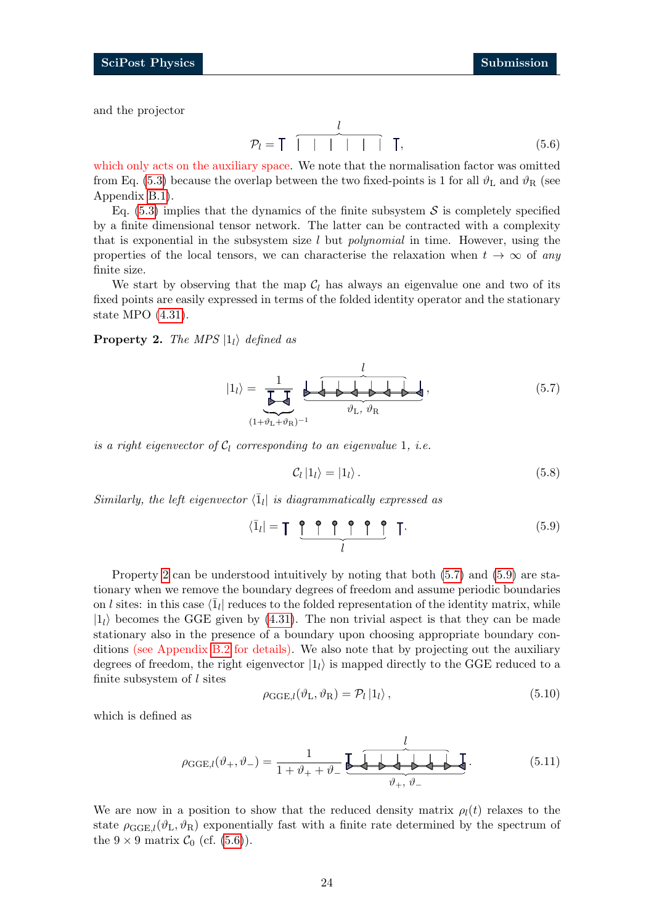and the projector

<span id="page-23-3"></span>
$$
\mathcal{P}_l = \mathsf{T} \quad \overbrace{\mid \quad | \quad | \quad | \quad \mid} \quad \mathsf{T}, \tag{5.6}
$$

which only acts on the auxiliary space. We note that the normalisation factor was omitted from Eq. [\(5.3\)](#page-22-0) because the overlap between the two fixed-points is 1 for all  $\vartheta_L$  and  $\vartheta_R$  (see Appendix [B.1\)](#page-33-1).

Eq.  $(5.3)$  implies that the dynamics of the finite subsystem S is completely specified by a finite dimensional tensor network. The latter can be contracted with a complexity that is exponential in the subsystem size  $l$  but *polynomial* in time. However, using the properties of the local tensors, we can characterise the relaxation when  $t \to \infty$  of any finite size.

We start by observing that the map  $C_l$  has always an eigenvalue one and two of its fixed points are easily expressed in terms of the folded identity operator and the stationary state MPO [\(4.31\)](#page-16-2).

<span id="page-23-0"></span>**Property 2.** The MPS  $|1_i\rangle$  defined as

<span id="page-23-1"></span>
$$
|1_{l}\rangle = \underbrace{\frac{1}{\prod_{(\mathbf{1}+\vartheta_{\mathbf{L}}+\vartheta_{\mathbf{R}})^{-1}}}\underbrace{\downarrow}_{\vartheta_{\mathbf{L}}, \vartheta_{\mathbf{R}}},
$$
\n(5.7)

is a right eigenvector of  $C_l$  corresponding to an eigenvalue 1, i.e.

<span id="page-23-4"></span>
$$
\mathcal{C}_l |1_l\rangle = |1_l\rangle. \tag{5.8}
$$

Similarly, the left eigenvector  $\langle \overline{1}_l |$  is diagrammatically expressed as

<span id="page-23-2"></span>
$$
\langle \bar{1}_l | = \mathsf{T} \underbrace{\mathsf{P} \mathsf{P} \mathsf{P} \mathsf{P} \mathsf{P}}_{l} \mathsf{T} \tag{5.9}
$$

Property [2](#page-23-0) can be understood intuitively by noting that both [\(5.7\)](#page-23-1) and [\(5.9\)](#page-23-2) are stationary when we remove the boundary degrees of freedom and assume periodic boundaries on l sites: in this case  $\langle \bar{1}_l |$  reduces to the folded representation of the identity matrix, while  $|1_1\rangle$  becomes the GGE given by [\(4.31\)](#page-16-2). The non trivial aspect is that they can be made stationary also in the presence of a boundary upon choosing appropriate boundary conditions (see Appendix [B.2](#page-33-2) for details). We also note that by projecting out the auxiliary degrees of freedom, the right eigenvector  $|1<sub>l</sub>\rangle$  is mapped directly to the GGE reduced to a finite subsystem of  $l$  sites

$$
\rho_{\text{GGE},l}(\vartheta_{\text{L}},\vartheta_{\text{R}}) = \mathcal{P}_l |1_l\rangle, \qquad (5.10)
$$

which is defined as

$$
\rho_{GGE,l}(\vartheta_+,\vartheta_-) = \frac{1}{1+\vartheta_+ + \vartheta_-} \underbrace{\underbrace{\downarrow}_{\vartheta_+,\vartheta_-} \underbrace{\downarrow}_{\vartheta_+,\vartheta_-} \underbrace{\downarrow}_{\vartheta_-} . \tag{5.11}
$$

We are now in a position to show that the reduced density matrix  $\rho_l(t)$  relaxes to the state  $\rho_{GGE,l}(\vartheta_L, \vartheta_R)$  exponentially fast with a finite rate determined by the spectrum of the  $9 \times 9$  matrix  $C_0$  (cf. [\(5.6\)](#page-23-3)).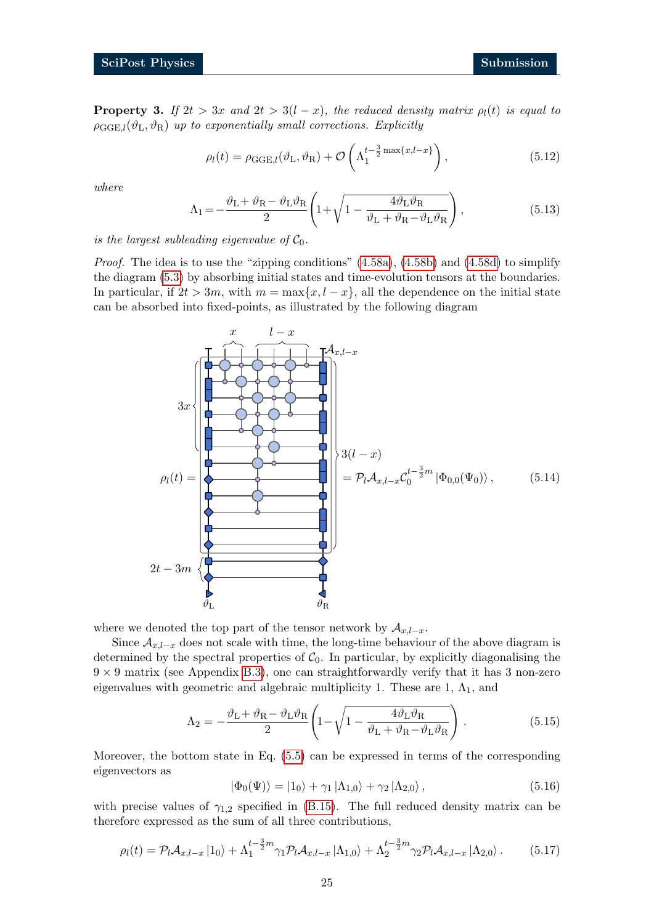<span id="page-24-0"></span>**Property 3.** If  $2t > 3x$  and  $2t > 3(l - x)$ , the reduced density matrix  $\rho_l(t)$  is equal to  $\rho_{\text{GGE},l}(\vartheta_{\text{L}},\vartheta_{\text{R}})$  up to exponentially small corrections. Explicitly

<span id="page-24-2"></span>
$$
\rho_l(t) = \rho_{\text{GGE},l}(\vartheta_{\text{L}}, \vartheta_{\text{R}}) + \mathcal{O}\left(\Lambda_1^{t-\frac{3}{2}\max\{x, l-x\}}\right),\tag{5.12}
$$

where

$$
\Lambda_1 = -\frac{\vartheta_L + \vartheta_R - \vartheta_L \vartheta_R}{2} \left( 1 + \sqrt{1 - \frac{4\vartheta_L \vartheta_R}{\vartheta_L + \vartheta_R - \vartheta_L \vartheta_R}} \right),\tag{5.13}
$$

is the largest subleading eigenvalue of  $C_0$ .

*Proof.* The idea is to use the "zipping conditions"  $(4.58a)$ ,  $(4.58b)$  and  $(4.58d)$  to simplify the diagram [\(5.3\)](#page-22-0) by absorbing initial states and time-evolution tensors at the boundaries. In particular, if  $2t > 3m$ , with  $m = \max\{x, l - x\}$ , all the dependence on the initial state can be absorbed into fixed-points, as illustrated by the following diagram

<span id="page-24-1"></span>

where we denoted the top part of the tensor network by  $A_{x,l-x}$ .

Since  $A_{x,l-x}$  does not scale with time, the long-time behaviour of the above diagram is determined by the spectral properties of  $C_0$ . In particular, by explicitly diagonalising the  $9 \times 9$  matrix (see Appendix [B.3\)](#page-34-0), one can straightforwardly verify that it has 3 non-zero eigenvalues with geometric and algebraic multiplicity 1. These are 1,  $\Lambda_1$ , and

$$
\Lambda_2 = -\frac{\vartheta_L + \vartheta_R - \vartheta_L \vartheta_R}{2} \left( 1 - \sqrt{1 - \frac{4\vartheta_L \vartheta_R}{\vartheta_L + \vartheta_R - \vartheta_L \vartheta_R}} \right). \tag{5.15}
$$

Moreover, the bottom state in Eq. [\(5.5\)](#page-22-1) can be expressed in terms of the corresponding eigenvectors as

$$
|\Phi_0(\Psi)\rangle = |1_0\rangle + \gamma_1 |\Lambda_{1,0}\rangle + \gamma_2 |\Lambda_{2,0}\rangle, \qquad (5.16)
$$

with precise values of  $\gamma_{1,2}$  specified in [\(B.15\)](#page-35-0). The full reduced density matrix can be therefore expressed as the sum of all three contributions,

<span id="page-24-3"></span>
$$
\rho_l(t) = \mathcal{P}_l \mathcal{A}_{x,l-x} |1_0\rangle + \Lambda_1^{t-\frac{3}{2}m} \gamma_1 \mathcal{P}_l \mathcal{A}_{x,l-x} |1_0\rangle + \Lambda_2^{t-\frac{3}{2}m} \gamma_2 \mathcal{P}_l \mathcal{A}_{x,l-x} |1_2\rangle. \tag{5.17}
$$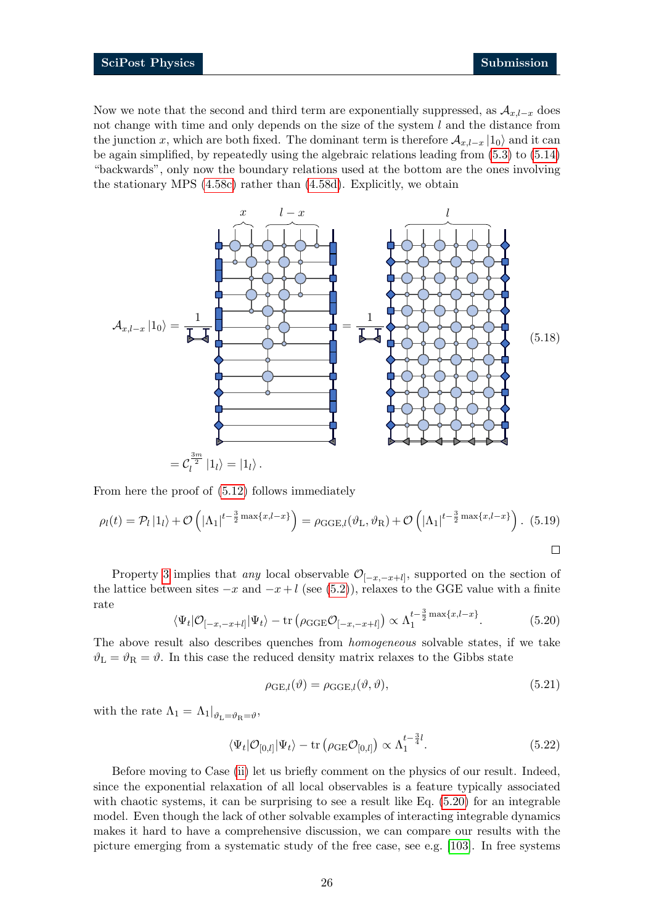Now we note that the second and third term are exponentially suppressed, as  $\mathcal{A}_{x,l-x}$  does not change with time and only depends on the size of the system  $l$  and the distance from the junction x, which are both fixed. The dominant term is therefore  $\mathcal{A}_{x,l-x} | 1_0 \rangle$  and it can be again simplified, by repeatedly using the algebraic relations leading from [\(5.3\)](#page-22-0) to [\(5.14\)](#page-24-1) "backwards", only now the boundary relations used at the bottom are the ones involving the stationary MPS [\(4.58c\)](#page-20-4) rather than [\(4.58d\)](#page-20-3). Explicitly, we obtain

<span id="page-25-1"></span>

From here the proof of [\(5.12\)](#page-24-2) follows immediately

$$
\rho_l(t) = \mathcal{P}_l |1_l\rangle + \mathcal{O}\left(|\Lambda_1|^{t-\frac{3}{2}\max\{x, l-x\}}\right) = \rho_{GGE,l}(\vartheta_L, \vartheta_R) + \mathcal{O}\left(|\Lambda_1|^{t-\frac{3}{2}\max\{x, l-x\}}\right).
$$
 (5.19)

Property [3](#page-24-0) implies that *any* local observable  $\mathcal{O}_{[-x,-x+l]}$ , supported on the section of the lattice between sites  $-x$  and  $-x+l$  (see [\(5.2\)](#page-22-2)), relaxes to the GGE value with a finite rate

<span id="page-25-0"></span>
$$
\langle \Psi_t | \mathcal{O}_{[-x, -x+l]} | \Psi_t \rangle - \text{tr}\left(\rho_{\text{GGE}} \mathcal{O}_{[-x, -x+l]}\right) \propto \Lambda_1^{t - \frac{3}{2} \max\{x, l - x\}}.
$$
 (5.20)

The above result also describes quenches from homogeneous solvable states, if we take  $\vartheta_{\rm L} = \vartheta_{\rm R} = \vartheta$ . In this case the reduced density matrix relaxes to the Gibbs state

$$
\rho_{GE,l}(\vartheta) = \rho_{GGE,l}(\vartheta, \vartheta),\tag{5.21}
$$

with the rate  $\Lambda_1 = \Lambda_1|_{\vartheta_{\text{L}} = \vartheta_{\text{R}} = \vartheta}$ ,

$$
\langle \Psi_t | \mathcal{O}_{[0,l]} | \Psi_t \rangle - \text{tr} \left( \rho_{\text{GE}} \mathcal{O}_{[0,l]} \right) \propto \Lambda_1^{t - \frac{3}{4}l}.
$$
 (5.22)

Before moving to Case [\(ii\)](#page-21-5) let us briefly comment on the physics of our result. Indeed, since the exponential relaxation of all local observables is a feature typically associated with chaotic systems, it can be surprising to see a result like Eq. [\(5.20\)](#page-25-0) for an integrable model. Even though the lack of other solvable examples of interacting integrable dynamics makes it hard to have a comprehensive discussion, we can compare our results with the picture emerging from a systematic study of the free case, see e.g. [\[103\]](#page-43-2). In free systems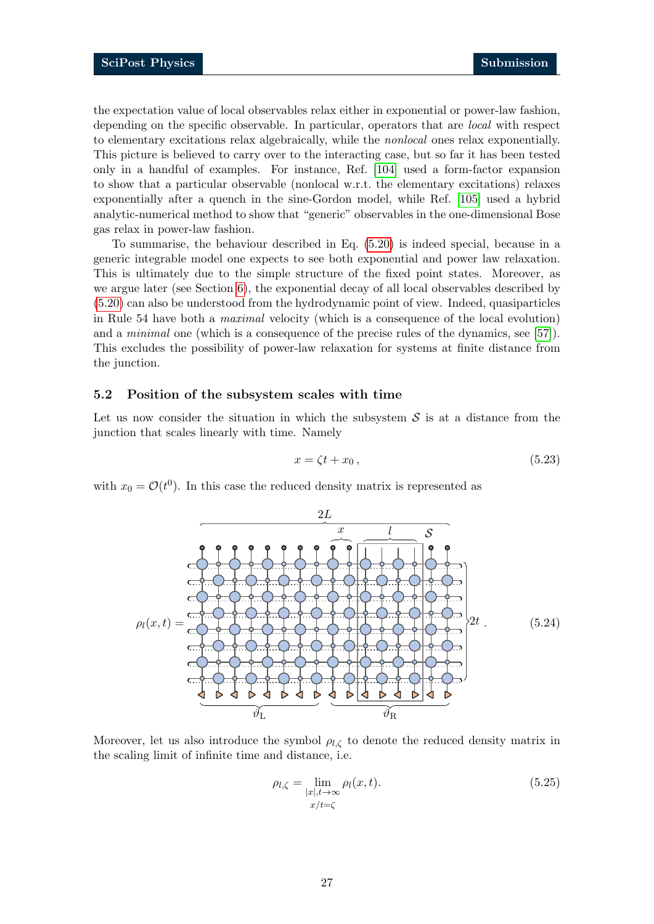the expectation value of local observables relax either in exponential or power-law fashion, depending on the specific observable. In particular, operators that are *local* with respect to elementary excitations relax algebraically, while the nonlocal ones relax exponentially. This picture is believed to carry over to the interacting case, but so far it has been tested only in a handful of examples. For instance, Ref. [\[104\]](#page-43-3) used a form-factor expansion to show that a particular observable (nonlocal w.r.t. the elementary excitations) relaxes exponentially after a quench in the sine-Gordon model, while Ref. [\[105\]](#page-43-4) used a hybrid analytic-numerical method to show that "generic" observables in the one-dimensional Bose gas relax in power-law fashion.

To summarise, the behaviour described in Eq. [\(5.20\)](#page-25-0) is indeed special, because in a generic integrable model one expects to see both exponential and power law relaxation. This is ultimately due to the simple structure of the fixed point states. Moreover, as we argue later (see Section [6\)](#page-29-0), the exponential decay of all local observables described by [\(5.20\)](#page-25-0) can also be understood from the hydrodynamic point of view. Indeed, quasiparticles in Rule 54 have both a maximal velocity (which is a consequence of the local evolution) and a *minimal* one (which is a consequence of the precise rules of the dynamics, see [\[57\]](#page-40-1)). This excludes the possibility of power-law relaxation for systems at finite distance from the junction.

#### <span id="page-26-0"></span>5.2 Position of the subsystem scales with time

Let us now consider the situation in which the subsystem  $S$  is at a distance from the junction that scales linearly with time. Namely

$$
x = \zeta t + x_0, \tag{5.23}
$$

with  $x_0 = \mathcal{O}(t^0)$ . In this case the reduced density matrix is represented as



Moreover, let us also introduce the symbol  $\rho_{l,\zeta}$  to denote the reduced density matrix in the scaling limit of infinite time and distance, i.e.

$$
\rho_{l,\zeta} = \lim_{\substack{|x|, t \to \infty \\ x/t = \zeta}} \rho_l(x, t). \tag{5.25}
$$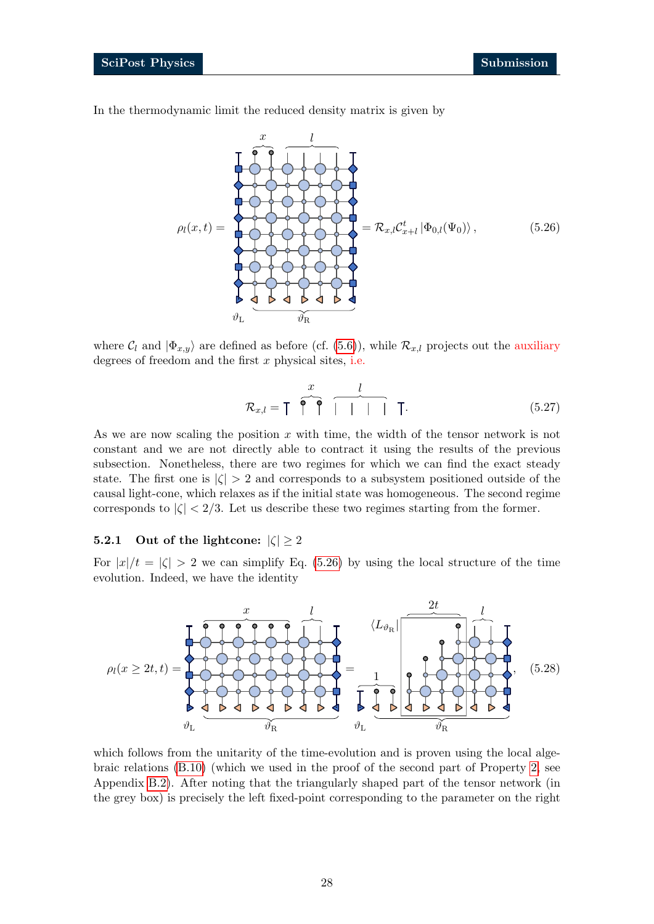In the thermodynamic limit the reduced density matrix is given by

<span id="page-27-1"></span>
$$
\rho_l(x,t) = \begin{bmatrix} 1 & 1 & 1 \\ 0 & 0 & 0 \\ 0 & 0 & 0 \\ 0 & 0 & 0 \\ 0 & 0 & 0 \\ 0 & 0 & 0 \\ 0 & 0 & 0 \\ 0 & 0 & 0 \\ 0 & 0 & 0 \\ 0 & 0 & 0 \\ 0 & 0 & 0 \\ 0 & 0 & 0 \\ 0 & 0 & 0 \\ 0 & 0 & 0 \\ 0 & 0 & 0 \\ 0 & 0 & 0 \\ 0 & 0 & 0 \\ 0 & 0 & 0 \\ 0 & 0 & 0 \\ 0 & 0 & 0 \\ 0 & 0 & 0 \\ 0 & 0 & 0 \\ 0 & 0 & 0 \\ 0 & 0 & 0 \\ 0 & 0 & 0 \\ 0 & 0 & 0 \\ 0 & 0 & 0 \\ 0 & 0 & 0 & 0 \\ 0 & 0 & 0 & 0 \\ 0 & 0 & 0 & 0 \\ 0 & 0 & 0 & 0 \\ 0 & 0 & 0 & 0 \\ 0 & 0 & 0 & 0 \\ 0 & 0 & 0 & 0 \\ 0 & 0 & 0 & 0 \\ 0 & 0 & 0 & 0 \\ 0 & 0 & 0 & 0 \\ 0 & 0 & 0 & 0 & 0 \\ 0 & 0 & 0 & 0 & 0 \\ 0 & 0 & 0 & 0 & 0 \\ 0 & 0 & 0 & 0 & 0 \\ 0 & 0 & 0 & 0 & 0 \\ 0 & 0 & 0 & 0 & 0 \\ 0 & 0 & 0 & 0 & 0 \\ 0 & 0 & 0 & 0 & 0 \\ 0 & 0 & 0 & 0 & 0 \\ 0 & 0 & 0 & 0 & 0 \\ 0 & 0 & 0 & 0 & 0 \\ 0 & 0 & 0 & 0 & 0 \\ 0 & 0 & 0 & 0 & 0 & 0 \\ 0 & 0 & 0 & 0 & 0 & 0 \\ 0 & 0 & 0 & 0 & 0 & 0 \\ 0 & 0 & 0 & 0 & 0 & 0 \\ 0 & 0 & 0 & 0 & 0 & 0 \\ 0 & 0 & 0 & 0 & 0 & 0 \\ 0 & 0 & 0 & 0 & 0 & 0 \\ 0 & 0 & 0 & 0 & 0 & 0 \\ 0 & 0 & 0 & 0 & 0 & 0 \\ 0 & 0 & 0 & 0 & 0 & 0 \\ 0 & 0 & 0 & 0 & 0 & 0 \\ 0 & 0 &
$$

where  $C_l$  and  $|\Phi_{x,y}\rangle$  are defined as before (cf. [\(5.6\)](#page-23-3)), while  $\mathcal{R}_{x,l}$  projects out the auxiliary degrees of freedom and the first  $x$  physical sites, i.e.

$$
\mathcal{R}_{x,l} = \begin{bmatrix} x & l \\ 0 & 0 \end{bmatrix} \quad (5.27)
$$

As we are now scaling the position  $x$  with time, the width of the tensor network is not constant and we are not directly able to contract it using the results of the previous subsection. Nonetheless, there are two regimes for which we can find the exact steady state. The first one is  $|\zeta| > 2$  and corresponds to a subsystem positioned outside of the causal light-cone, which relaxes as if the initial state was homogeneous. The second regime corresponds to  $|\zeta| < 2/3$ . Let us describe these two regimes starting from the former.

### <span id="page-27-0"></span>**5.2.1** Out of the lightcone:  $|\zeta| \geq 2$

For  $|x|/t = |\zeta| > 2$  we can simplify Eq. [\(5.26\)](#page-27-1) by using the local structure of the time evolution. Indeed, we have the identity



which follows from the unitarity of the time-evolution and is proven using the local algebraic relations [\(B.10\)](#page-34-1) (which we used in the proof of the second part of Property [2,](#page-23-0) see Appendix [B.2\)](#page-33-2). After noting that the triangularly shaped part of the tensor network (in the grey box) is precisely the left fixed-point corresponding to the parameter on the right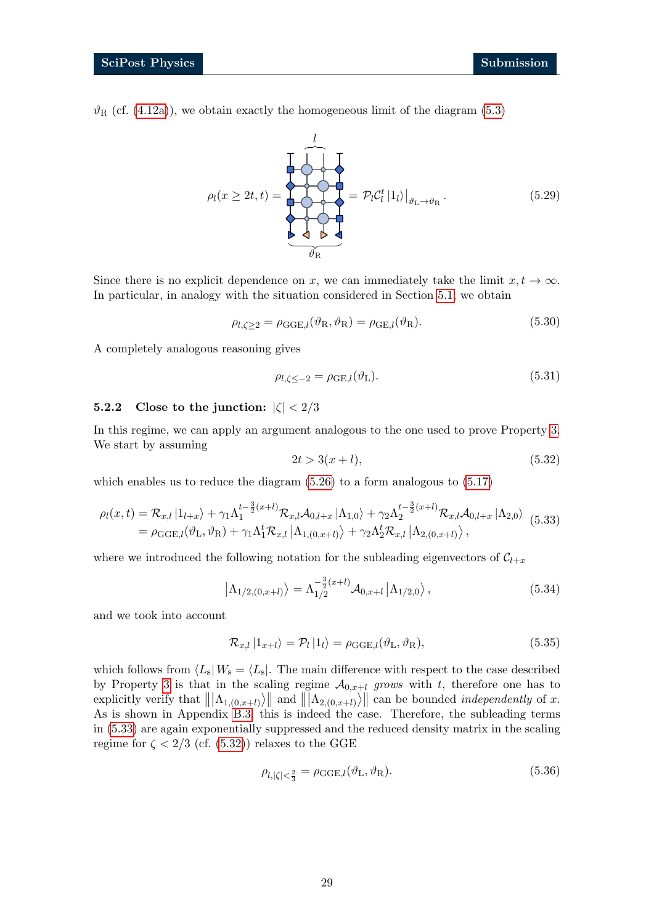$\vartheta_R$  (cf. [\(4.12a\)](#page-13-8)), we obtain exactly the homogeneous limit of the diagram [\(5.3\)](#page-22-0)

$$
\rho_l(x \ge 2t, t) = \begin{bmatrix} 1 \\ 1 \\ 0 \\ 0 \\ 0 \\ 0 \\ 0 \\ 0 \\ \end{bmatrix} = \mathcal{P}_l \mathcal{C}_l^t |1_l\rangle|_{\vartheta_L \to \vartheta_R}.
$$
\n(5.29)

Since there is no explicit dependence on x, we can immediately take the limit  $x, t \to \infty$ . In particular, in analogy with the situation considered in Section [5.1,](#page-21-1) we obtain

<span id="page-28-4"></span>
$$
\rho_{l,\zeta\geq2} = \rho_{\text{GGE},l}(\vartheta_{\text{R}},\vartheta_{\text{R}}) = \rho_{\text{GE},l}(\vartheta_{\text{R}}). \tag{5.30}
$$

A completely analogous reasoning gives

<span id="page-28-5"></span>
$$
\rho_{l,\zeta \le -2} = \rho_{\text{GE},l}(\vartheta_{\text{L}}). \tag{5.31}
$$

### <span id="page-28-0"></span>**5.2.2** Close to the junction:  $|\zeta| < 2/3$

In this regime, we can apply an argument analogous to the one used to prove Property [3.](#page-24-0) We start by assuming

<span id="page-28-2"></span>
$$
2t > 3(x + l),
$$
\n(5.32)

which enables us to reduce the diagram [\(5.26\)](#page-27-1) to a form analogous to [\(5.17\)](#page-24-3)

<span id="page-28-1"></span>
$$
\rho_l(x,t) = \mathcal{R}_{x,l} |1_{l+x}\rangle + \gamma_1 \Lambda_1^{t-\frac{3}{2}(x+l)} \mathcal{R}_{x,l} \mathcal{A}_{0,l+x} |1_{1,0}\rangle + \gamma_2 \Lambda_2^{t-\frac{3}{2}(x+l)} \mathcal{R}_{x,l} \mathcal{A}_{0,l+x} |1_{2,0}\rangle
$$
  
=  $\rho_{GGE,l}(\vartheta_L, \vartheta_R) + \gamma_1 \Lambda_1^t \mathcal{R}_{x,l} |1_{1,(0,x+l)}\rangle + \gamma_2 \Lambda_2^t \mathcal{R}_{x,l} |1_{2,(0,x+l)}\rangle,$  (5.33)

where we introduced the following notation for the subleading eigenvectors of  $C_{l+x}$ 

$$
\left|\Lambda_{1/2,(0,x+l)}\right\rangle = \Lambda_{1/2}^{-\frac{3}{2}(x+l)} \mathcal{A}_{0,x+l} \left|\Lambda_{1/2,0}\right\rangle, \tag{5.34}
$$

and we took into account

$$
\mathcal{R}_{x,l} |1_{x+l}\rangle = \mathcal{P}_l |1_l\rangle = \rho_{\text{GGE},l}(\vartheta_{\text{L}}, \vartheta_{\text{R}}),
$$
\n(5.35)

which follows from  $\langle L_s| W_s = \langle L_s|$ . The main difference with respect to the case described by Property [3](#page-24-0) is that in the scaling regime  $A_{0,x+l}$  grows with t, therefore one has to explicitly verify that  $\|\Lambda_{1,(0,x+l)}\rangle\|$  and  $\|\Lambda_{2,(0,x+l)}\rangle\|$  can be bounded *independently* of x. As is shown in Appendix [B.3,](#page-34-0) this is indeed the case. Therefore, the subleading terms in [\(5.33\)](#page-28-1) are again exponentially suppressed and the reduced density matrix in the scaling regime for  $\zeta < 2/3$  (cf. [\(5.32\)](#page-28-2)) relaxes to the GGE

<span id="page-28-3"></span>
$$
\rho_{l,|\zeta|<\frac{2}{3}} = \rho_{\text{GGE},l}(\vartheta_{\text{L}}, \vartheta_{\text{R}}). \tag{5.36}
$$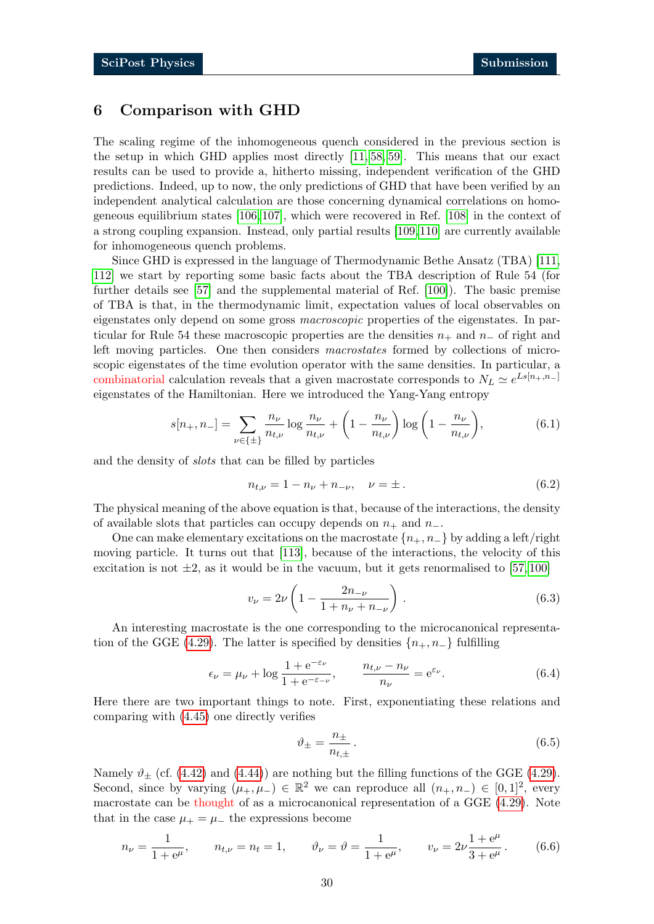# <span id="page-29-0"></span>6 Comparison with GHD

The scaling regime of the inhomogeneous quench considered in the previous section is the setup in which GHD applies most directly [\[11,](#page-37-11) [58,](#page-40-2) [59\]](#page-40-3). This means that our exact results can be used to provide a, hitherto missing, independent verification of the GHD predictions. Indeed, up to now, the only predictions of GHD that have been verified by an independent analytical calculation are those concerning dynamical correlations on homogeneous equilibrium states [\[106,](#page-43-5) [107\]](#page-43-6), which were recovered in Ref. [\[108\]](#page-43-7) in the context of a strong coupling expansion. Instead, only partial results [\[109,](#page-43-8)[110\]](#page-43-9) are currently available for inhomogeneous quench problems.

Since GHD is expressed in the language of Thermodynamic Bethe Ansatz (TBA) [\[111,](#page-43-10) [112\]](#page-43-11) we start by reporting some basic facts about the TBA description of Rule 54 (for further details see [\[57\]](#page-40-1) and the supplemental material of Ref. [\[100\]](#page-43-1)). The basic premise of TBA is that, in the thermodynamic limit, expectation values of local observables on eigenstates only depend on some gross *macroscopic* properties of the eigenstates. In particular for Rule 54 these macroscopic properties are the densities  $n_+$  and  $n_-\,$  of right and left moving particles. One then considers macrostates formed by collections of microscopic eigenstates of the time evolution operator with the same densities. In particular, a combinatorial calculation reveals that a given macrostate corresponds to  $N_L \simeq e^{Ls[n_+,n_-]}$ eigenstates of the Hamiltonian. Here we introduced the Yang-Yang entropy

$$
s[n_+, n_-] = \sum_{\nu \in \{\pm\}} \frac{n_\nu}{n_{t,\nu}} \log \frac{n_\nu}{n_{t,\nu}} + \left(1 - \frac{n_\nu}{n_{t,\nu}}\right) \log \left(1 - \frac{n_\nu}{n_{t,\nu}}\right),\tag{6.1}
$$

and the density of slots that can be filled by particles

$$
n_{t,\nu} = 1 - n_{\nu} + n_{-\nu}, \quad \nu = \pm.
$$
\n(6.2)

The physical meaning of the above equation is that, because of the interactions, the density of available slots that particles can occupy depends on  $n_+$  and  $n_-$ .

One can make elementary excitations on the macrostate  $\{n_+, n_-\}$  by adding a left/right moving particle. It turns out that [\[113\]](#page-43-12), because of the interactions, the velocity of this excitation is not  $\pm 2$ , as it would be in the vacuum, but it gets renormalised to [\[57,](#page-40-1) [100\]](#page-43-1)

$$
v_{\nu} = 2\nu \left( 1 - \frac{2n_{-\nu}}{1 + n_{\nu} + n_{-\nu}} \right). \tag{6.3}
$$

An interesting macrostate is the one corresponding to the microcanonical representa-tion of the GGE [\(4.29\)](#page-16-1). The latter is specified by densities  $\{n_+, n_-\}\$  fulfilling

$$
\epsilon_{\nu} = \mu_{\nu} + \log \frac{1 + e^{-\epsilon_{\nu}}}{1 + e^{-\epsilon_{-\nu}}}, \qquad \frac{n_{t,\nu} - n_{\nu}}{n_{\nu}} = e^{\epsilon_{\nu}}.
$$
 (6.4)

Here there are two important things to note. First, exponentiating these relations and comparing with [\(4.45\)](#page-18-3) one directly verifies

$$
\vartheta_{\pm} = \frac{n_{\pm}}{n_{t,\pm}} \,. \tag{6.5}
$$

Namely  $\vartheta_{\pm}$  (cf. [\(4.42\)](#page-18-4) and [\(4.44\)](#page-18-5)) are nothing but the filling functions of the GGE [\(4.29\)](#page-16-1). Second, since by varying  $(\mu_+, \mu_-) \in \mathbb{R}^2$  we can reproduce all  $(n_+, n_-) \in [0, 1]^2$ , every macrostate can be thought of as a microcanonical representation of a GGE [\(4.29\)](#page-16-1). Note that in the case  $\mu_{+} = \mu_{-}$  the expressions become

$$
n_{\nu} = \frac{1}{1 + e^{\mu}}, \qquad n_{t,\nu} = n_t = 1, \qquad \vartheta_{\nu} = \vartheta = \frac{1}{1 + e^{\mu}}, \qquad v_{\nu} = 2\nu \frac{1 + e^{\mu}}{3 + e^{\mu}}.
$$
 (6.6)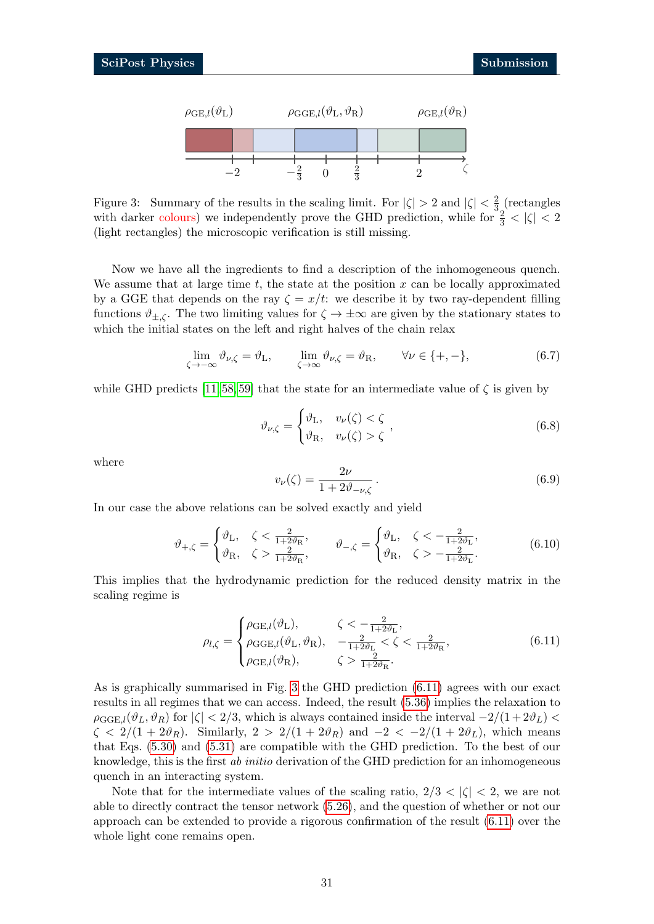

<span id="page-30-0"></span>Figure 3: Summary of the results in the scaling limit. For  $|\zeta| > 2$  and  $|\zeta| < \frac{2}{3}$  $\frac{2}{3}$  (rectangles with darker colours) we independently prove the GHD prediction, while for  $\frac{2}{3} < |\zeta| < 2$ (light rectangles) the microscopic verification is still missing.

Now we have all the ingredients to find a description of the inhomogeneous quench. We assume that at large time  $t$ , the state at the position  $x$  can be locally approximated by a GGE that depends on the ray  $\zeta = x/t$ : we describe it by two ray-dependent filling functions  $\vartheta_{\pm,\zeta}$ . The two limiting values for  $\zeta \to \pm \infty$  are given by the stationary states to which the initial states on the left and right halves of the chain relax

$$
\lim_{\zeta \to -\infty} \vartheta_{\nu,\zeta} = \vartheta_{\mathrm{L}}, \qquad \lim_{\zeta \to \infty} \vartheta_{\nu,\zeta} = \vartheta_{\mathrm{R}}, \qquad \forall \nu \in \{+, -\},
$$
\n(6.7)

while GHD predicts [\[11,](#page-37-11) [58,](#page-40-2) [59\]](#page-40-3) that the state for an intermediate value of  $\zeta$  is given by

$$
\vartheta_{\nu,\zeta} = \begin{cases} \vartheta_{\mathrm{L}}, & v_{\nu}(\zeta) < \zeta \\ \vartheta_{\mathrm{R}}, & v_{\nu}(\zeta) > \zeta \end{cases}, \tag{6.8}
$$

where

$$
v_{\nu}(\zeta) = \frac{2\nu}{1 + 2\vartheta_{-\nu,\zeta}}.
$$
\n(6.9)

In our case the above relations can be solved exactly and yield

$$
\vartheta_{+,\zeta} = \begin{cases} \vartheta_{\rm L}, & \zeta < \frac{2}{1+2\vartheta_{\rm R}}, \\ \vartheta_{\rm R}, & \zeta > \frac{2}{1+2\vartheta_{\rm R}}, \end{cases} \qquad \vartheta_{-,\zeta} = \begin{cases} \vartheta_{\rm L}, & \zeta < -\frac{2}{1+2\vartheta_{\rm L}}, \\ \vartheta_{\rm R}, & \zeta > -\frac{2}{1+2\vartheta_{\rm L}}. \end{cases} \tag{6.10}
$$

This implies that the hydrodynamic prediction for the reduced density matrix in the scaling regime is

<span id="page-30-1"></span>
$$
\rho_{l,\zeta} = \begin{cases}\n\rho_{\text{GE},l}(\vartheta_{\text{L}}), & \zeta < -\frac{2}{1+2\vartheta_{\text{L}}}, \\
\rho_{\text{GGE},l}(\vartheta_{\text{L}}, \vartheta_{\text{R}}), & -\frac{2}{1+2\vartheta_{\text{L}}} < \zeta < \frac{2}{1+2\vartheta_{\text{R}}}, \\
\rho_{\text{GE},l}(\vartheta_{\text{R}}), & \zeta > \frac{2}{1+2\vartheta_{\text{R}}}.\n\end{cases}
$$
\n(6.11)

As is graphically summarised in Fig. [3](#page-30-0) the GHD prediction [\(6.11\)](#page-30-1) agrees with our exact results in all regimes that we can access. Indeed, the result [\(5.36\)](#page-28-3) implies the relaxation to  $\rho_{\text{GGE},l}(\vartheta_L, \vartheta_R)$  for  $|\zeta| < 2/3$ , which is always contained inside the interval  $-2/(1+2\vartheta_L)$  $\zeta < 2/(1+2\vartheta_R)$ . Similarly,  $2 > 2/(1+2\vartheta_R)$  and  $-2 < -2/(1+2\vartheta_L)$ , which means that Eqs. [\(5.30\)](#page-28-4) and [\(5.31\)](#page-28-5) are compatible with the GHD prediction. To the best of our knowledge, this is the first ab initio derivation of the GHD prediction for an inhomogeneous quench in an interacting system.

Note that for the intermediate values of the scaling ratio,  $2/3 < |\zeta| < 2$ , we are not able to directly contract the tensor network [\(5.26\)](#page-27-1), and the question of whether or not our approach can be extended to provide a rigorous confirmation of the result [\(6.11\)](#page-30-1) over the whole light cone remains open.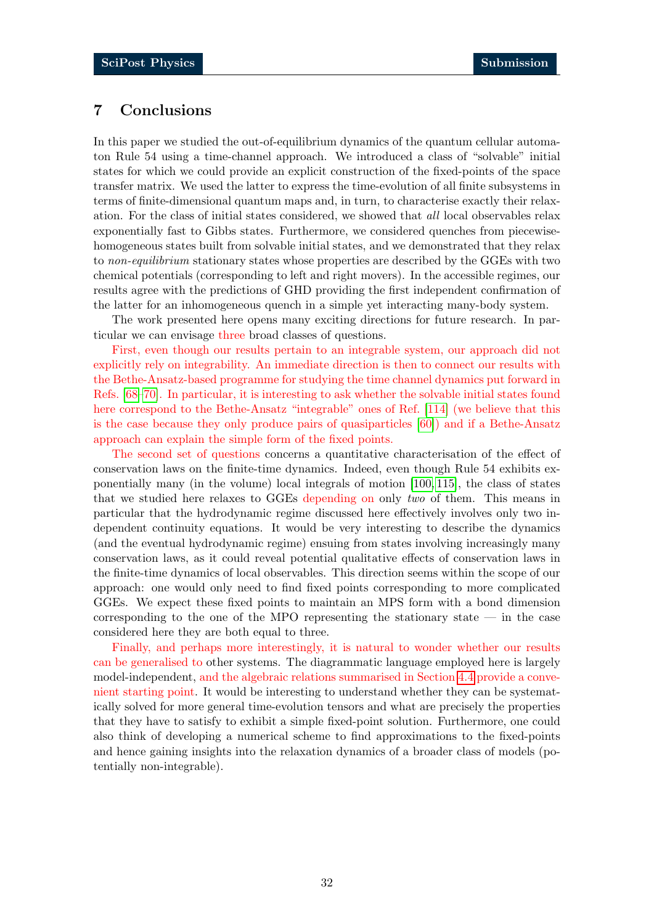# <span id="page-31-0"></span>7 Conclusions

In this paper we studied the out-of-equilibrium dynamics of the quantum cellular automaton Rule 54 using a time-channel approach. We introduced a class of "solvable" initial states for which we could provide an explicit construction of the fixed-points of the space transfer matrix. We used the latter to express the time-evolution of all finite subsystems in terms of finite-dimensional quantum maps and, in turn, to characterise exactly their relaxation. For the class of initial states considered, we showed that all local observables relax exponentially fast to Gibbs states. Furthermore, we considered quenches from piecewisehomogeneous states built from solvable initial states, and we demonstrated that they relax to non-equilibrium stationary states whose properties are described by the GGEs with two chemical potentials (corresponding to left and right movers). In the accessible regimes, our results agree with the predictions of GHD providing the first independent confirmation of the latter for an inhomogeneous quench in a simple yet interacting many-body system.

The work presented here opens many exciting directions for future research. In particular we can envisage three broad classes of questions.

First, even though our results pertain to an integrable system, our approach did not explicitly rely on integrability. An immediate direction is then to connect our results with the Bethe-Ansatz-based programme for studying the time channel dynamics put forward in Refs. [\[68](#page-40-12)[–70\]](#page-41-0). In particular, it is interesting to ask whether the solvable initial states found here correspond to the Bethe-Ansatz "integrable" ones of Ref. [\[114\]](#page-43-13) (we believe that this is the case because they only produce pairs of quasiparticles [\[60\]](#page-40-4)) and if a Bethe-Ansatz approach can explain the simple form of the fixed points.

The second set of questions concerns a quantitative characterisation of the effect of conservation laws on the finite-time dynamics. Indeed, even though Rule 54 exhibits exponentially many (in the volume) local integrals of motion [\[100,](#page-43-1) [115\]](#page-43-14), the class of states that we studied here relaxes to GGEs depending on only two of them. This means in particular that the hydrodynamic regime discussed here effectively involves only two independent continuity equations. It would be very interesting to describe the dynamics (and the eventual hydrodynamic regime) ensuing from states involving increasingly many conservation laws, as it could reveal potential qualitative effects of conservation laws in the finite-time dynamics of local observables. This direction seems within the scope of our approach: one would only need to find fixed points corresponding to more complicated GGEs. We expect these fixed points to maintain an MPS form with a bond dimension corresponding to the one of the MPO representing the stationary state  $-$  in the case considered here they are both equal to three.

Finally, and perhaps more interestingly, it is natural to wonder whether our results can be generalised to other systems. The diagrammatic language employed here is largely model-independent, and the algebraic relations summarised in Section [4.4](#page-20-0) provide a convenient starting point. It would be interesting to understand whether they can be systematically solved for more general time-evolution tensors and what are precisely the properties that they have to satisfy to exhibit a simple fixed-point solution. Furthermore, one could also think of developing a numerical scheme to find approximations to the fixed-points and hence gaining insights into the relaxation dynamics of a broader class of models (potentially non-integrable).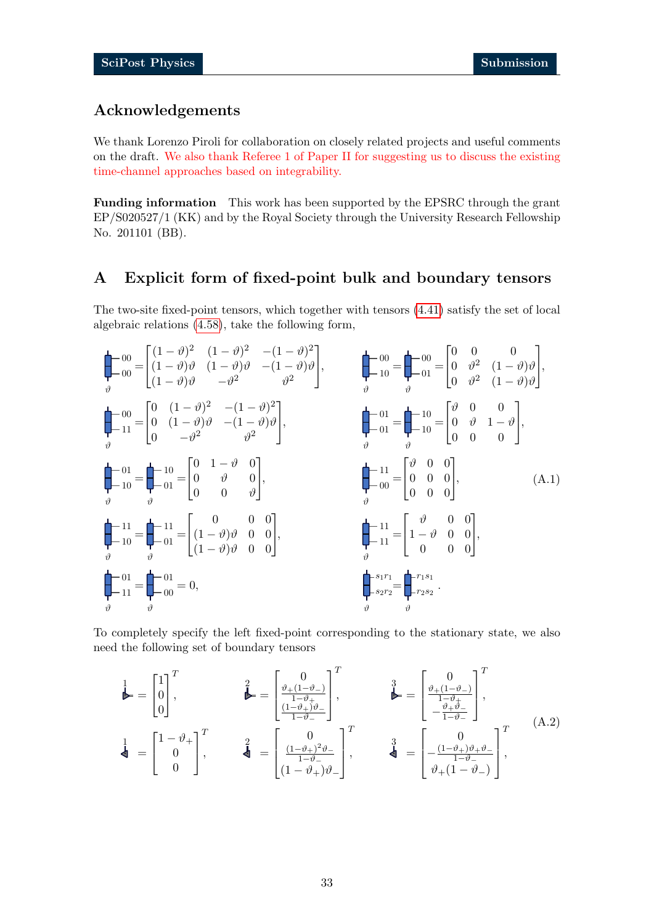# Acknowledgements

We thank Lorenzo Piroli for collaboration on closely related projects and useful comments on the draft. We also thank Referee 1 of Paper II for suggesting us to discuss the existing time-channel approaches based on integrability.

Funding information This work has been supported by the EPSRC through the grant EP/S020527/1 (KK) and by the Royal Society through the University Research Fellowship No. 201101 (BB).

# <span id="page-32-0"></span>A Explicit form of fixed-point bulk and boundary tensors

The two-site fixed-point tensors, which together with tensors [\(4.41\)](#page-17-1) satisfy the set of local algebraic relations [\(4.58\)](#page-20-5), take the following form,

<span id="page-32-1"></span>

To completely specify the left fixed-point corresponding to the stationary state, we also need the following set of boundary tensors

<span id="page-32-2"></span>
$$
\begin{aligned}\n\stackrel{1}{\blacktriangleright} &= \begin{bmatrix} 1 \\ 0 \\ 0 \end{bmatrix}^T, & \stackrel{2}{\blacktriangleright} &= \begin{bmatrix} 0 \\ \frac{\vartheta_+(1-\vartheta_-)}{1-\vartheta_+} \\ \frac{(1-\vartheta_+)\vartheta_-}{1-\vartheta_-} \end{bmatrix}^T, & \stackrel{3}{\blacktriangleright} &= \begin{bmatrix} 0 \\ \frac{\vartheta_+(1-\vartheta_-)}{1-\vartheta_+} \\ -\frac{\vartheta_+\vartheta_-}{1-\vartheta_-} \end{bmatrix}^T, \\
\stackrel{1}{\blacktriangleleft} &= \begin{bmatrix} 1 - \vartheta_+ \\ 0 \\ 0 \end{bmatrix}^T, & \stackrel{2}{\blacktriangleleft} &= \begin{bmatrix} 0 \\ \frac{(1-\vartheta_+)\vartheta_-\vartheta_-}{1-\vartheta_-} \\ (1-\vartheta_+)\vartheta_- \end{bmatrix}^T, & \stackrel{3}{\blacktriangleleft} &= \begin{bmatrix} 0 \\ -\frac{(1-\vartheta_+)\vartheta_+\vartheta_-}{1-\vartheta_-} \\ \vartheta_+(1-\vartheta_-) \end{bmatrix}^T,\n\end{aligned}
$$
\n(A.2)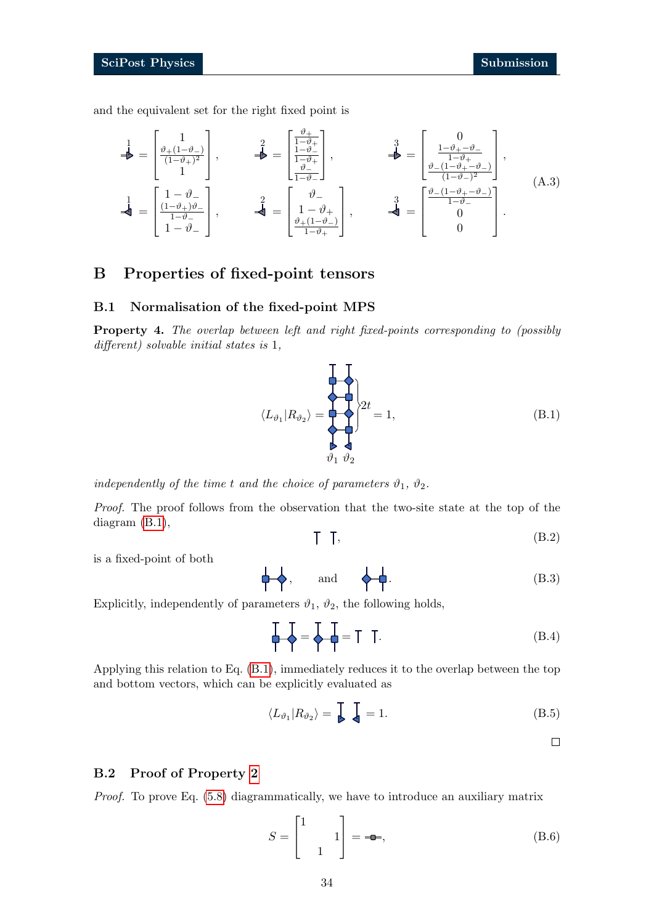and the equivalent set for the right fixed point is

<span id="page-33-3"></span>
$$
\begin{aligned}\n\frac{1}{\blacktriangle} &= \begin{bmatrix} 1 \\
\frac{\vartheta + (1 - \vartheta)}{(1 - \vartheta + \vartheta)^2} \\
1 \end{bmatrix}, \qquad \frac{2}{\blacktriangle} = \begin{bmatrix} \frac{\vartheta + 1}{1 - \vartheta + 1} \\
\frac{1 - \vartheta}{1 - \vartheta + 1} \\
1 - \vartheta - 1 \end{bmatrix}, \qquad \frac{3}{\blacktriangle} = \begin{bmatrix} 0 \\
\frac{1 - \vartheta + - \vartheta - 1}{1 - \vartheta + 1} \\
\frac{\vartheta - (1 - \vartheta + - \vartheta - 1)}{(1 - \vartheta - 1)^2} \end{bmatrix}, \\
\frac{1}{\blacktriangleleft} &= \begin{bmatrix} 1 - \vartheta - 1 \\
\frac{(1 - \vartheta + \vartheta)}{1 - \vartheta - 1} \\
1 - \vartheta - 1 \end{bmatrix}, \qquad \frac{2}{\blacktriangleleft} = \begin{bmatrix} \vartheta - 1 \\
\frac{\vartheta + (1 - \vartheta + \vartheta)}{1 - \vartheta - 1} \\
\frac{\vartheta + (1 - \vartheta - 1)}{1 - \vartheta + 1} \end{bmatrix}, \qquad \frac{3}{\blacktriangleleft} = \begin{bmatrix} \frac{\vartheta - (1 - \vartheta + - \vartheta - 1)}{1 - \vartheta - 1} \\
0 \\
0 \end{bmatrix}.\n\end{aligned} \tag{A.3}
$$

# <span id="page-33-0"></span>B Properties of fixed-point tensors

#### <span id="page-33-1"></span>B.1 Normalisation of the fixed-point MPS

Property 4. The overlap between left and right fixed-points corresponding to (possibly different) solvable initial states is 1,

<span id="page-33-4"></span>
$$
\langle L_{\vartheta_1} | R_{\vartheta_2} \rangle = \sum_{\substack{\theta \\ \theta_1 \\ \theta_2}} \left\{ 2t = 1, \right\} \tag{B.1}
$$

independently of the time t and the choice of parameters  $\vartheta_1$ ,  $\vartheta_2$ .

Proof. The proof follows from the observation that the two-site state at the top of the diagram [\(B.1\)](#page-33-4),

$$
\begin{array}{cc} \text{I} & \text{I}, \end{array} \tag{B.2}
$$

is a fixed-point of both

$$
\downarrow \quad \diamondsuit, \qquad \text{and} \qquad \diamondsuit \quad \downarrow \quad . \tag{B.3}
$$

Explicitly, independently of parameters  $\vartheta_1$ ,  $\vartheta_2$ , the following holds,

$$
\mathbf{I} = \mathbf{I} = \mathbf{I} \quad \mathbf{I}.
$$
\n(B.4)

Applying this relation to Eq. [\(B.1\)](#page-33-4), immediately reduces it to the overlap between the top and bottom vectors, which can be explicitly evaluated as

$$
\langle L_{\vartheta_1} | R_{\vartheta_2} \rangle = \int_{\mathbb{R}} \int_{\mathbb{R}} = 1. \tag{B.5}
$$

### <span id="page-33-2"></span>B.2 Proof of Property [2](#page-23-0)

Proof. To prove Eq. [\(5.8\)](#page-23-4) diagrammatically, we have to introduce an auxiliary matrix

$$
S = \begin{bmatrix} 1 & 1 \\ 1 & 1 \end{bmatrix} = -\bullet,
$$
\n(B.6)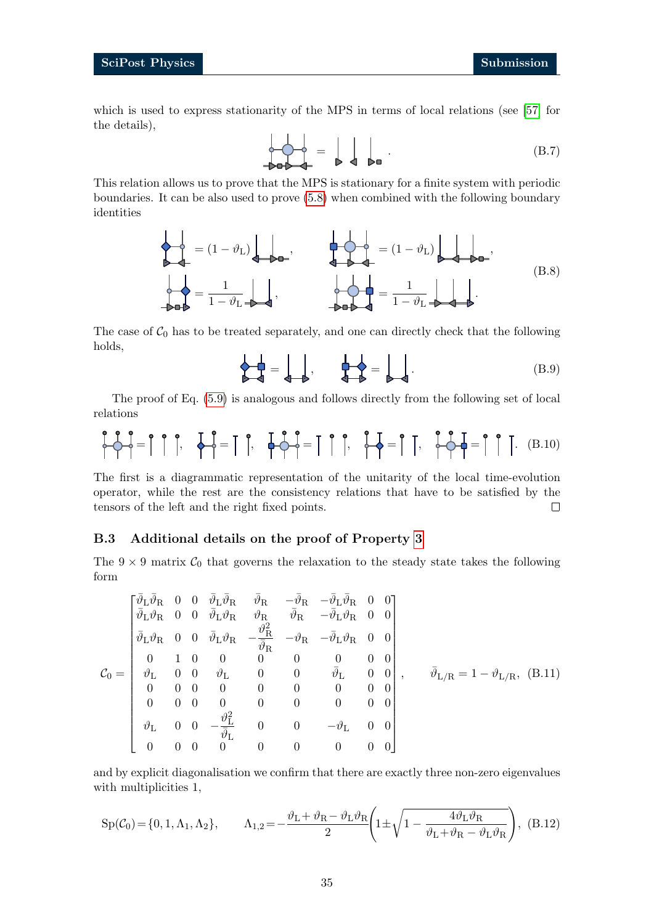which is used to express stationarity of the MPS in terms of local relations (see [\[57\]](#page-40-1) for the details),

$$
\frac{\partial}{\partial \phi} \frac{\partial}{\partial \phi} = \frac{\partial}{\partial \phi} \frac{\partial}{\partial \phi}.
$$
 (B.7)

This relation allows us to prove that the MPS is stationary for a finite system with periodic boundaries. It can be also used to prove [\(5.8\)](#page-23-4) when combined with the following boundary identities

$$
\begin{aligned}\n\mathbf{a} &= (1 - \vartheta_L)\mathbf{a}.\n\end{aligned}
$$
\n
$$
\mathbf{b} = \frac{1}{1 - \vartheta_L} \mathbf{b}.\n\qquad\n\mathbf{b} = \frac{1}{1 - \vartheta_L} \mathbf{b}.\n\qquad\n\mathbf{c} = \frac{1}{1 - \vartheta_L} \mathbf{c}.\n\qquad\n\mathbf{c} = \frac{1}{1 - \vartheta_L} \mathbf{c}.\n\qquad\n\mathbf{c} = \frac{1}{1 - \vartheta_L} \mathbf{c}.\n\qquad\n\mathbf{c} = \frac{1}{1 - \vartheta_L} \mathbf{c}.\n\qquad\n\mathbf{c} = \frac{1}{1 - \vartheta_L} \mathbf{c}.\n\qquad\n\mathbf{c} = \frac{1}{1 - \vartheta_L} \mathbf{c}.\n\qquad\n\mathbf{c} = \frac{1}{1 - \vartheta_L} \mathbf{c}.\n\qquad\n\mathbf{c} = \frac{1}{1 - \vartheta_L} \mathbf{c}.\n\qquad\n\mathbf{c} = \frac{1}{1 - \vartheta_L} \mathbf{c}.\n\qquad\n\mathbf{c} = \frac{1}{1 - \vartheta_L} \mathbf{c}.\n\qquad\n\mathbf{c} = \frac{1}{1 - \vartheta_L} \mathbf{c}.\n\qquad\n\mathbf{c} = \frac{1}{1 - \vartheta_L} \mathbf{c}.\n\qquad\n\mathbf{c} = \frac{1}{1 - \vartheta_L} \mathbf{c}.\n\qquad\n\mathbf{c} = \frac{1}{1 - \vartheta_L} \mathbf{c}.\n\qquad\n\mathbf{c} = \frac{1}{1 - \vartheta_L} \mathbf{c}.\n\qquad\n\mathbf{c} = \frac{1}{1 - \vartheta_L} \mathbf{c}.\n\qquad\n\mathbf{c} = \frac{1}{1 - \vartheta_L} \mathbf{c}.\n\qquad\n\mathbf{c} = \frac{1}{1 - \vartheta_L} \mathbf{c}.\n\qquad\n\mathbf{c} = \frac{1}{1 - \vartheta_L} \mathbf{c}.\n\qquad\n\mathbf{c} = \frac{1}{1 - \vartheta_L} \mathbf{c}.\n\qquad\n\mathbf{c} = \frac{1}{1 - \vartheta_L} \mathbf{c}.\n\qquad\n\mathbf
$$

The case of  $C_0$  has to be treated separately, and one can directly check that the following holds,

$$
\mathbf{A} = \mathbf{A} \mathbf{B} \mathbf{B} = \mathbf{A} \mathbf{B} \mathbf{B} \mathbf{B} \mathbf{B} \mathbf{B} \mathbf{B} \mathbf{B} \mathbf{B} \mathbf{B} \mathbf{B} \mathbf{B} \mathbf{B} \mathbf{B} \mathbf{B} \mathbf{B} \mathbf{B} \mathbf{B} \mathbf{B} \mathbf{B} \mathbf{B} \mathbf{B} \mathbf{B} \mathbf{B} \mathbf{B} \mathbf{B} \mathbf{B} \mathbf{B} \mathbf{B} \mathbf{B} \mathbf{B} \mathbf{B} \mathbf{B} \mathbf{B} \mathbf{B} \mathbf{B} \mathbf{B} \mathbf{B} \mathbf{B} \mathbf{B} \mathbf{B} \mathbf{B} \mathbf{B} \mathbf{B} \mathbf{B} \mathbf{B} \mathbf{B} \mathbf{B} \mathbf{B} \mathbf{B} \mathbf{B} \mathbf{B} \mathbf{B} \mathbf{B} \mathbf{B} \mathbf{B} \mathbf{B} \mathbf{B} \mathbf{B} \mathbf{B} \mathbf{B} \mathbf{B} \mathbf{B} \mathbf{B} \mathbf{B} \mathbf{B} \mathbf{B} \mathbf{B} \mathbf{B} \mathbf{B} \mathbf{B} \mathbf{B} \mathbf{B} \mathbf{B} \mathbf{B} \mathbf{B} \mathbf{B} \mathbf{B} \mathbf{B} \mathbf{B} \mathbf{B} \mathbf{B} \mathbf{B} \mathbf{B} \mathbf{B} \mathbf{B} \mathbf{B} \mathbf{B} \mathbf{B} \mathbf{B} \mathbf{B} \mathbf{B} \mathbf{B} \mathbf{B} \mathbf{B} \mathbf{B} \mathbf{B} \mathbf{B} \mathbf{B} \mathbf{B} \mathbf{B} \mathbf{B} \mathbf{B} \mathbf{B} \mathbf{B} \mathbf{B} \mathbf{B} \mathbf{B} \mathbf{B} \mathbf{B} \mathbf{B} \mathbf{B} \mathbf{B} \mathbf{B} \mathbf{B} \mathbf{B} \mathbf{B} \mathbf{B} \mathbf{B} \mathbf{B} \mathbf{B} \mathbf{B} \math
$$

The proof of Eq. [\(5.9\)](#page-23-2) is analogous and follows directly from the following set of local relations

<span id="page-34-1"></span>
$$
\begin{bmatrix} \mathbf{0} & \mathbf{0} \\ \mathbf{0} & \mathbf{0} \end{bmatrix} = \begin{bmatrix} \mathbf{0} & \mathbf{0} \\ \mathbf{0} & \mathbf{0} \end{bmatrix}, \quad \mathbf{0} \begin{bmatrix} \mathbf{0} & \mathbf{0} \\ \mathbf{0} & \mathbf{0} \end{bmatrix} = \begin{bmatrix} \mathbf{0} & \mathbf{0} \\ \mathbf{0} & \mathbf{0} \end{bmatrix} = \begin{bmatrix} \mathbf{0} & \mathbf{0} \\ \mathbf{0} & \mathbf{0} \end{bmatrix}, \quad \mathbf{0} \begin{bmatrix} \mathbf{0} & \mathbf{0} \\ \mathbf{0} & \mathbf{0} \end{bmatrix} = \begin{bmatrix} \mathbf{0} & \mathbf{0} \\ \mathbf{0} & \mathbf{0} \end{bmatrix}.
$$
 (B.10)

The first is a diagrammatic representation of the unitarity of the local time-evolution operator, while the rest are the consistency relations that have to be satisfied by the tensors of the left and the right fixed points.  $\Box$ 

#### <span id="page-34-0"></span>B.3 Additional details on the proof of Property [3](#page-24-0)

The  $9 \times 9$  matrix  $C_0$  that governs the relaxation to the steady state takes the following form

$$
\mathcal{C}_0 = \begin{bmatrix}\n\bar{\vartheta}_{\mathrm{L}}\bar{\vartheta}_{\mathrm{R}} & 0 & 0 & \bar{\vartheta}_{\mathrm{L}}\bar{\vartheta}_{\mathrm{R}} & \bar{\vartheta}_{\mathrm{R}} & -\bar{\vartheta}_{\mathrm{L}}\bar{\vartheta}_{\mathrm{R}} & 0 & 0 \\
\bar{\vartheta}_{\mathrm{L}}\vartheta_{\mathrm{R}} & 0 & 0 & \bar{\vartheta}_{\mathrm{L}}\vartheta_{\mathrm{R}} & \bar{\vartheta}_{\mathrm{R}} & \bar{\vartheta}_{\mathrm{R}} & -\bar{\vartheta}_{\mathrm{L}}\vartheta_{\mathrm{R}} & 0 & 0 \\
\bar{\vartheta}_{\mathrm{L}}\vartheta_{\mathrm{R}} & 0 & 0 & \bar{\vartheta}_{\mathrm{L}}\vartheta_{\mathrm{R}} & -\frac{\vartheta_{\mathrm{R}}^2}{\bar{\vartheta}_{\mathrm{R}}} & -\vartheta_{\mathrm{R}} & -\bar{\vartheta}_{\mathrm{L}}\vartheta_{\mathrm{R}} & 0 & 0 \\
0 & 1 & 0 & 0 & 0 & 0 & 0 & 0 & 0 \\
\vartheta_{\mathrm{L}} & 0 & 0 & \vartheta_{\mathrm{L}} & 0 & 0 & \bar{\vartheta}_{\mathrm{L}} & 0 & 0 \\
0 & 0 & 0 & 0 & 0 & 0 & 0 & 0 & 0 \\
0 & 0 & 0 & 0 & 0 & 0 & 0 & 0 & 0 \\
\vartheta_{\mathrm{L}} & 0 & 0 & -\frac{\vartheta_{\mathrm{L}}^2}{\bar{\vartheta}_{\mathrm{L}}} & 0 & 0 & -\vartheta_{\mathrm{L}} & 0 & 0 \\
0 & 0 & 0 & 0 & 0 & 0 & 0 & 0\n\end{bmatrix}, \qquad \bar{\vartheta}_{\mathrm{L/R}} = 1 - \vartheta_{\mathrm{L/R}}, \quad (B.11)
$$

and by explicit diagonalisation we confirm that there are exactly three non-zero eigenvalues with multiplicities 1,

$$
Sp(\mathcal{C}_0) = \{0, 1, \Lambda_1, \Lambda_2\}, \qquad \Lambda_{1,2} = -\frac{\vartheta_L + \vartheta_R - \vartheta_L \vartheta_R}{2} \left(1 \pm \sqrt{1 - \frac{4\vartheta_L \vartheta_R}{\vartheta_L + \vartheta_R - \vartheta_L \vartheta_R}}\right), (B.12)
$$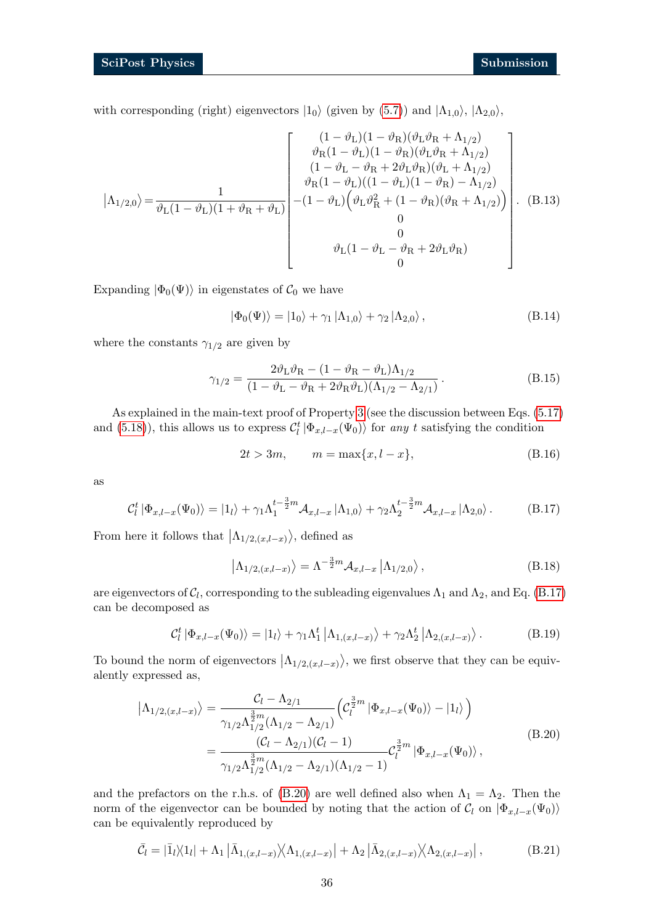with corresponding (right) eigenvectors  $|1_0\rangle$  (given by [\(5.7\)](#page-23-1)) and  $|\Lambda_{1,0}\rangle$ ,  $|\Lambda_{2,0}\rangle$ ,

$$
|\Lambda_{1/2,0}\rangle = \frac{1}{\vartheta_{\rm L}(1-\vartheta_{\rm L})(1+\vartheta_{\rm R}+\vartheta_{\rm L})} \begin{bmatrix} (1-\vartheta_{\rm L})(1-\vartheta_{\rm R})(\vartheta_{\rm L}\vartheta_{\rm R}+\Lambda_{1/2}) \\ \vartheta_{\rm R}(1-\vartheta_{\rm L})(1-\vartheta_{\rm R})(\vartheta_{\rm L}\vartheta_{\rm R}+\Lambda_{1/2}) \\ (1-\vartheta_{\rm L}-\vartheta_{\rm R}+2\vartheta_{\rm L}\vartheta_{\rm R})(\vartheta_{\rm L}+\Lambda_{1/2}) \\ \vartheta_{\rm R}(1-\vartheta_{\rm L})(1-\vartheta_{\rm L})(1-\vartheta_{\rm R})-\Lambda_{1/2}) \\ \vartheta_{\rm R}(1-\vartheta_{\rm L})(\vartheta_{\rm L}\vartheta_{\rm R}^{2}+(1-\vartheta_{\rm R})(\vartheta_{\rm R}+\Lambda_{1/2})) \\ - (1-\vartheta_{\rm L})(\vartheta_{\rm L}\vartheta_{\rm R}^{2}+(1-\vartheta_{\rm R})(\vartheta_{\rm R}+\Lambda_{1/2})) \\ 0 \\ \vartheta_{\rm L}(1-\vartheta_{\rm L}-\vartheta_{\rm R}+2\vartheta_{\rm L}\vartheta_{\rm R}) \end{bmatrix} . \quad (B.13)
$$

Expanding  $|\Phi_0(\Psi)\rangle$  in eigenstates of  $C_0$  we have

$$
|\Phi_0(\Psi)\rangle = |1_0\rangle + \gamma_1 |\Lambda_{1,0}\rangle + \gamma_2 |\Lambda_{2,0}\rangle, \qquad (B.14)
$$

where the constants  $\gamma_{1/2}$  are given by

<span id="page-35-0"></span>
$$
\gamma_{1/2} = \frac{2\vartheta_L\vartheta_R - (1 - \vartheta_R - \vartheta_L)\Lambda_{1/2}}{(1 - \vartheta_L - \vartheta_R + 2\vartheta_R\vartheta_L)(\Lambda_{1/2} - \Lambda_{2/1})}.
$$
(B.15)

As explained in the main-text proof of Property [3](#page-24-0) (see the discussion between Eqs. [\(5.17\)](#page-24-3) and [\(5.18\)](#page-25-1)), this allows us to express  $C_l^t | \Phi_{x,l-x}(\Psi_0) \rangle$  for any t satisfying the condition

$$
2t > 3m, \qquad m = \max\{x, l - x\},\tag{B.16}
$$

as

<span id="page-35-1"></span>
$$
\mathcal{C}_l^t \left| \Phi_{x,l-x}(\Psi_0) \right\rangle = |1_l\rangle + \gamma_1 \Lambda_1^{t-\frac{3}{2}m} \mathcal{A}_{x,l-x} |1_{,0}\rangle + \gamma_2 \Lambda_2^{t-\frac{3}{2}m} \mathcal{A}_{x,l-x} |1_{,0}\rangle. \tag{B.17}
$$

From here it follows that  $\vert \Lambda_{1/2,(x,l-x)} \rangle$ , defined as

$$
\left|\Lambda_{1/2,(x,l-x)}\right\rangle = \Lambda^{-\frac{3}{2}m} \mathcal{A}_{x,l-x} \left|\Lambda_{1/2,0}\right\rangle, \tag{B.18}
$$

are eigenvectors of  $\mathcal{C}_l$ , corresponding to the subleading eigenvalues  $\Lambda_1$  and  $\Lambda_2$ , and Eq. [\(B.17\)](#page-35-1) can be decomposed as

<span id="page-35-3"></span>
$$
\mathcal{C}_l^t \left| \Phi_{x,l-x}(\Psi_0) \right\rangle = \left| 1_l \right\rangle + \gamma_1 \Lambda_1^t \left| \Lambda_{1,(x,l-x)} \right\rangle + \gamma_2 \Lambda_2^t \left| \Lambda_{2,(x,l-x)} \right\rangle. \tag{B.19}
$$

To bound the norm of eigenvectors  $\vert \Lambda_{1/2,(x,l-x)} \rangle$ , we first observe that they can be equivalently expressed as,

<span id="page-35-2"></span>
$$
\left|\Lambda_{1/2,(x,l-x)}\right\rangle = \frac{\mathcal{C}_l - \Lambda_{2/1}}{\gamma_{1/2}\Lambda_{1/2}^{\frac{3}{2}m}(\Lambda_{1/2} - \Lambda_{2/1})} \left(\mathcal{C}_l^{\frac{3}{2}m} \left|\Phi_{x,l-x}(\Psi_0)\right\rangle - \left|1_l\right\rangle\right)
$$
\n
$$
= \frac{(\mathcal{C}_l - \Lambda_{2/1})(\mathcal{C}_l - 1)}{\gamma_{1/2}\Lambda_{1/2}^{\frac{3}{2}m}(\Lambda_{1/2} - \Lambda_{2/1})(\Lambda_{1/2} - 1)} \mathcal{C}_l^{\frac{3}{2}m} \left|\Phi_{x,l-x}(\Psi_0)\right\rangle, \tag{B.20}
$$

and the prefactors on the r.h.s. of [\(B.20\)](#page-35-2) are well defined also when  $\Lambda_1 = \Lambda_2$ . Then the norm of the eigenvector can be bounded by noting that the action of  $\mathcal{C}_l$  on  $|\Phi_{x,l-x}(\Psi_0)\rangle$ can be equivalently reproduced by

$$
\bar{C}_l = |\bar{1}_l\rangle\langle 1_l| + \Lambda_1 |\bar{\Lambda}_{1,(x,l-x)}\rangle\langle \Lambda_{1,(x,l-x)}| + \Lambda_2 |\bar{\Lambda}_{2,(x,l-x)}\rangle\langle \Lambda_{2,(x,l-x)}| ,
$$
\n(B.21)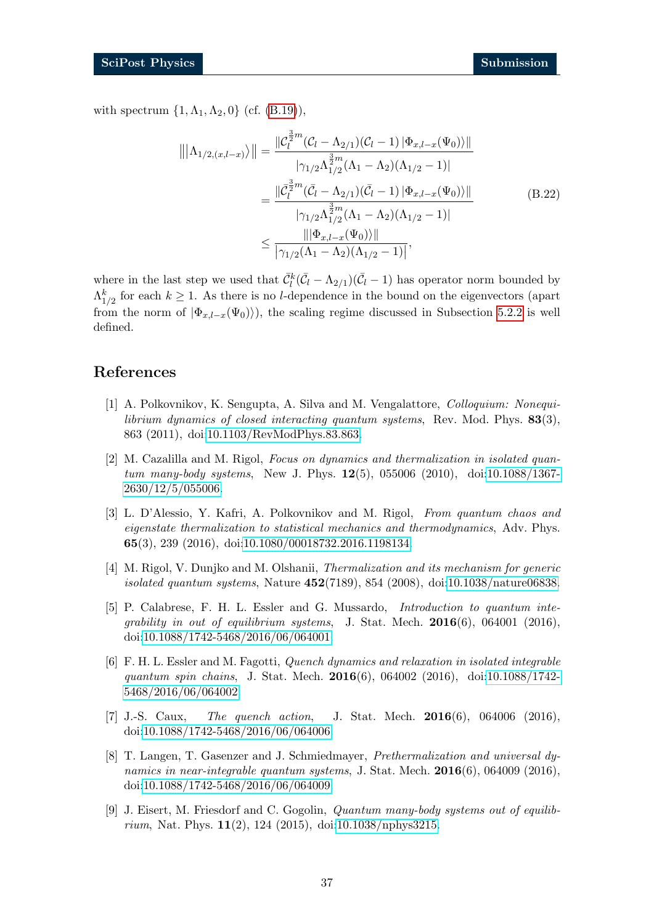with spectrum  $\{1, \Lambda_1, \Lambda_2, 0\}$  (cf.  $(B.19)$ ),

<span id="page-36-0"></span>
$$
\|\|\Lambda_{1/2,(x,l-x)}\rangle\| = \frac{\|C_l^{\frac{3}{2}m}(C_l - \Lambda_{2/1})(C_l - 1) \|\Phi_{x,l-x}(\Psi_0)\rangle\|}{|\gamma_{1/2}\Lambda_{1/2}^{\frac{3}{2}m}(\Lambda_1 - \Lambda_2)(\Lambda_{1/2} - 1)|}
$$
  

$$
= \frac{\|\bar{C}_l^{\frac{3}{2}m}(\bar{C}_l - \Lambda_{2/1})(\bar{C}_l - 1) \|\Phi_{x,l-x}(\Psi_0)\rangle\|}{|\gamma_{1/2}\Lambda_{1/2}^{\frac{3}{2}m}(\Lambda_1 - \Lambda_2)(\Lambda_{1/2} - 1)|}
$$
(B.22)  

$$
\frac{\|\|\Phi_{x,l-x}(\Psi_0)\rangle\|}{|\gamma_{1/2}(\Lambda_1 - \Lambda_2)(\Lambda_{1/2} - 1)|},
$$

where in the last step we used that  $\bar{C}_l^k(\bar{\mathcal{C}}_l - \Lambda_{2/1})(\bar{\mathcal{C}}_l - 1)$  has operator norm bounded by  $\Lambda_{1/2}^k$  for each  $k \geq 1$ . As there is no *l*-dependence in the bound on the eigenvectors (apart from the norm of  $|\Phi_{x,l-x}(\Psi_0)\rangle$ , the scaling regime discussed in Subsection [5.2.2](#page-28-0) is well defined.

# References

- <span id="page-36-1"></span>[1] A. Polkovnikov, K. Sengupta, A. Silva and M. Vengalattore, Colloquium: Nonequilibrium dynamics of closed interacting quantum systems, Rev. Mod. Phys.  $83(3)$ , 863 (2011), doi[:10.1103/RevModPhys.83.863.](https://doi.org/10.1103/RevModPhys.83.863)
- [2] M. Cazalilla and M. Rigol, Focus on dynamics and thermalization in isolated quantum many-body systems, New J. Phys. 12(5), 055006 (2010), doi[:10.1088/1367-](https://doi.org/10.1088/1367-2630/12/5/055006) [2630/12/5/055006.](https://doi.org/10.1088/1367-2630/12/5/055006)
- [3] L. D'Alessio, Y. Kafri, A. Polkovnikov and M. Rigol, From quantum chaos and eigenstate thermalization to statistical mechanics and thermodynamics, Adv. Phys. 65(3), 239 (2016), doi[:10.1080/00018732.2016.1198134.](https://doi.org/10.1080/00018732.2016.1198134)
- <span id="page-36-4"></span>[4] M. Rigol, V. Dunjko and M. Olshanii, Thermalization and its mechanism for generic isolated quantum systems, Nature  $452(7189)$ ,  $854$   $(2008)$ , doi[:10.1038/nature06838.](https://doi.org/10.1038/nature06838)
- [5] P. Calabrese, F. H. L. Essler and G. Mussardo, Introduction to quantum integrability in out of equilibrium systems, J. Stat. Mech.  $2016(6)$ , 064001 (2016), doi[:10.1088/1742-5468/2016/06/064001.](https://doi.org/10.1088/1742-5468/2016/06/064001)
- <span id="page-36-3"></span>[6] F. H. L. Essler and M. Fagotti, Quench dynamics and relaxation in isolated integrable quantum spin chains, J. Stat. Mech. 2016(6), 064002 (2016), doi[:10.1088/1742-](https://doi.org/10.1088/1742-5468/2016/06/064002) [5468/2016/06/064002.](https://doi.org/10.1088/1742-5468/2016/06/064002)
- [7] J.-S. Caux, The quench action, J. Stat. Mech. **2016**(6), 064006 (2016), doi[:10.1088/1742-5468/2016/06/064006.](https://doi.org/10.1088/1742-5468/2016/06/064006)
- [8] T. Langen, T. Gasenzer and J. Schmiedmayer, Prethermalization and universal dynamics in near-integrable quantum systems, J. Stat. Mech.  $2016(6)$ , 064009 (2016), doi[:10.1088/1742-5468/2016/06/064009.](https://doi.org/10.1088/1742-5468/2016/06/064009)
- <span id="page-36-2"></span>[9] J. Eisert, M. Friesdorf and C. Gogolin, Quantum many-body systems out of equilib*rium*, Nat. Phys.  $11(2)$ , 124 (2015), doi[:10.1038/nphys3215.](https://doi.org/10.1038/nphys3215)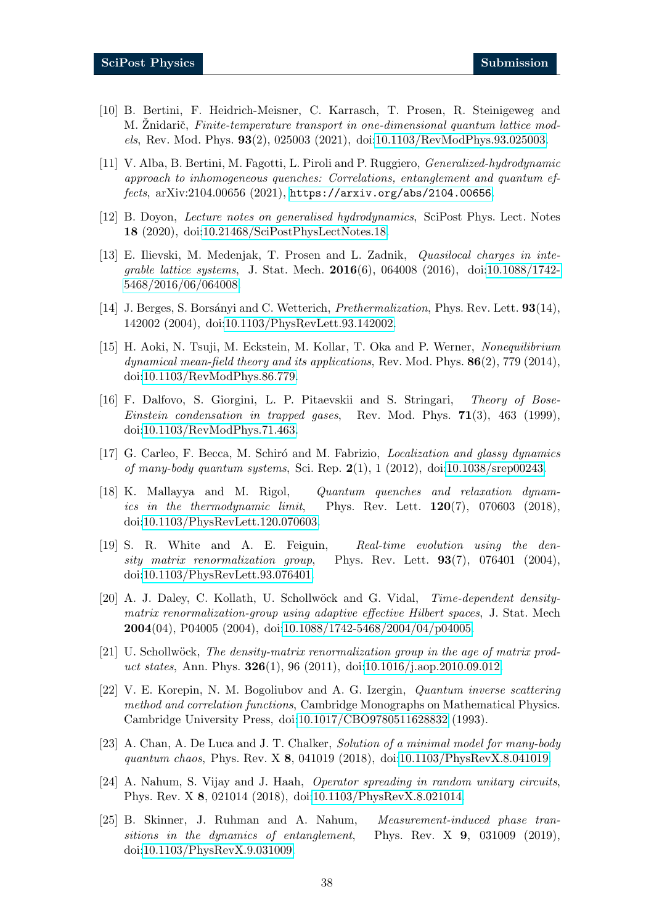- <span id="page-37-0"></span>[10] B. Bertini, F. Heidrich-Meisner, C. Karrasch, T. Prosen, R. Steinigeweg and M. Znidarič, Finite-temperature transport in one-dimensional quantum lattice models, Rev. Mod. Phys. 93(2), 025003 (2021), doi[:10.1103/RevModPhys.93.025003.](https://doi.org/10.1103/RevModPhys.93.025003)
- <span id="page-37-11"></span>[11] V. Alba, B. Bertini, M. Fagotti, L. Piroli and P. Ruggiero, Generalized-hydrodynamic approach to inhomogeneous quenches: Correlations, entanglement and quantum effects, arXiv:2104.00656 (2021), <https://arxiv.org/abs/2104.00656>.
- <span id="page-37-1"></span>[12] B. Doyon, Lecture notes on generalised hydrodynamics, SciPost Phys. Lect. Notes 18 (2020), doi[:10.21468/SciPostPhysLectNotes.18.](https://doi.org/10.21468/SciPostPhysLectNotes.18)
- <span id="page-37-2"></span>[13] E. Ilievski, M. Medenjak, T. Prosen and L. Zadnik, Quasilocal charges in integrable lattice systems, J. Stat. Mech. 2016(6), 064008 (2016), doi[:10.1088/1742-](https://doi.org/10.1088/1742-5468/2016/06/064008) [5468/2016/06/064008.](https://doi.org/10.1088/1742-5468/2016/06/064008)
- <span id="page-37-3"></span>[14] J. Berges, S. Borsányi and C. Wetterich, *Prethermalization*, Phys. Rev. Lett. **93**(14), 142002 (2004), doi[:10.1103/PhysRevLett.93.142002.](https://doi.org/10.1103/PhysRevLett.93.142002)
- [15] H. Aoki, N. Tsuji, M. Eckstein, M. Kollar, T. Oka and P. Werner, Nonequilibrium dynamical mean-field theory and its applications, Rev. Mod. Phys.  $86(2)$ , 779 (2014), doi[:10.1103/RevModPhys.86.779.](https://doi.org/10.1103/RevModPhys.86.779)
- <span id="page-37-4"></span>[16] F. Dalfovo, S. Giorgini, L. P. Pitaevskii and S. Stringari, Theory of Bose-*Einstein condensation in trapped gases.* Rev. Mod. Phys.  $71(3)$ , 463 (1999), doi[:10.1103/RevModPhys.71.463.](https://doi.org/10.1103/RevModPhys.71.463)
- <span id="page-37-5"></span>[17] G. Carleo, F. Becca, M. Schiró and M. Fabrizio, *Localization and glassy dynamics* of many-body quantum systems, Sci. Rep.  $2(1)$ , 1 (2012), doi[:10.1038/srep00243.](https://doi.org/10.1038/srep00243)
- <span id="page-37-6"></span>[18] K. Mallayya and M. Rigol, Quantum quenches and relaxation dynamics in the thermodynamic limit, Phys. Rev. Lett.  $120(7)$ , 070603 (2018), doi[:10.1103/PhysRevLett.120.070603.](https://doi.org/10.1103/PhysRevLett.120.070603)
- <span id="page-37-7"></span>[19] S. R. White and A. E. Feiguin, Real-time evolution using the density matrix renormalization group, Phys. Rev. Lett.  $93(7)$ , 076401 (2004), doi[:10.1103/PhysRevLett.93.076401.](https://doi.org/10.1103/PhysRevLett.93.076401)
- [20] A. J. Daley, C. Kollath, U. Schollwöck and G. Vidal, Time-dependent densitymatrix renormalization-group using adaptive effective Hilbert spaces, J. Stat. Mech **2004**(04), P04005 (2004), doi[:10.1088/1742-5468/2004/04/p04005.](https://doi.org/10.1088/1742-5468/2004/04/p04005)
- <span id="page-37-8"></span>[21] U. Schollwöck, The density-matrix renormalization group in the age of matrix product states, Ann. Phys. **326**(1), 96 (2011), doi[:10.1016/j.aop.2010.09.012.](https://doi.org/10.1016/j.aop.2010.09.012)
- <span id="page-37-9"></span>[22] V. E. Korepin, N. M. Bogoliubov and A. G. Izergin, Quantum inverse scattering method and correlation functions, Cambridge Monographs on Mathematical Physics. Cambridge University Press, doi[:10.1017/CBO9780511628832](https://doi.org/10.1017/CBO9780511628832) (1993).
- <span id="page-37-10"></span>[23] A. Chan, A. De Luca and J. T. Chalker, Solution of a minimal model for many-body quantum chaos, Phys. Rev. X 8, 041019 (2018), doi[:10.1103/PhysRevX.8.041019.](https://doi.org/10.1103/PhysRevX.8.041019)
- [24] A. Nahum, S. Vijay and J. Haah, Operator spreading in random unitary circuits, Phys. Rev. X 8, 021014 (2018), doi[:10.1103/PhysRevX.8.021014.](https://doi.org/10.1103/PhysRevX.8.021014)
- [25] B. Skinner, J. Ruhman and A. Nahum, Measurement-induced phase transitions in the dynamics of entanglement, Phys. Rev. X 9, 031009 (2019), doi[:10.1103/PhysRevX.9.031009.](https://doi.org/10.1103/PhysRevX.9.031009)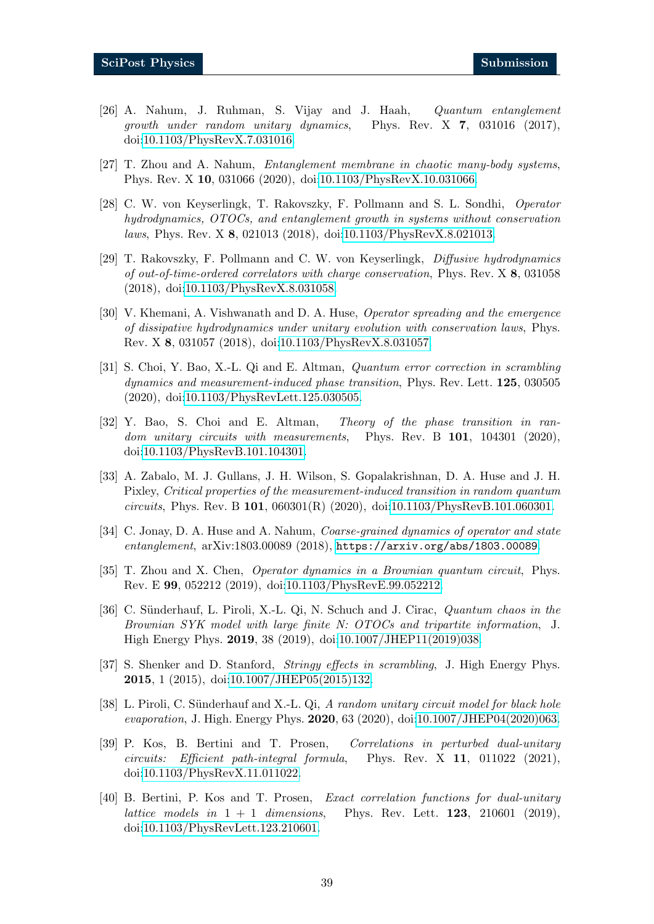- [26] A. Nahum, J. Ruhman, S. Vijay and J. Haah, Quantum entanglement growth under random unitary dynamics, Phys. Rev.  $X$  7, 031016 (2017), doi[:10.1103/PhysRevX.7.031016.](https://doi.org/10.1103/PhysRevX.7.031016)
- [27] T. Zhou and A. Nahum, Entanglement membrane in chaotic many-body systems, Phys. Rev. X 10, 031066 (2020), doi[:10.1103/PhysRevX.10.031066.](https://doi.org/10.1103/PhysRevX.10.031066)
- [28] C. W. von Keyserlingk, T. Rakovszky, F. Pollmann and S. L. Sondhi, Operator hydrodynamics, OTOCs, and entanglement growth in systems without conservation laws, Phys. Rev. X 8, 021013 (2018), doi[:10.1103/PhysRevX.8.021013.](https://doi.org/10.1103/PhysRevX.8.021013)
- [29] T. Rakovszky, F. Pollmann and C. W. von Keyserlingk, Diffusive hydrodynamics of out-of-time-ordered correlators with charge conservation, Phys. Rev. X 8, 031058 (2018), doi[:10.1103/PhysRevX.8.031058.](https://doi.org/10.1103/PhysRevX.8.031058)
- [30] V. Khemani, A. Vishwanath and D. A. Huse, Operator spreading and the emergence of dissipative hydrodynamics under unitary evolution with conservation laws, Phys. Rev. X 8, 031057 (2018), doi[:10.1103/PhysRevX.8.031057.](https://doi.org/10.1103/PhysRevX.8.031057)
- [31] S. Choi, Y. Bao, X.-L. Qi and E. Altman, Quantum error correction in scrambling dynamics and measurement-induced phase transition, Phys. Rev. Lett. 125, 030505 (2020), doi[:10.1103/PhysRevLett.125.030505.](https://doi.org/10.1103/PhysRevLett.125.030505)
- [32] Y. Bao, S. Choi and E. Altman, Theory of the phase transition in random unitary circuits with measurements, Phys. Rev. B 101, 104301 (2020), doi[:10.1103/PhysRevB.101.104301.](https://doi.org/10.1103/PhysRevB.101.104301)
- [33] A. Zabalo, M. J. Gullans, J. H. Wilson, S. Gopalakrishnan, D. A. Huse and J. H. Pixley, Critical properties of the measurement-induced transition in random quantum circuits, Phys. Rev. B 101, 060301(R) (2020), doi[:10.1103/PhysRevB.101.060301.](https://doi.org/10.1103/PhysRevB.101.060301)
- [34] C. Jonay, D. A. Huse and A. Nahum, *Coarse-grained dynamics of operator and state* entanglement, arXiv:1803.00089 (2018), <https://arxiv.org/abs/1803.00089>.
- [35] T. Zhou and X. Chen, Operator dynamics in a Brownian quantum circuit, Phys. Rev. E 99, 052212 (2019), doi[:10.1103/PhysRevE.99.052212.](https://doi.org/10.1103/PhysRevE.99.052212)
- [36] C. Sünderhauf, L. Piroli, X.-L. Qi, N. Schuch and J. Cirac, Quantum chaos in the Brownian SYK model with large finite N: OTOCs and tripartite information, J. High Energy Phys. 2019, 38 (2019), doi[:10.1007/JHEP11\(2019\)038.](https://doi.org/10.1007/JHEP11(2019)038)
- [37] S. Shenker and D. Stanford, Stringy effects in scrambling, J. High Energy Phys. 2015, 1 (2015), doi[:10.1007/JHEP05\(2015\)132.](https://doi.org/10.1007/JHEP05(2015)132)
- [38] L. Piroli, C. Sünderhauf and X.-L. Qi, A random unitary circuit model for black hole evaporation, J. High. Energy Phys. 2020, 63 (2020), doi[:10.1007/JHEP04\(2020\)063.](https://doi.org/10.1007/JHEP04(2020)063)
- <span id="page-38-0"></span>[39] P. Kos, B. Bertini and T. Prosen, Correlations in perturbed dual-unitary circuits: Efficient path-integral formula, Phys. Rev. X 11, 011022 (2021), doi[:10.1103/PhysRevX.11.011022.](https://doi.org/10.1103/PhysRevX.11.011022)
- <span id="page-38-1"></span>[40] B. Bertini, P. Kos and T. Prosen, Exact correlation functions for dual-unitary lattice models in  $1 + 1$  dimensions, Phys. Rev. Lett. 123, 210601 (2019), doi[:10.1103/PhysRevLett.123.210601.](https://doi.org/10.1103/PhysRevLett.123.210601)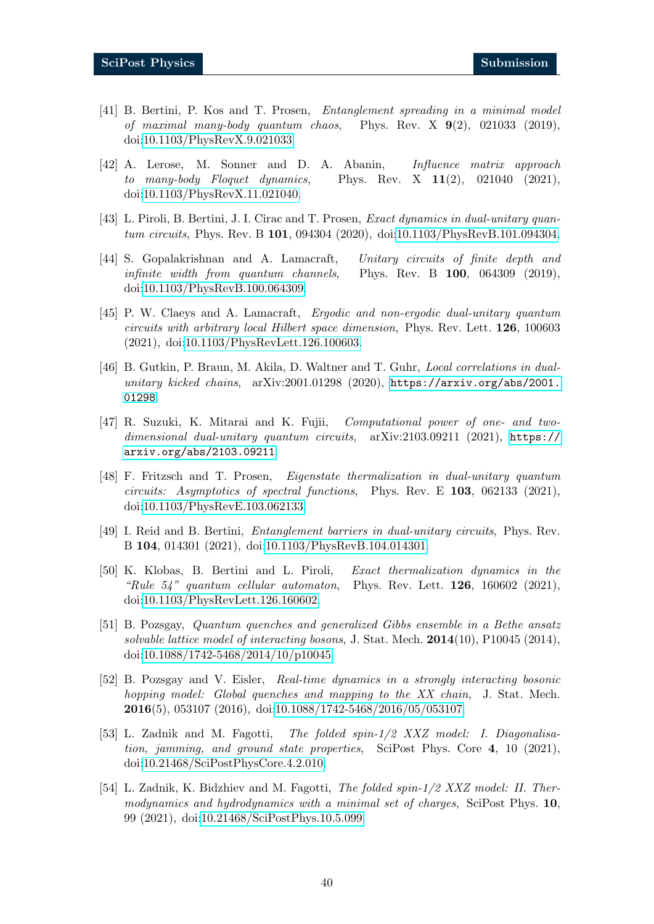- <span id="page-39-5"></span>[41] B. Bertini, P. Kos and T. Prosen, Entanglement spreading in a minimal model of maximal many-body quantum chaos, Phys. Rev. X  $9(2)$ , 021033 (2019), doi[:10.1103/PhysRevX.9.021033.](https://doi.org/10.1103/PhysRevX.9.021033)
- <span id="page-39-4"></span>[42] A. Lerose, M. Sonner and D. A. Abanin, Influence matrix approach to many-body Floquet dynamics, Phys. Rev. X  $11(2)$ , 021040 (2021), doi[:10.1103/PhysRevX.11.021040.](https://doi.org/10.1103/PhysRevX.11.021040)
- <span id="page-39-1"></span>[43] L. Piroli, B. Bertini, J. I. Cirac and T. Prosen, Exact dynamics in dual-unitary quantum circuits, Phys. Rev. B 101, 094304 (2020), doi[:10.1103/PhysRevB.101.094304.](https://doi.org/10.1103/PhysRevB.101.094304)
- <span id="page-39-6"></span>[44] S. Gopalakrishnan and A. Lamacraft, Unitary circuits of finite depth and infinite width from quantum channels, Phys. Rev. B 100, 064309 (2019), doi[:10.1103/PhysRevB.100.064309.](https://doi.org/10.1103/PhysRevB.100.064309)
- [45] P. W. Claeys and A. Lamacraft, Ergodic and non-ergodic dual-unitary quantum circuits with arbitrary local Hilbert space dimension, Phys. Rev. Lett. 126, 100603 (2021), doi[:10.1103/PhysRevLett.126.100603.](https://doi.org/10.1103/PhysRevLett.126.100603)
- [46] B. Gutkin, P. Braun, M. Akila, D. Waltner and T. Guhr, Local correlations in dualunitary kicked chains, arXiv:2001.01298 (2020), [https://arxiv.org/abs/2001.](https://arxiv.org/abs/2001.01298) [01298](https://arxiv.org/abs/2001.01298).
- <span id="page-39-2"></span>[47] R. Suzuki, K. Mitarai and K. Fujii, Computational power of one- and twodimensional dual-unitary quantum circuits, arXiv:2103.09211 (2021), [https://](https://arxiv.org/abs/2103.09211) [arxiv.org/abs/2103.09211](https://arxiv.org/abs/2103.09211).
- [48] F. Fritzsch and T. Prosen, Eigenstate thermalization in dual-unitary quantum circuits: Asymptotics of spectral functions, Phys. Rev. E  $103$ , 062133 (2021), doi[:10.1103/PhysRevE.103.062133.](https://doi.org/10.1103/PhysRevE.103.062133)
- <span id="page-39-0"></span>[49] I. Reid and B. Bertini, Entanglement barriers in dual-unitary circuits, Phys. Rev. B 104, 014301 (2021), doi[:10.1103/PhysRevB.104.014301.](https://doi.org/10.1103/PhysRevB.104.014301)
- <span id="page-39-3"></span>[50] K. Klobas, B. Bertini and L. Piroli, Exact thermalization dynamics in the "Rule  $54$ " quantum cellular automaton, Phys. Rev. Lett. **126**, 160602 (2021), doi[:10.1103/PhysRevLett.126.160602.](https://doi.org/10.1103/PhysRevLett.126.160602)
- [51] B. Pozsgay, Quantum quenches and generalized Gibbs ensemble in a Bethe ansatz solvable lattice model of interacting bosons, J. Stat. Mech.  $2014(10)$ , P10045 (2014), doi[:10.1088/1742-5468/2014/10/p10045.](https://doi.org/10.1088/1742-5468/2014/10/p10045)
- [52] B. Pozsgay and V. Eisler, Real-time dynamics in a strongly interacting bosonic hopping model: Global quenches and mapping to the XX chain, J. Stat. Mech. 2016(5), 053107 (2016), doi[:10.1088/1742-5468/2016/05/053107.](https://doi.org/10.1088/1742-5468/2016/05/053107)
- [53] L. Zadnik and M. Fagotti, The folded spin-1/2 XXZ model: I. Diagonalisation, jamming, and ground state properties, SciPost Phys. Core 4, 10 (2021), doi[:10.21468/SciPostPhysCore.4.2.010.](https://doi.org/10.21468/SciPostPhysCore.4.2.010)
- [54] L. Zadnik, K. Bidzhiev and M. Fagotti, The folded spin-1/2 XXZ model: II. Thermodynamics and hydrodynamics with a minimal set of charges, SciPost Phys. 10, 99 (2021), doi[:10.21468/SciPostPhys.10.5.099.](https://doi.org/10.21468/SciPostPhys.10.5.099)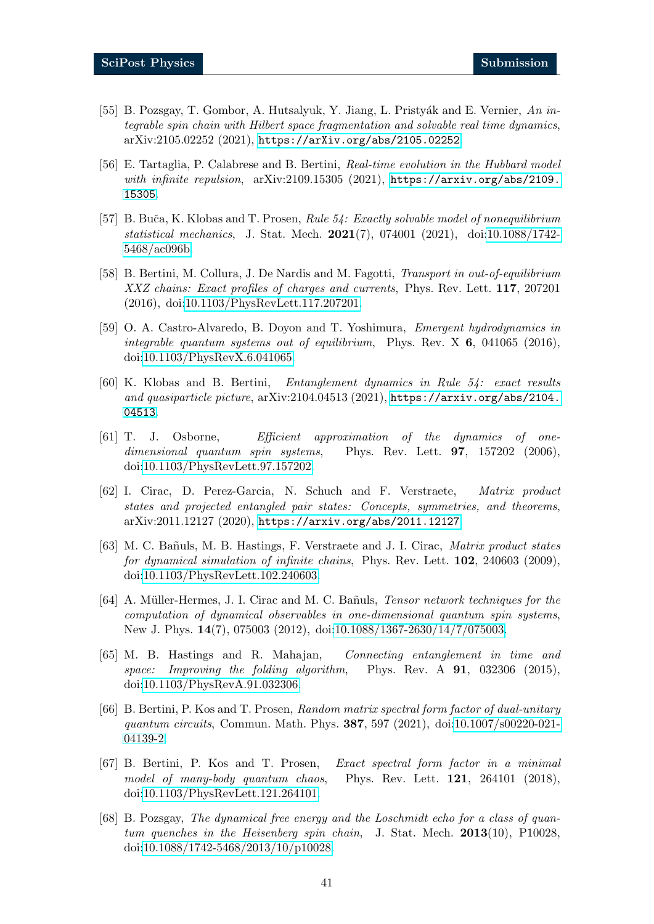- [55] B. Pozsgay, T. Gombor, A. Hutsalyuk, Y. Jiang, L. Pristyák and E. Vernier, An integrable spin chain with Hilbert space fragmentation and solvable real time dynamics, arXiv:2105.02252 (2021), <https://arXiv.org/abs/2105.02252>.
- <span id="page-40-0"></span>[56] E. Tartaglia, P. Calabrese and B. Bertini, Real-time evolution in the Hubbard model with infinite repulsion,  $arXiv:2109.15305$  (2021),  $https://arxiv.org/abs/2109$ . [15305](https://arxiv.org/abs/2109.15305).
- <span id="page-40-1"></span>[57] B. Buča, K. Klobas and T. Prosen, Rule 54: Exactly solvable model of nonequilibrium statistical mechanics, J. Stat. Mech. 2021(7), 074001 (2021), doi[:10.1088/1742-](https://doi.org/10.1088/1742-5468/ac096b) [5468/ac096b.](https://doi.org/10.1088/1742-5468/ac096b)
- <span id="page-40-2"></span>[58] B. Bertini, M. Collura, J. De Nardis and M. Fagotti, Transport in out-of-equilibrium XXZ chains: Exact profiles of charges and currents, Phys. Rev. Lett. 117, 207201 (2016), doi[:10.1103/PhysRevLett.117.207201.](https://doi.org/10.1103/PhysRevLett.117.207201)
- <span id="page-40-3"></span>[59] O. A. Castro-Alvaredo, B. Doyon and T. Yoshimura, Emergent hydrodynamics in integrable quantum systems out of equilibrium, Phys. Rev.  $X$  6, 041065 (2016), doi[:10.1103/PhysRevX.6.041065.](https://doi.org/10.1103/PhysRevX.6.041065)
- <span id="page-40-4"></span>[60] K. Klobas and B. Bertini, Entanglement dynamics in Rule 54: exact results and quasiparticle picture, arXiv:2104.04513 (2021), [https://arxiv.org/abs/2104.](https://arxiv.org/abs/2104.04513) [04513](https://arxiv.org/abs/2104.04513).
- <span id="page-40-5"></span>[61] T. J. Osborne, Efficient approximation of the dynamics of onedimensional quantum spin systems, Phys. Rev. Lett. **97**,  $157202$  (2006), doi[:10.1103/PhysRevLett.97.157202.](https://doi.org/10.1103/PhysRevLett.97.157202)
- <span id="page-40-6"></span>[62] I. Cirac, D. Perez-Garcia, N. Schuch and F. Verstraete, Matrix product states and projected entangled pair states: Concepts, symmetries, and theorems, arXiv:2011.12127 (2020), <https://arxiv.org/abs/2011.12127>.
- <span id="page-40-7"></span>[63] M. C. Bañuls, M. B. Hastings, F. Verstraete and J. I. Cirac, Matrix product states for dynamical simulation of infinite chains, Phys. Rev. Lett. 102, 240603 (2009), doi[:10.1103/PhysRevLett.102.240603.](https://doi.org/10.1103/PhysRevLett.102.240603)
- <span id="page-40-10"></span>[64] A. Müller-Hermes, J. I. Cirac and M. C. Bañuls, *Tensor network techniques for the* computation of dynamical observables in one-dimensional quantum spin systems, New J. Phys. 14(7), 075003 (2012), doi[:10.1088/1367-2630/14/7/075003.](https://doi.org/10.1088/1367-2630/14/7/075003)
- <span id="page-40-8"></span>[65] M. B. Hastings and R. Mahajan, Connecting entanglement in time and space: Improving the folding algorithm, Phys. Rev.  $A \ 91, 032306 \ (2015),$ doi[:10.1103/PhysRevA.91.032306.](https://doi.org/10.1103/PhysRevA.91.032306)
- <span id="page-40-9"></span>[66] B. Bertini, P. Kos and T. Prosen, Random matrix spectral form factor of dual-unitary quantum circuits, Commun. Math. Phys. 387, 597 (2021), doi[:10.1007/s00220-021-](https://doi.org/10.1007/s00220-021-04139-2) [04139-2.](https://doi.org/10.1007/s00220-021-04139-2)
- <span id="page-40-11"></span>[67] B. Bertini, P. Kos and T. Prosen, Exact spectral form factor in a minimal model of many-body quantum chaos, Phys. Rev. Lett. 121, 264101 (2018), doi[:10.1103/PhysRevLett.121.264101.](https://doi.org/10.1103/PhysRevLett.121.264101)
- <span id="page-40-12"></span>[68] B. Pozsgay, The dynamical free energy and the Loschmidt echo for a class of quantum quenches in the Heisenberg spin chain, J. Stat. Mech. 2013(10), P10028, doi[:10.1088/1742-5468/2013/10/p10028.](https://doi.org/10.1088/1742-5468/2013/10/p10028)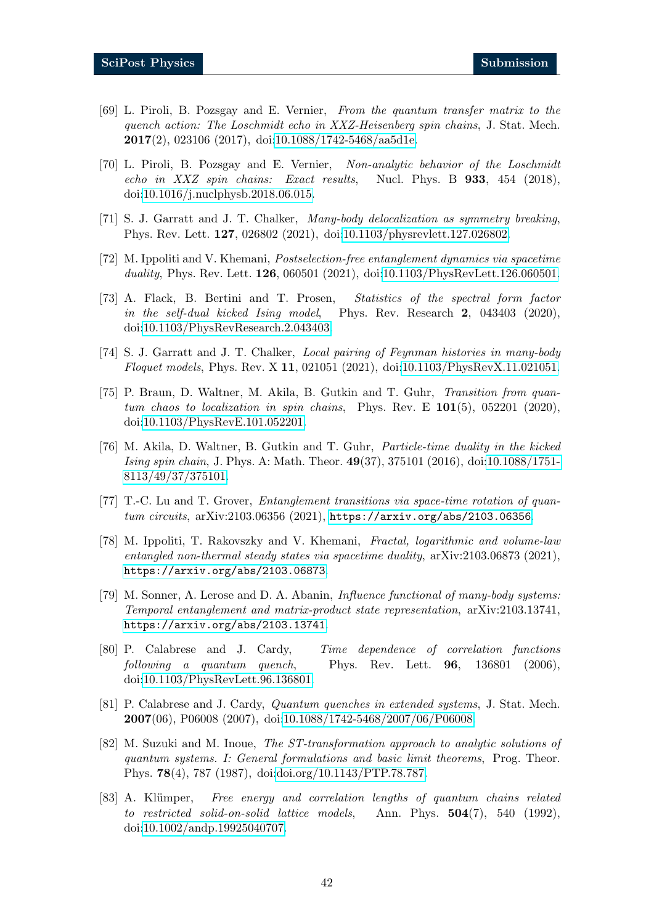- [69] L. Piroli, B. Pozsgay and E. Vernier, From the quantum transfer matrix to the quench action: The Loschmidt echo in XXZ-Heisenberg spin chains, J. Stat. Mech. 2017(2), 023106 (2017), doi[:10.1088/1742-5468/aa5d1e.](https://doi.org/10.1088/1742-5468/aa5d1e)
- <span id="page-41-0"></span>[70] L. Piroli, B. Pozsgay and E. Vernier, Non-analytic behavior of the Loschmidt echo in XXZ spin chains: Exact results, Nucl. Phys. B 933, 454 (2018), doi[:10.1016/j.nuclphysb.2018.06.015.](https://doi.org/10.1016/j.nuclphysb.2018.06.015)
- <span id="page-41-1"></span>[71] S. J. Garratt and J. T. Chalker, Many-body delocalization as symmetry breaking, Phys. Rev. Lett. 127, 026802 (2021), doi[:10.1103/physrevlett.127.026802.](https://doi.org/10.1103/physrevlett.127.026802)
- [72] M. Ippoliti and V. Khemani, Postselection-free entanglement dynamics via spacetime duality, Phys. Rev. Lett. **126**, 060501 (2021), doi[:10.1103/PhysRevLett.126.060501.](https://doi.org/10.1103/PhysRevLett.126.060501)
- [73] A. Flack, B. Bertini and T. Prosen, Statistics of the spectral form factor in the self-dual kicked Ising model, Phys. Rev. Research 2, 043403 (2020), doi[:10.1103/PhysRevResearch.2.043403.](https://doi.org/10.1103/PhysRevResearch.2.043403)
- [74] S. J. Garratt and J. T. Chalker, Local pairing of Feynman histories in many-body Floquet models, Phys. Rev. X 11, 021051 (2021), doi[:10.1103/PhysRevX.11.021051.](https://doi.org/10.1103/PhysRevX.11.021051)
- [75] P. Braun, D. Waltner, M. Akila, B. Gutkin and T. Guhr, Transition from quantum chaos to localization in spin chains, Phys. Rev. E  $101(5)$ , 052201 (2020), doi[:10.1103/PhysRevE.101.052201.](https://doi.org/10.1103/PhysRevE.101.052201)
- [76] M. Akila, D. Waltner, B. Gutkin and T. Guhr, Particle-time duality in the kicked Ising spin chain, J. Phys. A: Math. Theor. 49(37), 375101 (2016), doi[:10.1088/1751-](https://doi.org/10.1088/1751-8113/49/37/375101) [8113/49/37/375101.](https://doi.org/10.1088/1751-8113/49/37/375101)
- [77] T.-C. Lu and T. Grover, Entanglement transitions via space-time rotation of quantum circuits, arXiv:2103.06356 (2021), <https://arxiv.org/abs/2103.06356>.
- [78] M. Ippoliti, T. Rakovszky and V. Khemani, Fractal, logarithmic and volume-law entangled non-thermal steady states via spacetime duality, arXiv:2103.06873 (2021), <https://arxiv.org/abs/2103.06873>.
- <span id="page-41-2"></span>[79] M. Sonner, A. Lerose and D. A. Abanin, *Influence functional of many-body systems:* Temporal entanglement and matrix-product state representation, arXiv:2103.13741, <https://arxiv.org/abs/2103.13741>.
- <span id="page-41-3"></span>[80] P. Calabrese and J. Cardy, Time dependence of correlation functions following a quantum quench, Phys. Rev. Lett. 96, 136801 (2006), doi[:10.1103/PhysRevLett.96.136801.](https://doi.org/10.1103/PhysRevLett.96.136801)
- <span id="page-41-4"></span>[81] P. Calabrese and J. Cardy, Quantum quenches in extended systems, J. Stat. Mech. 2007(06), P06008 (2007), doi[:10.1088/1742-5468/2007/06/P06008.](https://doi.org/10.1088/1742-5468/2007/06/P06008)
- <span id="page-41-5"></span>[82] M. Suzuki and M. Inoue, The ST-transformation approach to analytic solutions of quantum systems. I: General formulations and basic limit theorems, Prog. Theor. Phys. 78(4), 787 (1987), doi[:doi.org/10.1143/PTP.78.787.](https://doi.org/doi.org/10.1143/PTP.78.787)
- [83] A. Klümper, Free energy and correlation lengths of quantum chains related to restricted solid-on-solid lattice models, Ann. Phys.  $504(7)$ , 540 (1992), doi[:10.1002/andp.19925040707.](https://doi.org/10.1002/andp.19925040707)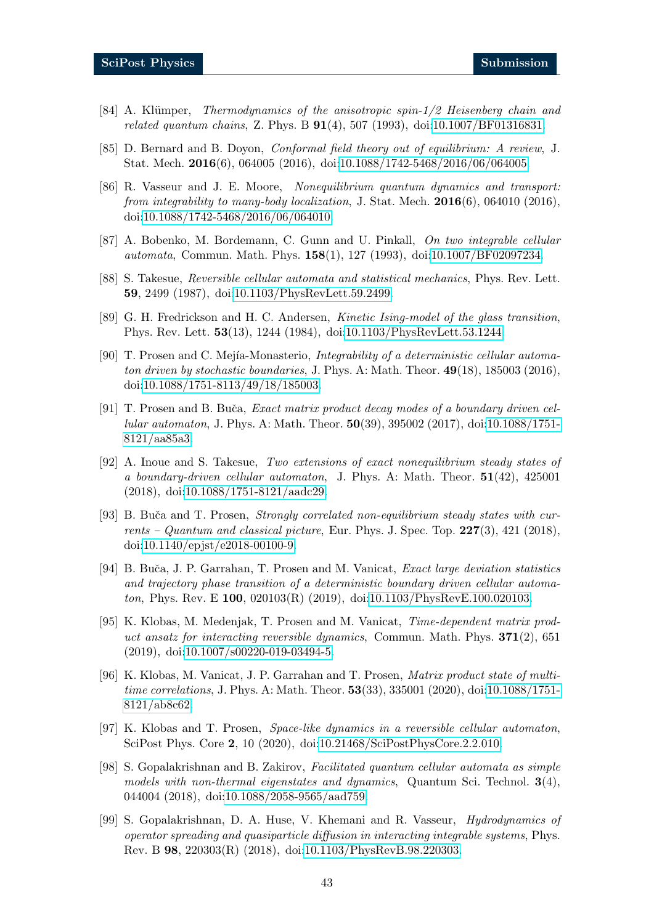- <span id="page-42-0"></span>[84] A. Klümper, *Thermodynamics of the anisotropic spin-1/2 Heisenberg chain and* related quantum chains, Z. Phys. B  $91(4)$ , 507 (1993), doi[:10.1007/BF01316831.](https://doi.org/10.1007/BF01316831)
- <span id="page-42-1"></span>[85] D. Bernard and B. Doyon, Conformal field theory out of equilibrium: A review, J. Stat. Mech. 2016(6), 064005 (2016), doi[:10.1088/1742-5468/2016/06/064005.](https://doi.org/10.1088/1742-5468/2016/06/064005)
- <span id="page-42-2"></span>[86] R. Vasseur and J. E. Moore, Nonequilibrium quantum dynamics and transport: from integrability to many-body localization, J. Stat. Mech.  $2016(6)$ , 064010 (2016), doi[:10.1088/1742-5468/2016/06/064010.](https://doi.org/10.1088/1742-5468/2016/06/064010)
- <span id="page-42-3"></span>[87] A. Bobenko, M. Bordemann, C. Gunn and U. Pinkall, On two integrable cellular automata, Commun. Math. Phys. 158(1), 127 (1993), doi[:10.1007/BF02097234.](https://doi.org/10.1007/BF02097234)
- <span id="page-42-4"></span>[88] S. Takesue, Reversible cellular automata and statistical mechanics, Phys. Rev. Lett. 59, 2499 (1987), doi[:10.1103/PhysRevLett.59.2499.](https://doi.org/10.1103/PhysRevLett.59.2499)
- <span id="page-42-5"></span>[89] G. H. Fredrickson and H. C. Andersen, Kinetic Ising-model of the glass transition, Phys. Rev. Lett. 53(13), 1244 (1984), doi[:10.1103/PhysRevLett.53.1244.](https://doi.org/10.1103/PhysRevLett.53.1244)
- <span id="page-42-6"></span>[90] T. Prosen and C. Mejía-Monasterio, Integrability of a deterministic cellular automaton driven by stochastic boundaries, J. Phys. A: Math. Theor.  $49(18)$ , 185003 (2016), doi[:10.1088/1751-8113/49/18/185003.](https://doi.org/10.1088/1751-8113/49/18/185003)
- [91] T. Prosen and B. Buča, *Exact matrix product decay modes of a boundary driven cel*lular automaton, J. Phys. A: Math. Theor. 50(39), 395002 (2017), doi[:10.1088/1751-](https://doi.org/10.1088/1751-8121/aa85a3) [8121/aa85a3.](https://doi.org/10.1088/1751-8121/aa85a3)
- [92] A. Inoue and S. Takesue, Two extensions of exact nonequilibrium steady states of a boundary-driven cellular automaton, J. Phys. A: Math. Theor. 51(42), 425001 (2018), doi[:10.1088/1751-8121/aadc29.](https://doi.org/10.1088/1751-8121/aadc29)
- [93] B. Buča and T. Prosen, *Strongly correlated non-equilibrium steady states with cur*rents – Quantum and classical picture, Eur. Phys. J. Spec. Top.  $227(3)$ ,  $421$  (2018), doi[:10.1140/epjst/e2018-00100-9.](https://doi.org/10.1140/epjst/e2018-00100-9)
- [94] B. Buča, J. P. Garrahan, T. Prosen and M. Vanicat, *Exact large deviation statistics* and trajectory phase transition of a deterministic boundary driven cellular automaton, Phys. Rev. E 100, 020103(R) (2019), doi[:10.1103/PhysRevE.100.020103.](https://doi.org/10.1103/PhysRevE.100.020103)
- [95] K. Klobas, M. Medenjak, T. Prosen and M. Vanicat, Time-dependent matrix product ansatz for interacting reversible dynamics, Commun. Math. Phys.  $371(2)$ , 651 (2019), doi[:10.1007/s00220-019-03494-5.](https://doi.org/10.1007/s00220-019-03494-5)
- <span id="page-42-9"></span>[96] K. Klobas, M. Vanicat, J. P. Garrahan and T. Prosen, Matrix product state of multitime correlations, J. Phys. A: Math. Theor. **53**(33), 335001 (2020), doi[:10.1088/1751-](https://doi.org/10.1088/1751-8121/ab8c62) [8121/ab8c62.](https://doi.org/10.1088/1751-8121/ab8c62)
- <span id="page-42-7"></span>[97] K. Klobas and T. Prosen, Space-like dynamics in a reversible cellular automaton, SciPost Phys. Core 2, 10 (2020), doi[:10.21468/SciPostPhysCore.2.2.010.](https://doi.org/10.21468/SciPostPhysCore.2.2.010)
- <span id="page-42-8"></span>[98] S. Gopalakrishnan and B. Zakirov, Facilitated quantum cellular automata as simple models with non-thermal eigenstates and dynamics, Quantum Sci. Technol.  $3(4)$ , 044004 (2018), doi[:10.1088/2058-9565/aad759.](https://doi.org/10.1088/2058-9565/aad759)
- [99] S. Gopalakrishnan, D. A. Huse, V. Khemani and R. Vasseur, Hydrodynamics of operator spreading and quasiparticle diffusion in interacting integrable systems, Phys. Rev. B 98, 220303(R) (2018), doi[:10.1103/PhysRevB.98.220303.](https://doi.org/10.1103/PhysRevB.98.220303)